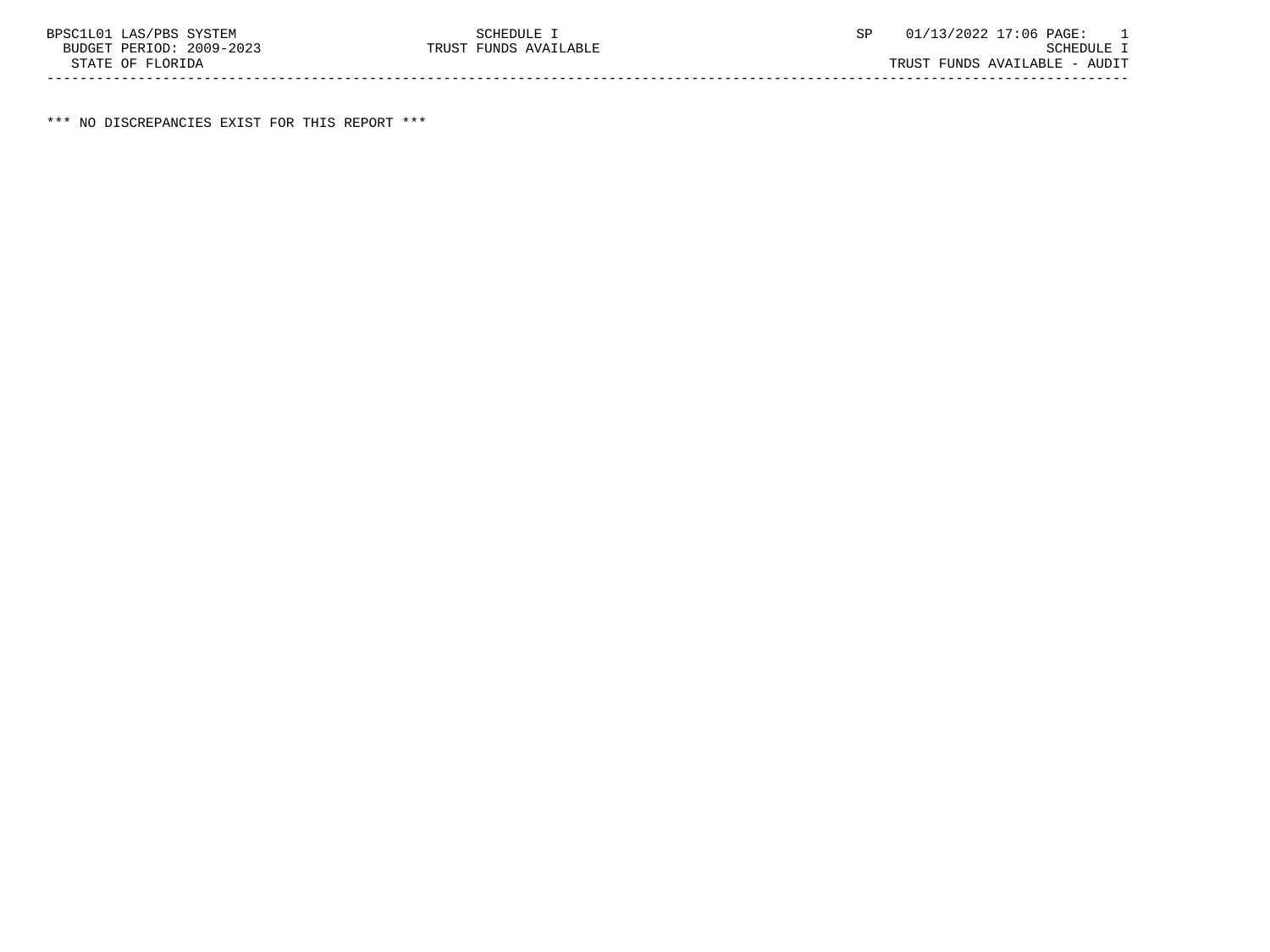\*\*\* NO DISCREPANCIES EXIST FOR THIS REPORT \*\*\*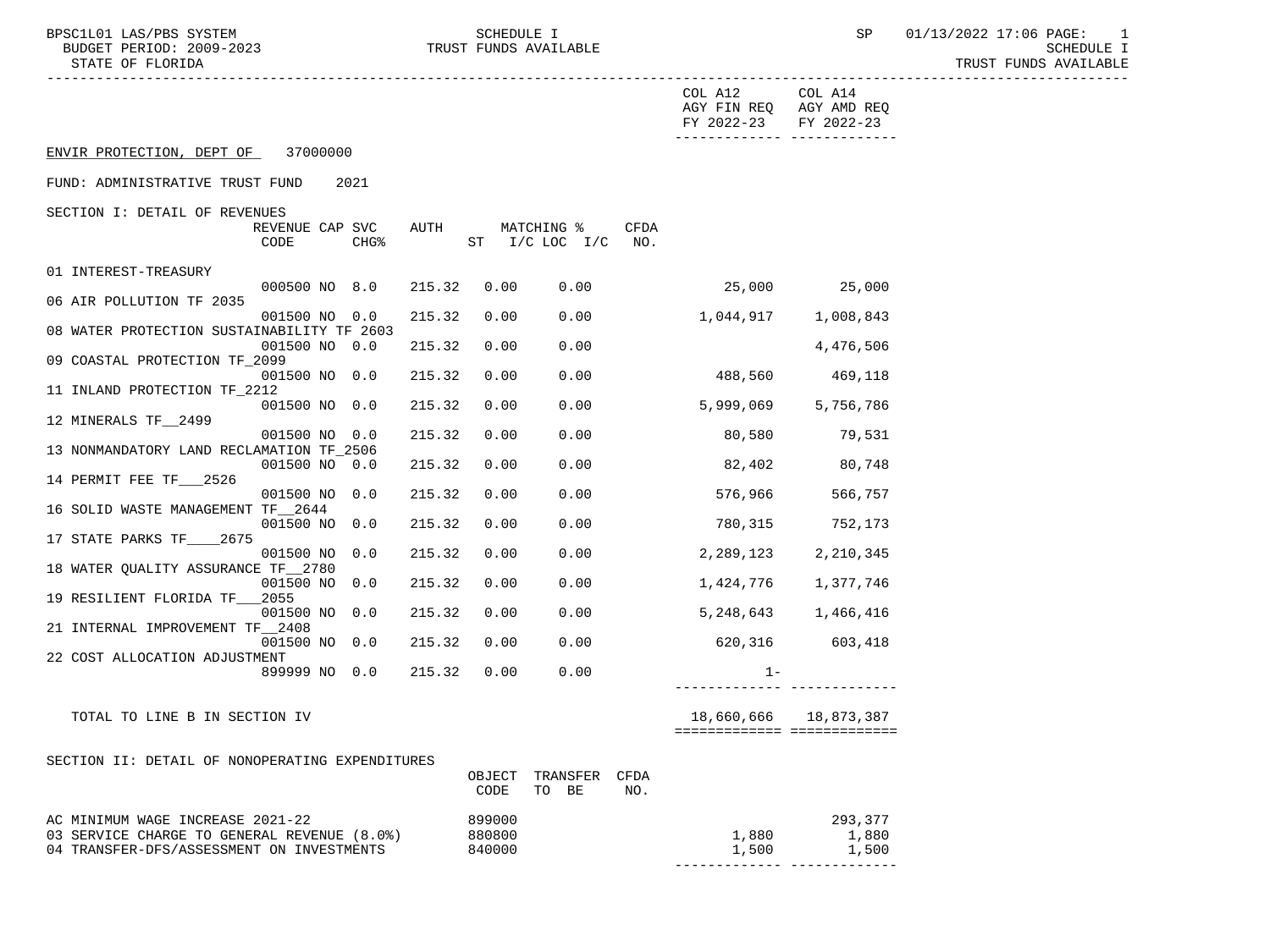BPSC1L01 LAS/PBS SYSTEM SCHEDULE I SCHEDULE I SP 01/13/2022 17:06 PAGE: 1<br>BUDGET PERIOD: 2009–2023 TRUST FUNDS AVAILABLE

TRUST FUNDS AVAILABLE

|                                                           |                |                                      |      | COL A12<br>AGY FIN REQ AGY AMD REQ<br>FY 2022-23<br>-------------- -------------- | COL A14<br>FY 2022-23   |
|-----------------------------------------------------------|----------------|--------------------------------------|------|-----------------------------------------------------------------------------------|-------------------------|
| ENVIR PROTECTION, DEPT OF 37000000                        |                |                                      |      |                                                                                   |                         |
| FUND: ADMINISTRATIVE TRUST FUND<br>2021                   |                |                                      |      |                                                                                   |                         |
| SECTION I: DETAIL OF REVENUES                             |                |                                      |      |                                                                                   |                         |
| REVENUE CAP SVC<br>CODE<br>CHG <sup>8</sup>               | AUTH           | MATCHING %<br>ST $I/C$ LOC $I/C$ NO. | CFDA |                                                                                   |                         |
| 01 INTEREST-TREASURY                                      |                |                                      |      |                                                                                   |                         |
| 000500 NO 8.0<br>215.32                                   |                | 0.00<br>0.00                         |      |                                                                                   | 25,000 25,000           |
| 06 AIR POLLUTION TF 2035<br>001500 NO 0.0                 | 215.32         | 0.00<br>0.00                         |      |                                                                                   |                         |
| 08 WATER PROTECTION SUSTAINABILITY TF 2603                |                |                                      |      |                                                                                   |                         |
| 001500 NO 0.0<br>215.32<br>09 COASTAL PROTECTION TF_2099  |                | 0.00<br>0.00                         |      |                                                                                   | 4,476,506               |
| 001500 NO 0.0                                             | 215.32         | 0.00<br>0.00                         |      | 488,560 469,118                                                                   |                         |
| 11 INLAND PROTECTION TF_2212<br>001500 NO 0.0             | 215.32         | 0.00<br>0.00                         |      | 5,999,069 5,756,786                                                               |                         |
| 12 MINERALS TF_2499                                       |                |                                      |      |                                                                                   |                         |
| 001500 NO 0.0<br>13 NONMANDATORY LAND RECLAMATION TF_2506 | 215.32         | 0.00<br>0.00                         |      | 80,580                                                                            | 79,531                  |
| 001500 NO 0.0<br>215.32                                   |                | 0.00<br>0.00                         |      | 82,402                                                                            | 80,748                  |
| 14 PERMIT FEE TF___2526<br>001500 NO 0.0                  | 215.32         | 0.00<br>0.00                         |      |                                                                                   | 566,757                 |
| 16 SOLID WASTE MANAGEMENT TF 2644                         |                |                                      |      | 576,966                                                                           |                         |
| 001500 NO 0.0                                             | 215.32         | 0.00<br>0.00                         |      | 780, 315 752, 173                                                                 |                         |
| 17 STATE PARKS TF_____2675<br>001500 NO 0.0               | 215.32         | 0.00<br>0.00                         |      | 2,289,123 2,210,345                                                               |                         |
| 18 WATER QUALITY ASSURANCE TF 2780                        |                |                                      |      |                                                                                   |                         |
| 001500 NO 0.0<br>19 RESILIENT FLORIDA TF 2055             | 215.32         | 0.00<br>0.00                         |      |                                                                                   | 1,424,776 1,377,746     |
| 001500 NO 0.0                                             | 215.32         | 0.00<br>0.00                         |      |                                                                                   | 5, 248, 643 1, 466, 416 |
| 21 INTERNAL IMPROVEMENT TF_2408<br>001500 NO 0.0          | 215.32         | 0.00<br>0.00                         |      | 620,316 603,418                                                                   |                         |
| 22 COST ALLOCATION ADJUSTMENT                             |                |                                      |      |                                                                                   |                         |
| 215.32<br>899999 NO 0.0                                   |                | 0.00<br>0.00                         |      | $1 -$                                                                             |                         |
|                                                           |                |                                      |      |                                                                                   |                         |
| TOTAL TO LINE B IN SECTION IV                             |                |                                      |      | ===========================                                                       | 18,660,666 18,873,387   |
| SECTION II: DETAIL OF NONOPERATING EXPENDITURES           |                |                                      |      |                                                                                   |                         |
|                                                           | OBJECT<br>CODE | TRANSFER CFDA<br>TO BE               | NO.  |                                                                                   |                         |
| AC MINIMUM WAGE INCREASE 2021-22                          | 899000         |                                      |      |                                                                                   | 293,377                 |
| 03 SERVICE CHARGE TO GENERAL REVENUE (8.0%)               | 880800         |                                      |      | 1,880                                                                             | 1,880                   |
| 04 TRANSFER-DFS/ASSESSMENT ON INVESTMENTS                 | 840000         |                                      |      | 1,500                                                                             | 1,500                   |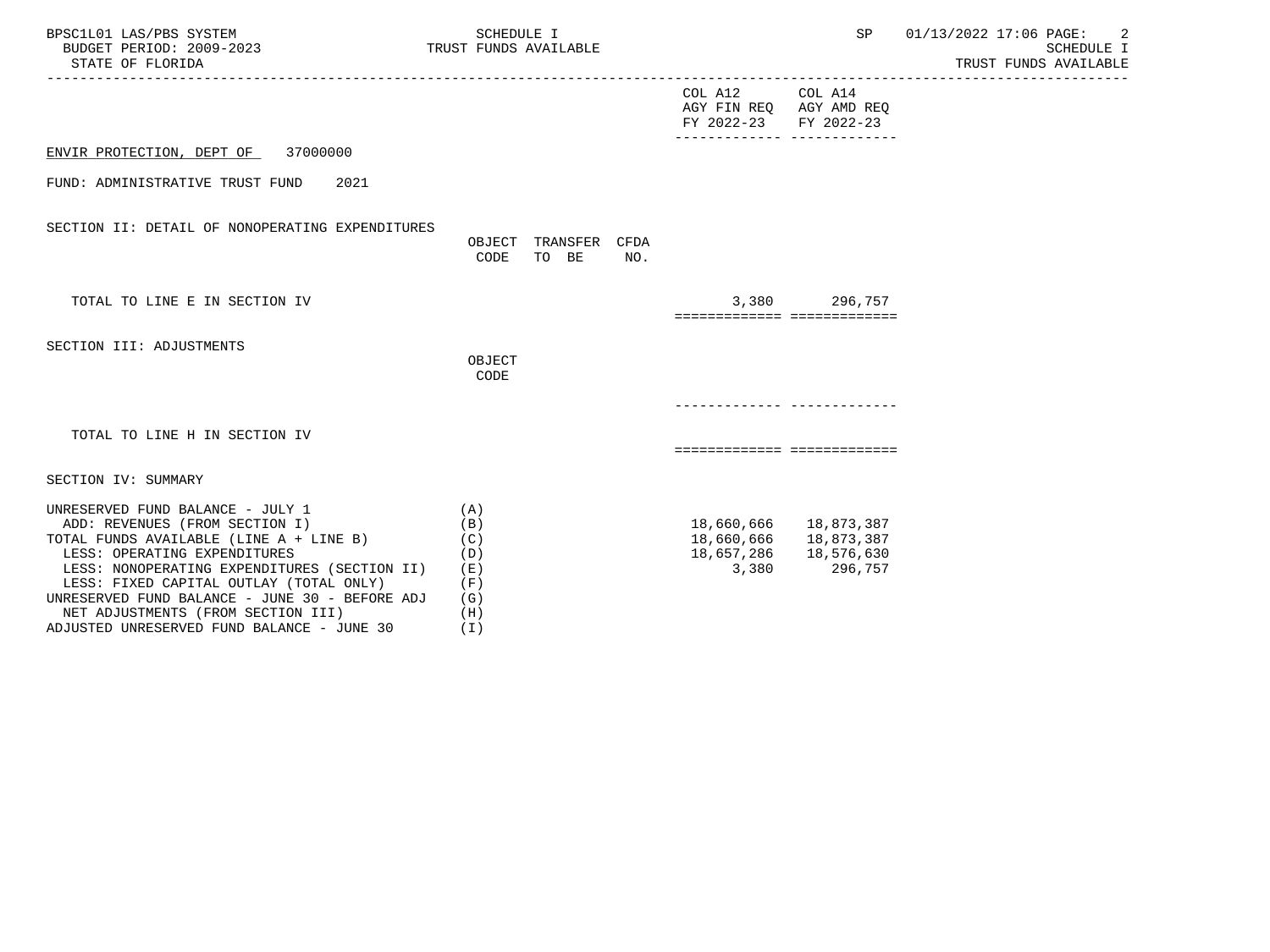| BPSC1L01 LAS/PBS SYSTEM<br>BUDGET PERIOD: 2009-2023<br>STATE OF FLORIDA                                                                                                                                                                                                                                                                                                        | SCHEDULE I<br>TRUST FUNDS AVAILABLE                           |                                                                     | SP                                                                      | 01/13/2022 17:06 PAGE: 2<br>SCHEDULE I<br>TRUST FUNDS AVAILABLE |
|--------------------------------------------------------------------------------------------------------------------------------------------------------------------------------------------------------------------------------------------------------------------------------------------------------------------------------------------------------------------------------|---------------------------------------------------------------|---------------------------------------------------------------------|-------------------------------------------------------------------------|-----------------------------------------------------------------|
|                                                                                                                                                                                                                                                                                                                                                                                |                                                               | COL A12 COL A14<br>AGY FIN REQ AGY AMD REQ<br>FY 2022-23 FY 2022-23 |                                                                         |                                                                 |
| ENVIR PROTECTION, DEPT OF 37000000                                                                                                                                                                                                                                                                                                                                             |                                                               |                                                                     | -------------- -------------                                            |                                                                 |
| FUND: ADMINISTRATIVE TRUST FUND<br>2021                                                                                                                                                                                                                                                                                                                                        |                                                               |                                                                     |                                                                         |                                                                 |
| SECTION II: DETAIL OF NONOPERATING EXPENDITURES                                                                                                                                                                                                                                                                                                                                | OBJECT TRANSFER CFDA<br>CODE<br>TO BE<br>NO.                  |                                                                     |                                                                         |                                                                 |
| TOTAL TO LINE E IN SECTION IV                                                                                                                                                                                                                                                                                                                                                  |                                                               | ============================                                        | 3,380 296,757                                                           |                                                                 |
| SECTION III: ADJUSTMENTS                                                                                                                                                                                                                                                                                                                                                       | OBJECT<br>CODE                                                |                                                                     |                                                                         |                                                                 |
|                                                                                                                                                                                                                                                                                                                                                                                |                                                               |                                                                     |                                                                         |                                                                 |
| TOTAL TO LINE H IN SECTION IV                                                                                                                                                                                                                                                                                                                                                  |                                                               | ===========================                                         |                                                                         |                                                                 |
| SECTION IV: SUMMARY                                                                                                                                                                                                                                                                                                                                                            |                                                               |                                                                     |                                                                         |                                                                 |
| UNRESERVED FUND BALANCE - JULY 1<br>ADD: REVENUES (FROM SECTION I)<br>TOTAL FUNDS AVAILABLE (LINE A + LINE B)<br>LESS: OPERATING EXPENDITURES<br>LESS: NONOPERATING EXPENDITURES (SECTION II)<br>LESS: FIXED CAPITAL OUTLAY (TOTAL ONLY)<br>UNRESERVED FUND BALANCE - JUNE 30 - BEFORE ADJ<br>NET ADJUSTMENTS (FROM SECTION III)<br>ADJUSTED UNRESERVED FUND BALANCE - JUNE 30 | (A)<br>(B)<br>(C)<br>(D)<br>( E )<br>(F)<br>(G)<br>(H)<br>(T) | 18,657,286<br>3,380                                                 | 18,660,666 18,873,387<br>18,660,666 18,873,387<br>18,576,630<br>296,757 |                                                                 |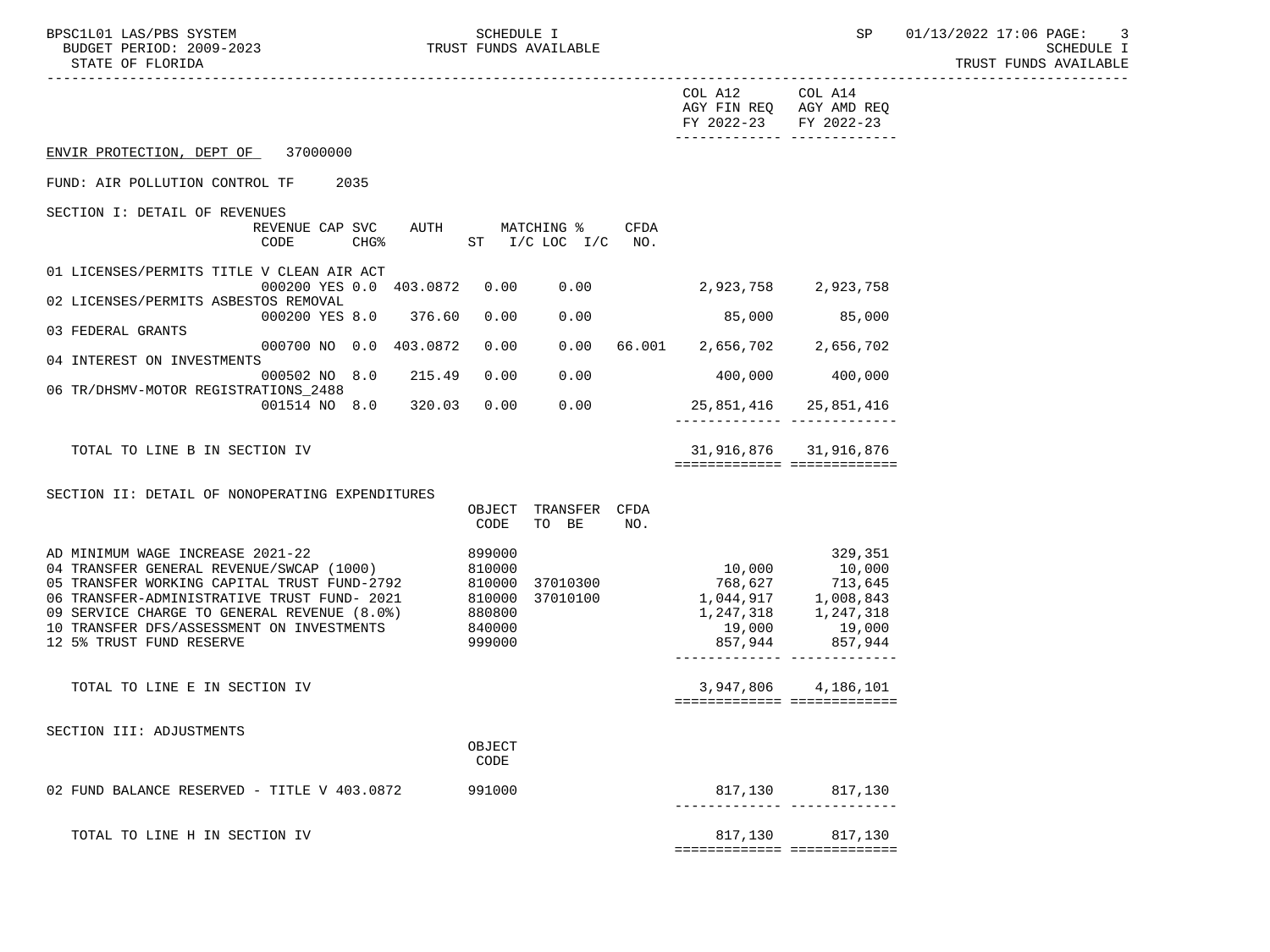TRUST FUNDS AVAILABLE

|                                                                                          |      |        |                  |                                      |             | COL A12<br>AGY FIN REQ AGY AMD REQ<br>FY 2022-23              | COL A14<br>FY 2022-23                                |
|------------------------------------------------------------------------------------------|------|--------|------------------|--------------------------------------|-------------|---------------------------------------------------------------|------------------------------------------------------|
| ENVIR PROTECTION, DEPT OF 37000000                                                       |      |        |                  |                                      |             |                                                               |                                                      |
| FUND: AIR POLLUTION CONTROL TF                                                           | 2035 |        |                  |                                      |             |                                                               |                                                      |
| SECTION I: DETAIL OF REVENUES                                                            |      |        |                  |                                      |             |                                                               |                                                      |
| REVENUE CAP SVC AUTH<br>CODE                                                             | CHG% |        |                  | MATCHING %<br>ST $I/C$ LOC $I/C$ NO. | <b>CFDA</b> |                                                               |                                                      |
| 01 LICENSES/PERMITS TITLE V CLEAN AIR ACT                                                |      |        |                  |                                      |             |                                                               |                                                      |
| 000200 YES 0.0 403.0872<br>02 LICENSES/PERMITS ASBESTOS REMOVAL                          |      |        | 0.00             | 0.00                                 |             | 2,923,758 2,923,758                                           |                                                      |
| 000200 YES 8.0 376.60<br>03 FEDERAL GRANTS                                               |      |        | 0.00             | 0.00                                 |             |                                                               | 85,000 85,000                                        |
| 000700 NO 0.0 403.0872<br>04 INTEREST ON INVESTMENTS                                     |      |        | 0.00             |                                      |             | $0.00$ 66.001 2,656,702 2,656,702                             |                                                      |
| 000502 NO 8.0<br>06 TR/DHSMV-MOTOR REGISTRATIONS 2488                                    |      | 215.49 | 0.00             | 0.00                                 |             | 400,000                                                       | 400,000                                              |
| 001514 NO 8.0 320.03                                                                     |      |        |                  | 0.00 0.00                            |             |                                                               | 25,851,416 25,851,416                                |
| TOTAL TO LINE B IN SECTION IV                                                            |      |        |                  |                                      |             |                                                               | 31,916,876 31,916,876<br>=========================== |
|                                                                                          |      |        |                  |                                      |             |                                                               |                                                      |
| SECTION II: DETAIL OF NONOPERATING EXPENDITURES                                          |      |        | CODE             | OBJECT TRANSFER CFDA<br>TO BE        | NO.         |                                                               |                                                      |
| AD MINIMUM WAGE INCREASE 2021-22                                                         |      |        | 899000           |                                      |             |                                                               | 329,351                                              |
| 04 TRANSFER GENERAL REVENUE/SWCAP (1000)<br>05 TRANSFER WORKING CAPITAL TRUST FUND-2792  |      |        | 810000           | 810000 37010300                      |             | 10,000                                                        | 10,000                                               |
| 06 TRANSFER-ADMINISTRATIVE TRUST FUND- 2021                                              |      |        |                  | 810000 37010100<br>880800            |             | 768,627 713,645<br>1,044,917 1,008,843<br>1,247,318 1,247,318 |                                                      |
| 09 SERVICE CHARGE TO GENERAL REVENUE (8.0%)<br>10 TRANSFER DFS/ASSESSMENT ON INVESTMENTS |      |        | 880800<br>840000 |                                      |             | 19,000                                                        |                                                      |
| 12 5% TRUST FUND RESERVE                                                                 |      |        | 999000           |                                      |             | 857,944                                                       | 19,000<br>857,944                                    |
| TOTAL TO LINE E IN SECTION IV                                                            |      |        |                  |                                      |             | ============================                                  | 3,947,806 4,186,101                                  |
| SECTION III: ADJUSTMENTS                                                                 |      |        |                  |                                      |             |                                                               |                                                      |
|                                                                                          |      |        | OBJECT<br>CODE   |                                      |             |                                                               |                                                      |
| 02 FUND BALANCE RESERVED - TITLE V 403.0872                                              |      |        | 991000           |                                      |             |                                                               | 817,130 817,130                                      |
| TOTAL TO LINE H IN SECTION IV                                                            |      |        |                  |                                      |             | 817,130                                                       | 817,130<br>===========================               |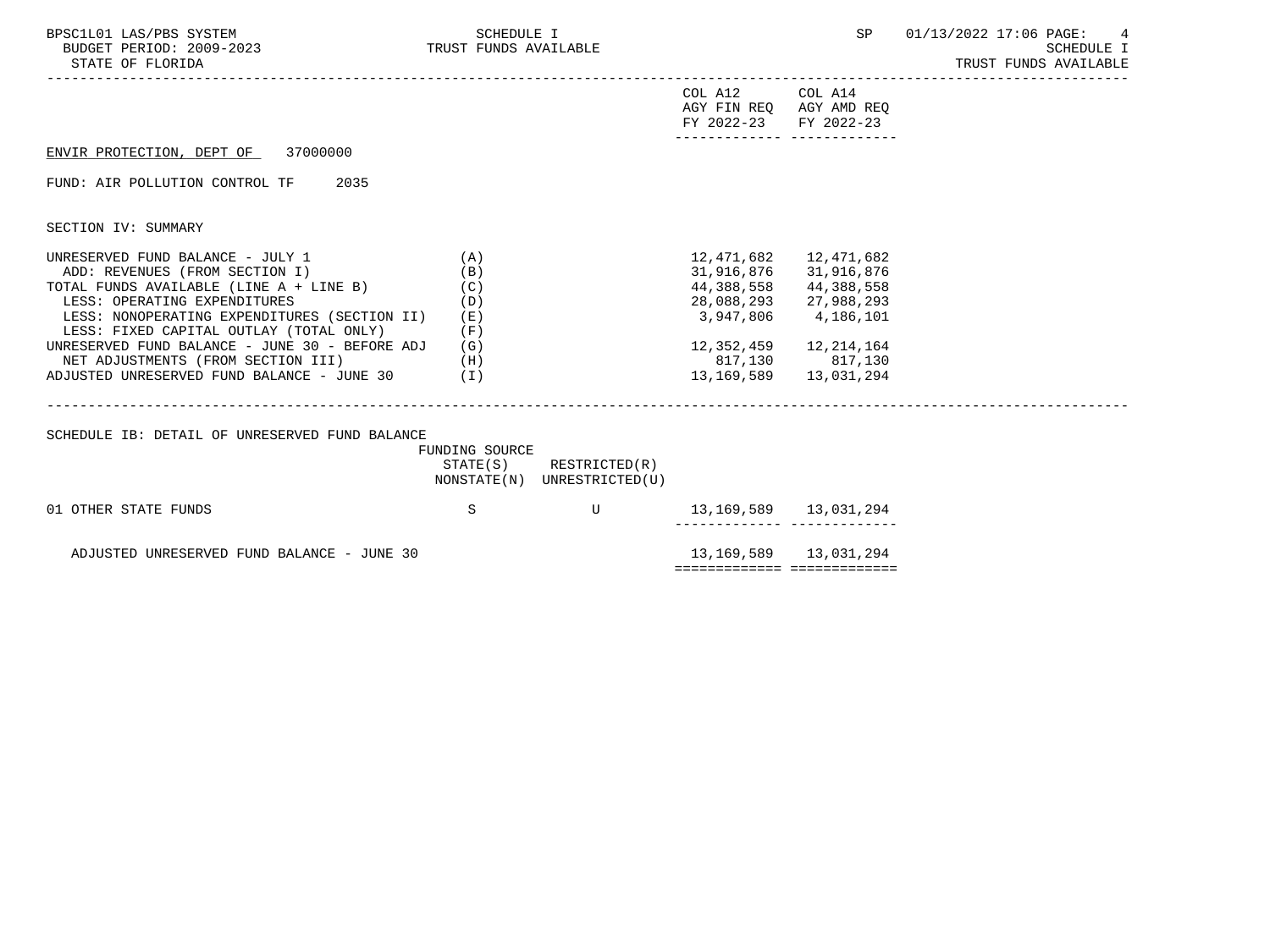|                                                        |                                                                                                                                                                                                                                                                                                                                   |                                                                              | <b>SCHEDULE I</b><br>TRUST FUNDS AVAILABLE                                                                                                                                                                                                                                                                                                                                                                        |
|--------------------------------------------------------|-----------------------------------------------------------------------------------------------------------------------------------------------------------------------------------------------------------------------------------------------------------------------------------------------------------------------------------|------------------------------------------------------------------------------|-------------------------------------------------------------------------------------------------------------------------------------------------------------------------------------------------------------------------------------------------------------------------------------------------------------------------------------------------------------------------------------------------------------------|
|                                                        |                                                                                                                                                                                                                                                                                                                                   |                                                                              |                                                                                                                                                                                                                                                                                                                                                                                                                   |
|                                                        |                                                                                                                                                                                                                                                                                                                                   |                                                                              |                                                                                                                                                                                                                                                                                                                                                                                                                   |
|                                                        |                                                                                                                                                                                                                                                                                                                                   |                                                                              |                                                                                                                                                                                                                                                                                                                                                                                                                   |
|                                                        |                                                                                                                                                                                                                                                                                                                                   |                                                                              |                                                                                                                                                                                                                                                                                                                                                                                                                   |
| (A)<br>(B)<br>(C)<br>(D)<br>( E )<br>(F)<br>(G)<br>(H) |                                                                                                                                                                                                                                                                                                                                   |                                                                              |                                                                                                                                                                                                                                                                                                                                                                                                                   |
|                                                        |                                                                                                                                                                                                                                                                                                                                   |                                                                              |                                                                                                                                                                                                                                                                                                                                                                                                                   |
| S                                                      | U                                                                                                                                                                                                                                                                                                                                 |                                                                              |                                                                                                                                                                                                                                                                                                                                                                                                                   |
|                                                        |                                                                                                                                                                                                                                                                                                                                   |                                                                              |                                                                                                                                                                                                                                                                                                                                                                                                                   |
|                                                        | TOTAL FUNDS AVAILABLE (LINE A + LINE B)<br>LESS: NONOPERATING EXPENDITURES (SECTION II)<br>UNRESERVED FUND BALANCE - JUNE 30 - BEFORE ADJ<br>NET ADJUSTMENTS (FROM SECTION III)<br>ADJUSTED UNRESERVED FUND BALANCE - JUNE 30 (I)<br>SCHEDULE IB: DETAIL OF UNRESERVED FUND BALANCE<br>ADJUSTED UNRESERVED FUND BALANCE - JUNE 30 | FUNDING SOURCE<br>$STATE(S)$ RESTRICTED $(R)$<br>NONSTATE(N) UNRESTRICTED(U) | COL A12 COL A14<br>AGY FIN REQ AGY AMD REQ<br>FY 2022-23 FY 2022-23<br>_______________________________<br>12,471,682<br>12,471,682<br>31,916,876 31,916,876<br>44,388,558<br>44,388,558<br>28,088,293 27,988,293<br>3,947,806 4,186,101<br>12, 352, 459 12, 214, 164<br>817,130 817,130<br>13, 169, 589 13, 031, 294<br>------------- --------------<br>13, 169, 589 13, 031, 294<br>============================ |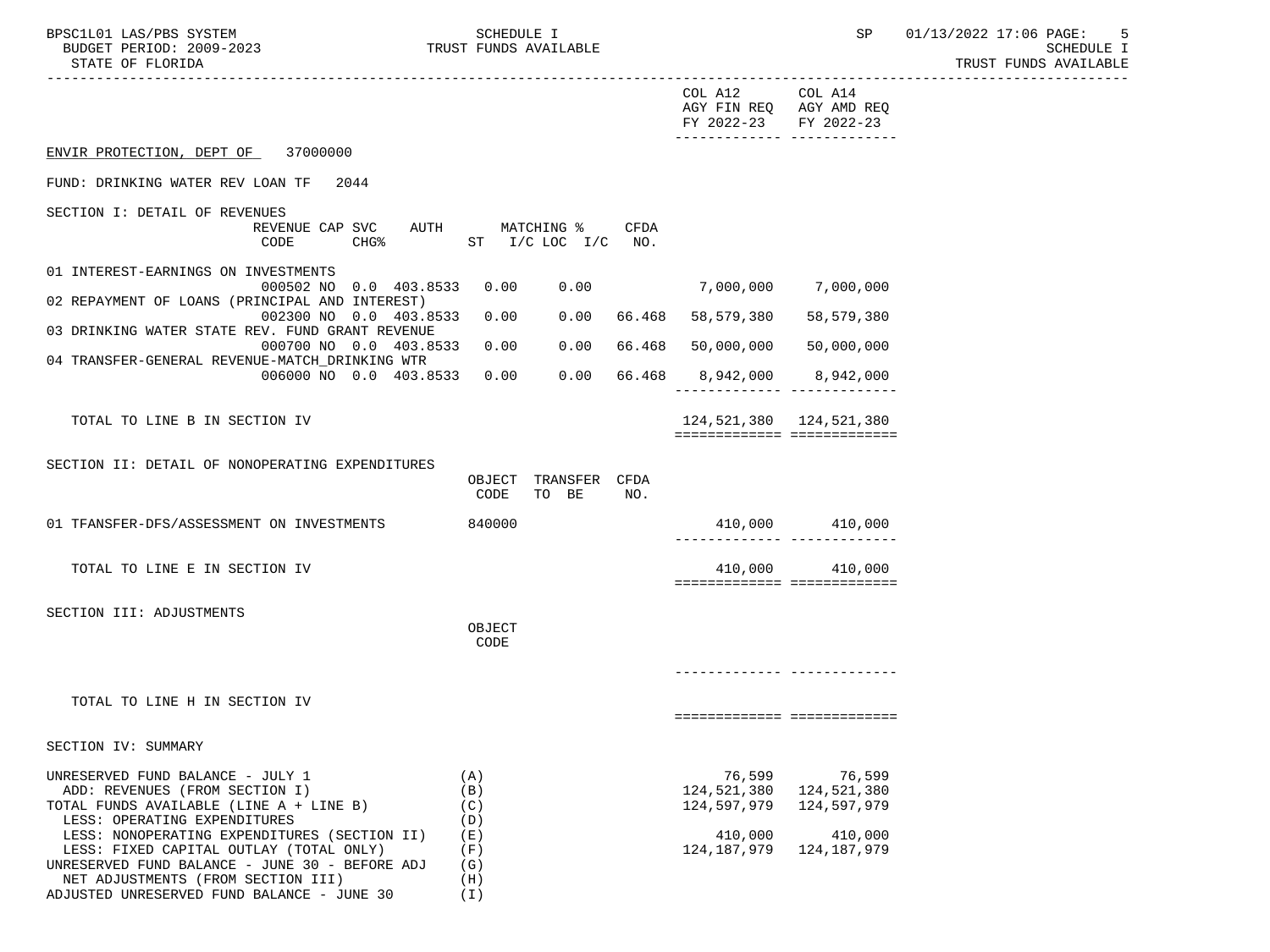| BPSC1L01 LAS/PBS SYSTEM<br>BUDGET PERIOD: 2009-2023<br>STATE OF FLORIDA     |      | SCHEDULE I<br>TRUST FUNDS AVAILABLE |             |                                      | SP                                   | 01/13/2022 17:06 PAGE:<br>$-5$<br>SCHEDULE I<br>TRUST FUNDS AVAILABLE |
|-----------------------------------------------------------------------------|------|-------------------------------------|-------------|--------------------------------------|--------------------------------------|-----------------------------------------------------------------------|
|                                                                             |      |                                     |             | COL A12<br>AGY FIN REQ<br>FY 2022-23 | COL A14<br>AGY AMD REQ<br>FY 2022-23 |                                                                       |
| 37000000<br>ENVIR PROTECTION, DEPT OF                                       |      |                                     |             |                                      |                                      |                                                                       |
| FUND: DRINKING WATER REV LOAN TF<br>2044                                    |      |                                     |             |                                      |                                      |                                                                       |
| SECTION I: DETAIL OF REVENUES<br>REVENUE CAP SVC<br>CODE<br><b>CHG&amp;</b> | AUTH | MATCHING %<br>$I/C$ LOC $I/C$<br>ST | CFDA<br>NO. |                                      |                                      |                                                                       |

| 01 INTEREST-EARNINGS ON INVESTMENTS             |          |      |      |        |            |            |
|-------------------------------------------------|----------|------|------|--------|------------|------------|
| 000502 NO 0.0 403.8533                          |          | 0.00 | 0.00 |        | 7,000,000  | 7,000,000  |
| 02 REPAYMENT OF LOANS (PRINCIPAL AND INTEREST)  |          |      |      |        |            |            |
| 002300 NO 0.0 403.8533                          |          | 0.00 | 0.00 | 66.468 | 58,579,380 | 58,579,380 |
| 03 DRINKING WATER STATE REV. FUND GRANT REVENUE |          |      |      |        |            |            |
| 000700 NO 0.0 403.8533                          |          | 0.00 | 0.00 | 66.468 | 50,000,000 | 50,000,000 |
| 04 TRANSFER-GENERAL REVENUE-MATCH DRINKING WTR  |          |      |      |        |            |            |
| 006000 NO 0.0                                   | 403.8533 | 0.00 | 0.00 | 66.468 | 8,942,000  | 8,942,000  |
|                                                 |          |      |      |        |            |            |

============= =============

TOTAL TO LINE B IN SECTION IV 124,521,380 124,521,380

SECTION II: DETAIL OF NONOPERATING EXPENDITURES

 NET ADJUSTMENTS (FROM SECTION III) (H) ADJUSTED UNRESERVED FUND BALANCE - JUNE 30 (I)

|                                                | OBJECT<br>CODE | <b>TO</b> | TRANSFER<br>BE | CFDA<br>NO. |             |                             |
|------------------------------------------------|----------------|-----------|----------------|-------------|-------------|-----------------------------|
| 01 TFANSFER-DFS/ASSESSMENT ON INVESTMENTS      | 840000         |           |                |             | 410,000     | 410,000                     |
| TOTAL TO LINE E IN SECTION IV                  |                |           |                |             | 410,000     | 410,000                     |
| SECTION III: ADJUSTMENTS                       |                |           |                |             |             |                             |
|                                                | OBJECT<br>CODE |           |                |             |             |                             |
|                                                |                |           |                |             |             |                             |
| TOTAL TO LINE H IN SECTION IV                  |                |           |                |             |             |                             |
| SECTION IV: SUMMARY                            |                |           |                |             |             |                             |
| UNRESERVED FUND BALANCE - JULY 1               | (A)            |           |                |             | 76,599      | 76,599                      |
| ADD: REVENUES (FROM SECTION I)                 | (B)            |           |                |             |             | 124, 521, 380 124, 521, 380 |
| TOTAL FUNDS AVAILABLE (LINE A + LINE B)        | (C)            |           |                |             | 124,597,979 | 124,597,979                 |
| LESS: OPERATING EXPENDITURES                   | (D)            |           |                |             |             |                             |
| LESS: NONOPERATING EXPENDITURES (SECTION II)   | (E)            |           |                |             |             | 410,000 410,000             |
| LESS: FIXED CAPITAL OUTLAY (TOTAL ONLY)        | (F)            |           |                |             | 124,187,979 | 124,187,979                 |
| UNRESERVED FUND BALANCE - JUNE 30 - BEFORE ADJ | ( G )          |           |                |             |             |                             |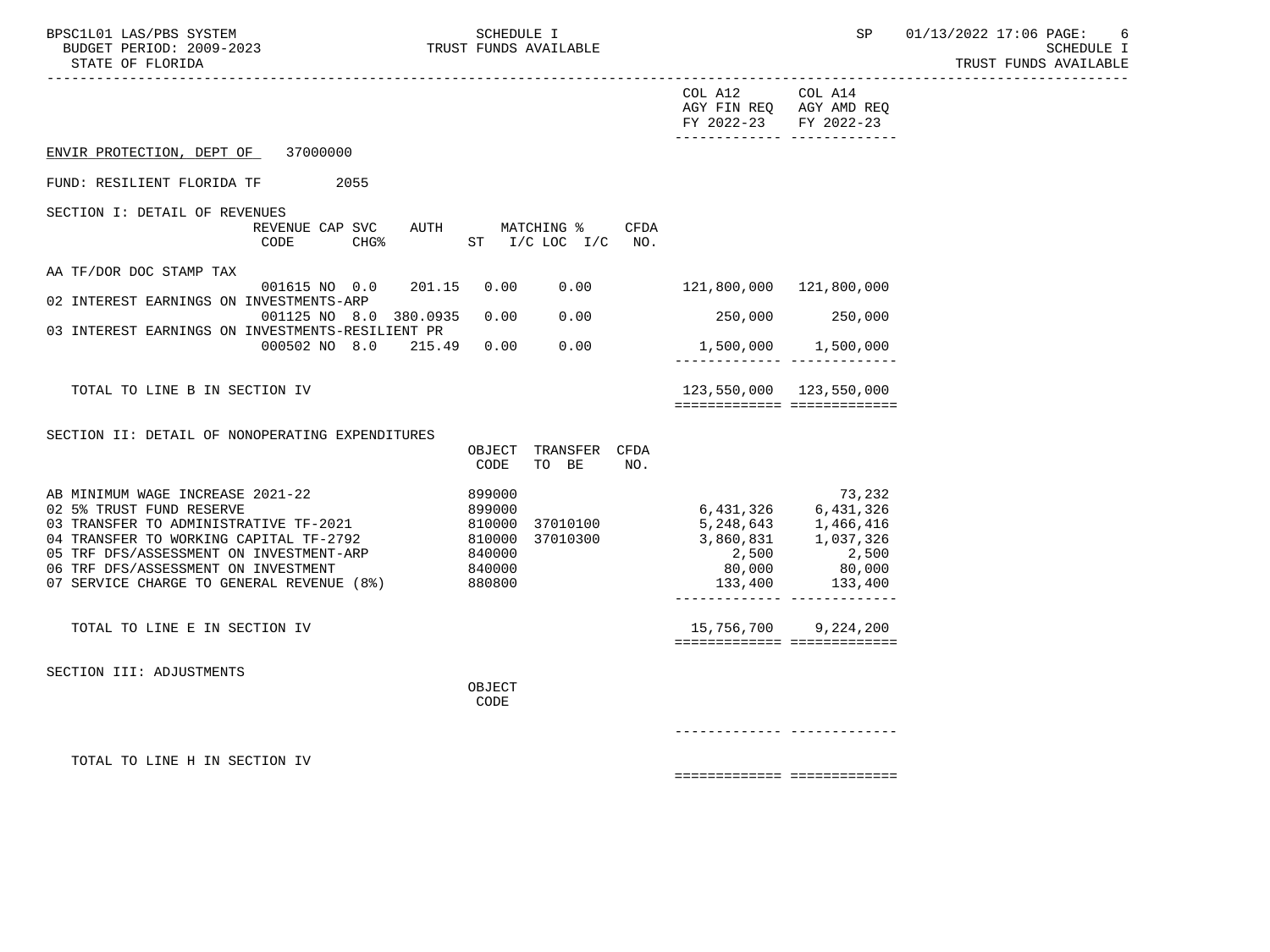| BPSC1L01 LAS/PBS SYSTEM<br>BUDGET PERIOD: 2009-2023<br>STATE OF FLORIDA                                                                                                                                                                                                                         | SCHEDULE I<br>TRUST FUNDS AVAILABLE<br>__________________________________                              |                                                                                                                         |                                                                          | SP 01/13/2022 17:06 PAGE:<br>6<br><b>SCHEDULE I</b><br>TRUST FUNDS AVAILABLE |
|-------------------------------------------------------------------------------------------------------------------------------------------------------------------------------------------------------------------------------------------------------------------------------------------------|--------------------------------------------------------------------------------------------------------|-------------------------------------------------------------------------------------------------------------------------|--------------------------------------------------------------------------|------------------------------------------------------------------------------|
|                                                                                                                                                                                                                                                                                                 |                                                                                                        | COL A12 COL A14<br>AGY FIN REQ AGY AMD REQ<br>FY 2022-23 FY 2022-23<br>________________________________                 |                                                                          |                                                                              |
| ENVIR PROTECTION, DEPT OF 37000000                                                                                                                                                                                                                                                              |                                                                                                        |                                                                                                                         |                                                                          |                                                                              |
| FUND: RESILIENT FLORIDA TF 2055                                                                                                                                                                                                                                                                 |                                                                                                        |                                                                                                                         |                                                                          |                                                                              |
| SECTION I: DETAIL OF REVENUES<br>CODE                                                                                                                                                                                                                                                           | REVENUE CAP SVC AUTH MATCHING %<br>CFDA<br>CHG <sup>2</sup> ST I/C LOC I/C NO.                         |                                                                                                                         |                                                                          |                                                                              |
| AA TF/DOR DOC STAMP TAX<br>001615 NO 0.0<br>02 INTEREST EARNINGS ON INVESTMENTS-ARP                                                                                                                                                                                                             | 201.15<br>0.00<br>0.00                                                                                 | 121,800,000 121,800,000                                                                                                 |                                                                          |                                                                              |
| 001125 NO 8.0 380.0935<br>03 INTEREST EARNINGS ON INVESTMENTS-RESILIENT PR                                                                                                                                                                                                                      | 0.00<br>0.00                                                                                           |                                                                                                                         | 250,000 250,000                                                          |                                                                              |
| 000502 NO 8.0 215.49 0.00                                                                                                                                                                                                                                                                       | 0.00                                                                                                   | 1,500,000 1,500,000                                                                                                     |                                                                          |                                                                              |
| TOTAL TO LINE B IN SECTION IV                                                                                                                                                                                                                                                                   |                                                                                                        | 123,550,000 123,550,000<br>============================                                                                 |                                                                          |                                                                              |
| SECTION II: DETAIL OF NONOPERATING EXPENDITURES                                                                                                                                                                                                                                                 | OBJECT TRANSFER CFDA                                                                                   |                                                                                                                         |                                                                          |                                                                              |
| AB MINIMUM WAGE INCREASE 2021-22<br>02 5% TRUST FUND RESERVE<br>02 J. IROLI I CHE RESERVE TE-2021<br>04 TRANSFER TO WORKING CAPITAL TF-2792<br>05 TRF DFS/ASSESSMENT ON INVESTMENT-ARP 840000<br>06 TRF DFS/ASSESSMENT ON INVESTMENT 840000<br>07 SERVICE CHARGE TO GENERAL REVENUE (8%) 880800 | CODE<br>TO BE<br>NO.<br>899000<br>899000<br>810000 37010100<br>810000 37010300<br>37010100<br>37010300 | $6,431,326$ $6,431,326$<br>5, 248, 643<br>3, 860, 831<br>2, 500<br>3, 860, 831<br>2, 500<br>2, 500<br>80,000<br>133,400 | 73,232<br>2,500<br>80,000<br>133,400<br>________________________________ |                                                                              |
| TOTAL TO LINE E IN SECTION IV                                                                                                                                                                                                                                                                   |                                                                                                        | 15,756,700 9,224,200<br>============================                                                                    |                                                                          |                                                                              |
| SECTION III: ADJUSTMENTS                                                                                                                                                                                                                                                                        | OBJECT<br>CODE                                                                                         |                                                                                                                         |                                                                          |                                                                              |
|                                                                                                                                                                                                                                                                                                 |                                                                                                        |                                                                                                                         |                                                                          |                                                                              |
| TOTAL TO LINE H IN SECTION IV                                                                                                                                                                                                                                                                   |                                                                                                        |                                                                                                                         |                                                                          |                                                                              |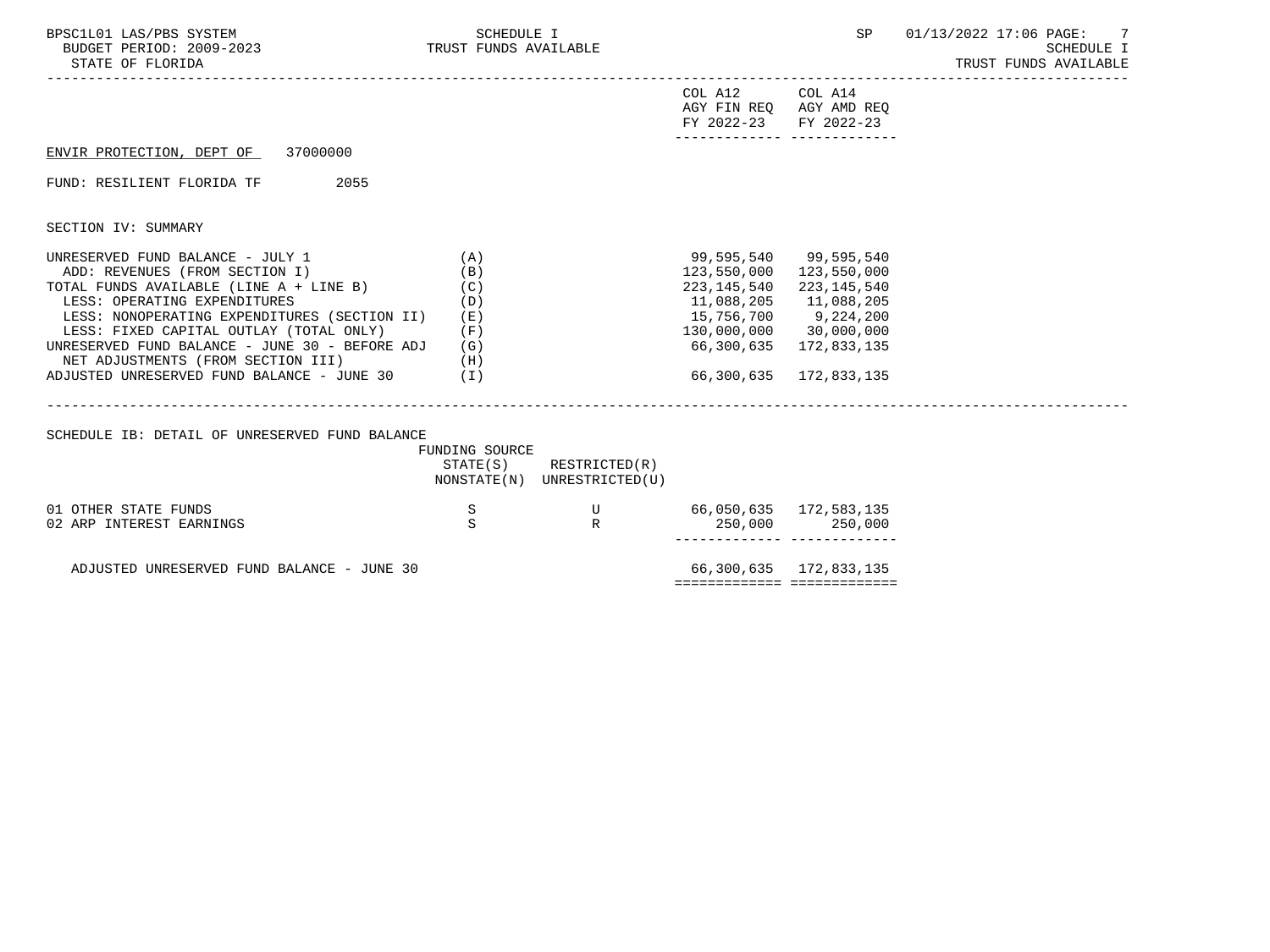| BPSC1L01 LAS/PBS SYSTEM<br>BUDGET PERIOD: 2009-2023 TRUST FUNDS AVAILABLE<br>STATE OF FLORIDA                                                                                                                                                                                                                                                                                        | SCHEDULE I                                             |                                                            |                                                                                                                                               | SP                                                                 | 01/13/2022 17:06 PAGE:<br>-7<br><b>SCHEDULE I</b><br>TRUST FUNDS AVAILABLE |
|--------------------------------------------------------------------------------------------------------------------------------------------------------------------------------------------------------------------------------------------------------------------------------------------------------------------------------------------------------------------------------------|--------------------------------------------------------|------------------------------------------------------------|-----------------------------------------------------------------------------------------------------------------------------------------------|--------------------------------------------------------------------|----------------------------------------------------------------------------|
|                                                                                                                                                                                                                                                                                                                                                                                      |                                                        |                                                            | COL A12 COL A14<br>FY 2022-23 FY 2022-23                                                                                                      | AGY FIN REQ AGY AMD REQ<br>_________________________________       |                                                                            |
| ENVIR PROTECTION, DEPT OF 37000000                                                                                                                                                                                                                                                                                                                                                   |                                                        |                                                            |                                                                                                                                               |                                                                    |                                                                            |
| 2055<br>FUND: RESILIENT FLORIDA TF                                                                                                                                                                                                                                                                                                                                                   |                                                        |                                                            |                                                                                                                                               |                                                                    |                                                                            |
| SECTION IV: SUMMARY                                                                                                                                                                                                                                                                                                                                                                  |                                                        |                                                            |                                                                                                                                               |                                                                    |                                                                            |
| UNRESERVED FUND BALANCE - JULY 1<br>ADD: REVENUES (FROM SECTION I)<br>TOTAL FUNDS AVAILABLE (LINE A + LINE B)<br>LESS: OPERATING EXPENDITURES<br>LESS: NONOPERATING EXPENDITURES (SECTION II)<br>LESS: FIXED CAPITAL OUTLAY (TOTAL ONLY)<br>UNRESERVED FUND BALANCE - JUNE 30 - BEFORE ADJ<br>NET ADJUSTMENTS (FROM SECTION III)<br>ADJUSTED UNRESERVED FUND BALANCE - JUNE 30 $(1)$ | (A)<br>(B)<br>(C)<br>(D)<br>( E )<br>(F)<br>(G)<br>(H) |                                                            | 99,595,540 99,595,540<br>123,550,000 123,550,000<br>223,145,540<br>11,088,205<br>15,756,700 9,224,200<br>130,000,000 30,000,000<br>66,300,635 | 223,145,540<br>11,088,205<br>172,833,135<br>66,300,635 172,833,135 |                                                                            |
| SCHEDULE IB: DETAIL OF UNRESERVED FUND BALANCE                                                                                                                                                                                                                                                                                                                                       | FUNDING SOURCE                                         | $STATE(S)$ RESTRICTED $(R)$<br>NONSTATE(N) UNRESTRICTED(U) |                                                                                                                                               |                                                                    |                                                                            |
| 01 OTHER STATE FUNDS<br>02 ARP INTEREST EARNINGS                                                                                                                                                                                                                                                                                                                                     | S<br>S                                                 | U<br>$\mathbb{R}$                                          | 66,050,635 172,583,135                                                                                                                        | 250,000 250,000<br>------------ --------------                     |                                                                            |
| ADJUSTED UNRESERVED FUND BALANCE - JUNE 30                                                                                                                                                                                                                                                                                                                                           |                                                        |                                                            |                                                                                                                                               | 66,300,635 172,833,135<br>============================             |                                                                            |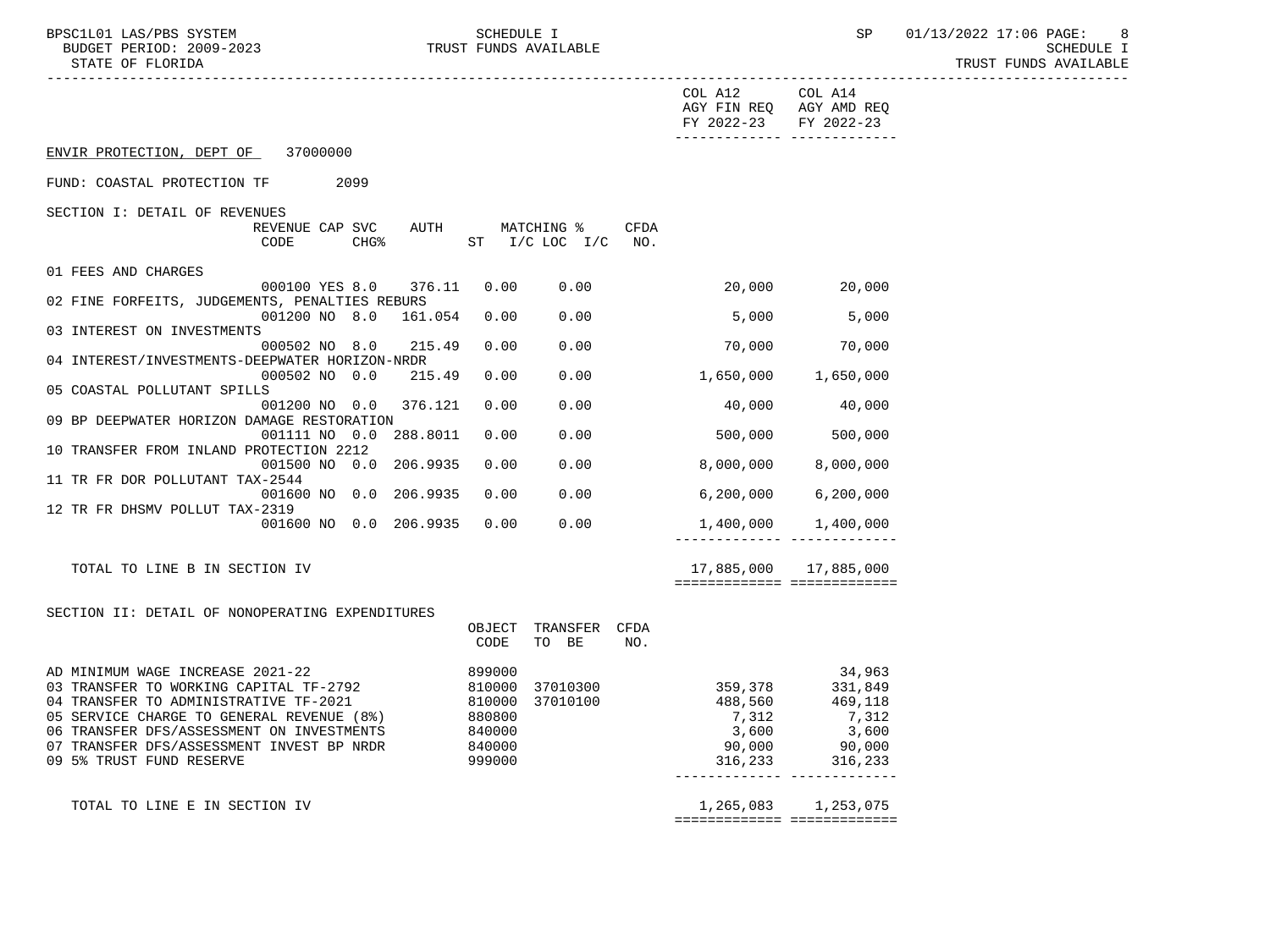BPSC1L01 LAS/PBS SYSTEM SCHEDULE I SCHEDULE I SP 01/13/2022 17:06 PAGE: 8<br>BUDGET PERIOD: 2009–2023 TRUST FUNDS AVAILABLE

TRUST FUNDS AVAILABLE

|                                                                                                                                                                                                                                                                                        |                                                                              |                                       |             | COL A12<br>AGY FIN REQ AGY AMD REQ<br>FY 2022-23           | COL A14<br>FY 2022-23                                               |  |
|----------------------------------------------------------------------------------------------------------------------------------------------------------------------------------------------------------------------------------------------------------------------------------------|------------------------------------------------------------------------------|---------------------------------------|-------------|------------------------------------------------------------|---------------------------------------------------------------------|--|
| ENVIR PROTECTION, DEPT OF 37000000                                                                                                                                                                                                                                                     |                                                                              |                                       |             |                                                            | -------------- --------------                                       |  |
| FUND: COASTAL PROTECTION TF 2099                                                                                                                                                                                                                                                       |                                                                              |                                       |             |                                                            |                                                                     |  |
| SECTION I: DETAIL OF REVENUES<br>REVENUE CAP SVC<br>CHG%<br>CODE                                                                                                                                                                                                                       |                                                                              | AUTH MATCHING %<br>ST I/C LOC I/C NO. | <b>CFDA</b> |                                                            |                                                                     |  |
| 01 FEES AND CHARGES                                                                                                                                                                                                                                                                    |                                                                              |                                       |             |                                                            |                                                                     |  |
| 000100 YES 8.0 376.11<br>02 FINE FORFEITS, JUDGEMENTS, PENALTIES REBURS                                                                                                                                                                                                                | 0.00                                                                         | 0.00                                  |             | $20,000$ $20,000$                                          |                                                                     |  |
| 001200 NO 8.0 161.054                                                                                                                                                                                                                                                                  | 0.00                                                                         | 0.00                                  |             | 5,000                                                      | 5,000                                                               |  |
| 03 INTEREST ON INVESTMENTS<br>000502 NO 8.0 215.49                                                                                                                                                                                                                                     | 0.00                                                                         | 0.00                                  |             |                                                            | 70,000 70,000                                                       |  |
| 04 INTEREST/INVESTMENTS-DEEPWATER HORIZON-NRDR<br>000502 NO 0.0<br>215.49                                                                                                                                                                                                              | 0.00                                                                         | 0.00                                  |             | 1,650,000 1,650,000                                        |                                                                     |  |
| 05 COASTAL POLLUTANT SPILLS<br>001200 NO 0.0 376.121                                                                                                                                                                                                                                   | 0.00                                                                         | 0.00                                  |             |                                                            | 40,000 40,000                                                       |  |
| 09 BP DEEPWATER HORIZON DAMAGE RESTORATION<br>001111 NO 0.0 288.8011                                                                                                                                                                                                                   | 0.00                                                                         | 0.00                                  |             | 500,000 500,000                                            |                                                                     |  |
| 10 TRANSFER FROM INLAND PROTECTION 2212<br>001500 NO 0.0 206.9935 0.00                                                                                                                                                                                                                 |                                                                              |                                       |             | $0.00$ 8,000,000                                           | 8,000,000                                                           |  |
| 11 TR FR DOR POLLUTANT TAX-2544                                                                                                                                                                                                                                                        |                                                                              |                                       |             |                                                            |                                                                     |  |
| 001600 NO 0.0 206.9935<br>12 TR FR DHSMV POLLUT TAX-2319                                                                                                                                                                                                                               | 0.00                                                                         |                                       | 0.00        | 6,200,000                                                  | 6, 200, 000                                                         |  |
| 001600 NO 0.0 206.9935                                                                                                                                                                                                                                                                 |                                                                              | 0.00 0.00                             |             |                                                            | $1,400,000$ $1,400,000$                                             |  |
| TOTAL TO LINE B IN SECTION IV                                                                                                                                                                                                                                                          |                                                                              |                                       |             |                                                            | 17,885,000 17,885,000<br>============================               |  |
| SECTION II: DETAIL OF NONOPERATING EXPENDITURES                                                                                                                                                                                                                                        |                                                                              |                                       |             |                                                            |                                                                     |  |
|                                                                                                                                                                                                                                                                                        | OBJECT<br>CODE                                                               | TRANSFER CFDA<br>TO BE                | NO.         |                                                            |                                                                     |  |
| AD MINIMUM WAGE INCREASE 2021-22<br>03 TRANSFER TO WORKING CAPITAL TF-2792<br>04 TRANSFER TO ADMINISTRATIVE TF-2021<br>05 SERVICE CHARGE TO GENERAL REVENUE (8%)<br>06 TRANSFER DFS/ASSESSMENT ON INVESTMENTS<br>07 TRANSFER DFS/ASSESSMENT INVEST BP NRDR<br>09 5% TRUST FUND RESERVE | 899000<br>810000<br>810000<br>810000<br>880800<br>840000<br>840000<br>999000 | 37010300<br>37010100                  |             | 359, 378<br>488,560<br>7,312<br>3,600<br>90,000<br>316,233 | 34,963<br>331,849<br>469,118<br>7,312<br>3,600<br>90,000<br>316,233 |  |
| TOTAL TO LINE E IN SECTION IV                                                                                                                                                                                                                                                          |                                                                              |                                       |             |                                                            | 1,265,083 1,253,075<br>============================                 |  |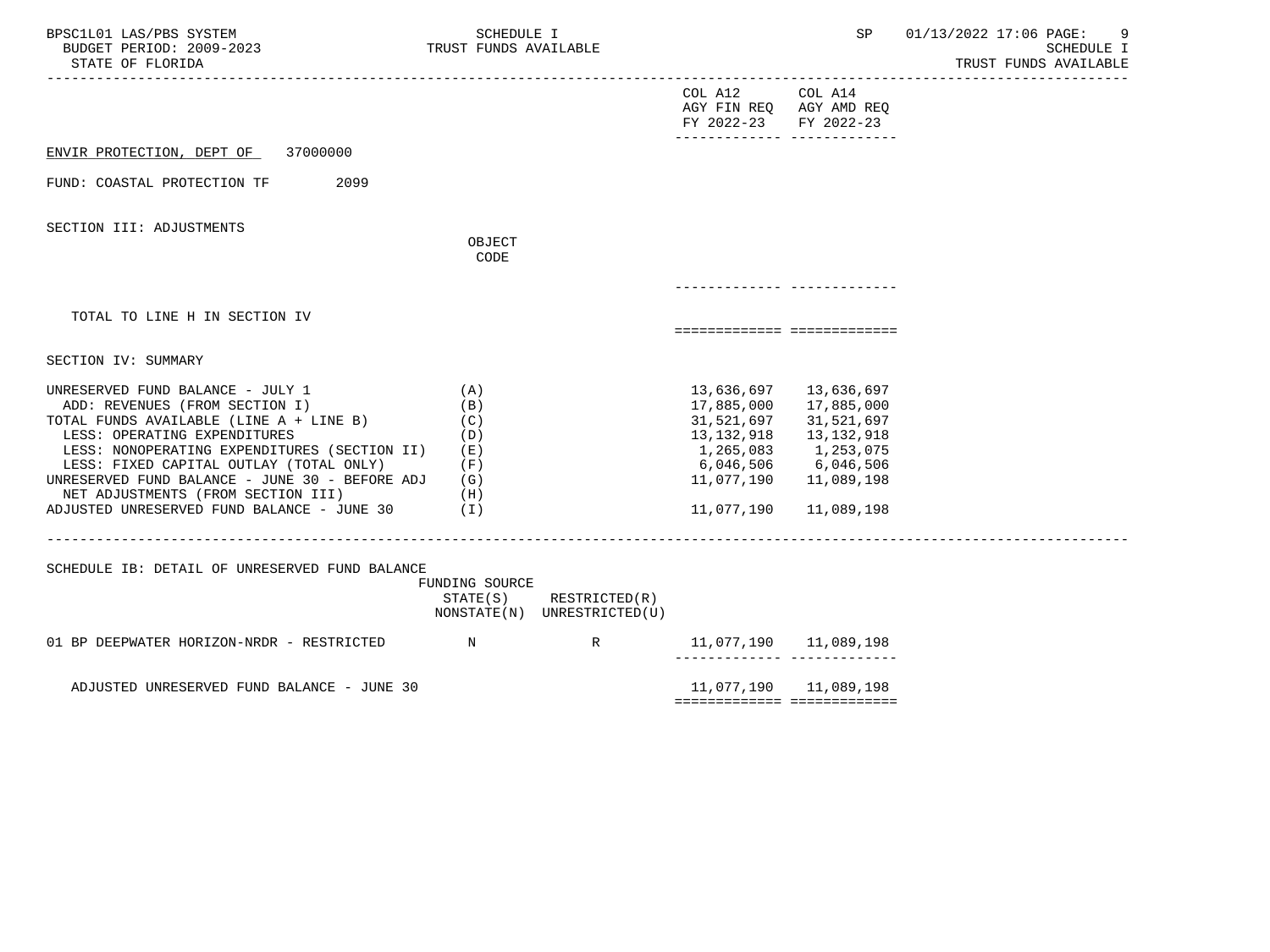| BPSC1L01 LAS/PBS SYSTEM<br>BUDGET PERIOD: 2009-2023<br>STATE OF FLORIDA                                                                                                                                                                                                                                                                                                        | SCHEDULE I<br>TRUST FUNDS AVAILABLE                                |                                              |                                                                                                         | SP                                                                                                      | 01/13/2022 17:06 PAGE:<br>SCHEDULE I<br>TRUST FUNDS AVAILABLE |
|--------------------------------------------------------------------------------------------------------------------------------------------------------------------------------------------------------------------------------------------------------------------------------------------------------------------------------------------------------------------------------|--------------------------------------------------------------------|----------------------------------------------|---------------------------------------------------------------------------------------------------------|---------------------------------------------------------------------------------------------------------|---------------------------------------------------------------|
|                                                                                                                                                                                                                                                                                                                                                                                |                                                                    |                                              | COL A12 COL A14<br>AGY FIN REQ AGY AMD REQ<br>FY 2022-23<br>-------------- --------------               | FY 2022-23                                                                                              |                                                               |
| ENVIR PROTECTION, DEPT OF<br>37000000                                                                                                                                                                                                                                                                                                                                          |                                                                    |                                              |                                                                                                         |                                                                                                         |                                                               |
| FUND: COASTAL PROTECTION TF<br>2099                                                                                                                                                                                                                                                                                                                                            |                                                                    |                                              |                                                                                                         |                                                                                                         |                                                               |
| SECTION III: ADJUSTMENTS                                                                                                                                                                                                                                                                                                                                                       |                                                                    |                                              |                                                                                                         |                                                                                                         |                                                               |
|                                                                                                                                                                                                                                                                                                                                                                                | OBJECT<br>CODE                                                     |                                              |                                                                                                         |                                                                                                         |                                                               |
|                                                                                                                                                                                                                                                                                                                                                                                |                                                                    |                                              |                                                                                                         |                                                                                                         |                                                               |
| TOTAL TO LINE H IN SECTION IV                                                                                                                                                                                                                                                                                                                                                  |                                                                    |                                              | ============================                                                                            |                                                                                                         |                                                               |
| SECTION IV: SUMMARY                                                                                                                                                                                                                                                                                                                                                            |                                                                    |                                              |                                                                                                         |                                                                                                         |                                                               |
| UNRESERVED FUND BALANCE - JULY 1<br>ADD: REVENUES (FROM SECTION I)<br>TOTAL FUNDS AVAILABLE (LINE A + LINE B)<br>LESS: OPERATING EXPENDITURES<br>LESS: NONOPERATING EXPENDITURES (SECTION II)<br>LESS: FIXED CAPITAL OUTLAY (TOTAL ONLY)<br>UNRESERVED FUND BALANCE - JUNE 30 - BEFORE ADJ<br>NET ADJUSTMENTS (FROM SECTION III)<br>ADJUSTED UNRESERVED FUND BALANCE - JUNE 30 | (A)<br>(B)<br>(C)<br>(D)<br>( E )<br>(F)<br>(G)<br>(H)<br>$(\top)$ |                                              | 13,636,697<br>17,885,000<br>31,521,697<br>13,132,918<br>6,046,506 6,046,506<br>11,077,190<br>11,077,190 | 13,636,697<br>17,885,000<br>31,521,697<br>13,132,918<br>1,265,083 1,253,075<br>11,089,198<br>11,089,198 |                                                               |
| SCHEDULE IB: DETAIL OF UNRESERVED FUND BALANCE                                                                                                                                                                                                                                                                                                                                 | FUNDING SOURCE<br>STATE(S)                                         | RESTRICTED(R)<br>NONSTATE(N) UNRESTRICTED(U) |                                                                                                         |                                                                                                         |                                                               |
| 01 BP DEEPWATER HORIZON-NRDR - RESTRICTED N                                                                                                                                                                                                                                                                                                                                    |                                                                    | R                                            | 11,077,190   11,089,198<br>______________ _____________                                                 |                                                                                                         |                                                               |
| ADJUSTED UNRESERVED FUND BALANCE - JUNE 30                                                                                                                                                                                                                                                                                                                                     |                                                                    |                                              |                                                                                                         | 11,077,190 11,089,198                                                                                   |                                                               |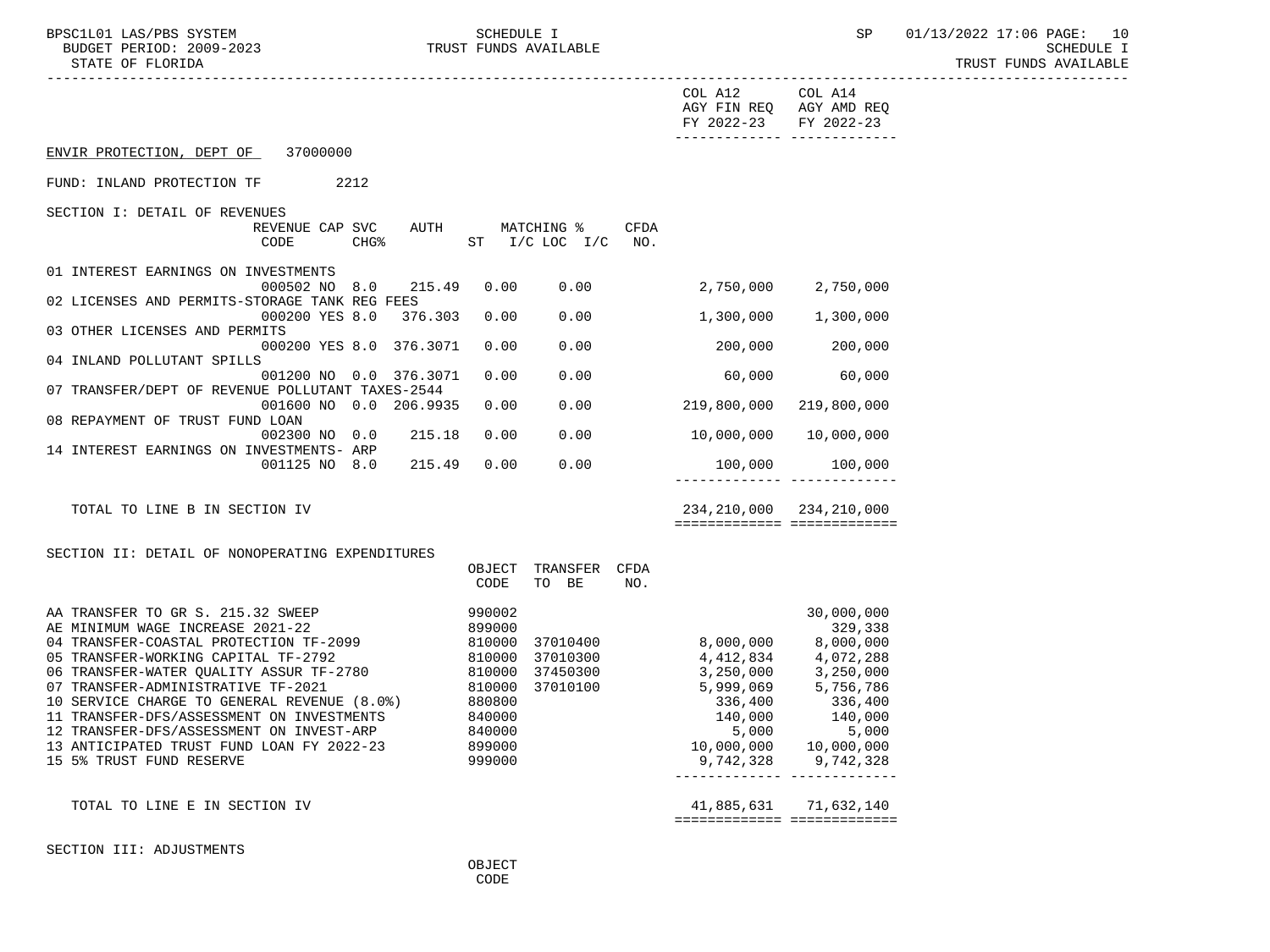|                                                                                                                                                                                                                                                                                                                                                                                                                                                                                                    |                                                                              |                                                                   |      | COL A12 COL A14<br>AGY FIN REQ AGY AMD REQ<br>FY 2022-23                                                                          | FY 2022-23<br>-------------- --------------                                                                                                              |
|----------------------------------------------------------------------------------------------------------------------------------------------------------------------------------------------------------------------------------------------------------------------------------------------------------------------------------------------------------------------------------------------------------------------------------------------------------------------------------------------------|------------------------------------------------------------------------------|-------------------------------------------------------------------|------|-----------------------------------------------------------------------------------------------------------------------------------|----------------------------------------------------------------------------------------------------------------------------------------------------------|
| ENVIR PROTECTION, DEPT OF 37000000                                                                                                                                                                                                                                                                                                                                                                                                                                                                 |                                                                              |                                                                   |      |                                                                                                                                   |                                                                                                                                                          |
| FUND: INLAND PROTECTION TF<br>2212                                                                                                                                                                                                                                                                                                                                                                                                                                                                 |                                                                              |                                                                   |      |                                                                                                                                   |                                                                                                                                                          |
| SECTION I: DETAIL OF REVENUES<br>REVENUE CAP SVC<br>CODE<br><b>CHG%</b>                                                                                                                                                                                                                                                                                                                                                                                                                            |                                                                              | AUTH MATCHING %<br>ST I/C LOC I/C NO.                             | CFDA |                                                                                                                                   |                                                                                                                                                          |
| 01 INTEREST EARNINGS ON INVESTMENTS<br>000502 NO 8.0 215.49                                                                                                                                                                                                                                                                                                                                                                                                                                        |                                                                              | 0.00 0.00                                                         |      | 2,750,000 2,750,000                                                                                                               |                                                                                                                                                          |
| 02 LICENSES AND PERMITS-STORAGE TANK REG FEES<br>000200 YES 8.0<br>376.303                                                                                                                                                                                                                                                                                                                                                                                                                         | 0.00                                                                         | 0.00                                                              |      |                                                                                                                                   | 1,300,000 1,300,000                                                                                                                                      |
| 03 OTHER LICENSES AND PERMITS<br>000200 YES 8.0 376.3071                                                                                                                                                                                                                                                                                                                                                                                                                                           | 0.00                                                                         | 0.00                                                              |      | 200,000                                                                                                                           | 200,000                                                                                                                                                  |
| 04 INLAND POLLUTANT SPILLS<br>001200 NO 0.0 376.3071<br>07 TRANSFER/DEPT OF REVENUE POLLUTANT TAXES-2544                                                                                                                                                                                                                                                                                                                                                                                           | 0.00                                                                         | 0.00                                                              |      | 60,000                                                                                                                            | 60,000                                                                                                                                                   |
| 001600 NO 0.0 206.9935<br>08 REPAYMENT OF TRUST FUND LOAN                                                                                                                                                                                                                                                                                                                                                                                                                                          | 0.00                                                                         | 0.00                                                              |      | 219,800,000                                                                                                                       | 219,800,000                                                                                                                                              |
| 215.18<br>002300 NO 0.0<br>14 INTEREST EARNINGS ON INVESTMENTS- ARP                                                                                                                                                                                                                                                                                                                                                                                                                                | 0.00                                                                         | 0.00                                                              |      | 10,000,000                                                                                                                        | 10,000,000                                                                                                                                               |
| 001125 NO 8.0<br>215.49                                                                                                                                                                                                                                                                                                                                                                                                                                                                            | 0.00                                                                         | 0.00                                                              |      | 100,000                                                                                                                           | 100,000                                                                                                                                                  |
| TOTAL TO LINE B IN SECTION IV                                                                                                                                                                                                                                                                                                                                                                                                                                                                      |                                                                              |                                                                   |      |                                                                                                                                   | 234, 210, 000 234, 210, 000<br>============================                                                                                              |
| SECTION II: DETAIL OF NONOPERATING EXPENDITURES                                                                                                                                                                                                                                                                                                                                                                                                                                                    |                                                                              |                                                                   |      |                                                                                                                                   |                                                                                                                                                          |
|                                                                                                                                                                                                                                                                                                                                                                                                                                                                                                    | CODE                                                                         | OBJECT TRANSFER CFDA<br>TO BE                                     | NO.  |                                                                                                                                   |                                                                                                                                                          |
| AA TRANSFER TO GR S. 215.32 SWEEP<br>AE MINIMUM WAGE INCREASE 2021-22<br>04 TRANSFER-COASTAL PROTECTION TF-2099<br>04 TRANSFER-COASTAL PROTECTION TF-2099<br>05 TRANSFER-WORKING CAPITAL TF-2792<br>06 TRANSFER-WATER QUALITY ASSUR TF-2780<br>07 TRANSFER-ADMINISTRATIVE TF-2021<br>10 SERVICE CHARGE TO GENERAL REVENUE (8.0%)<br>11 TRANSFER-DFS/ASSESSMENT ON INVESTMENTS<br>12 TRANSFER-DFS/ASSESSMENT ON INVEST-ARP<br>13 ANTICIPATED TRUST FUND LOAN FY 2022-23<br>15 5% TRUST FUND RESERVE | 990002<br>899000<br>810000<br>880800<br>840000<br>840000<br>899000<br>999000 | 810000 37010400<br>810000 37010300<br>37450300<br>810000 37010100 |      | 8,000,000<br>3,250,000         3,250,000<br>5,999,069         5,756,786<br>336,400<br>140,000<br>5,000<br>10,000,000<br>9,742,328 | 30,000,000<br>329,338<br>8,000,000<br>4,412,834 4,072,288<br>336,400<br>140,000<br>5,000<br>10,000,000<br>9,742,328<br>_________________________________ |
| TOTAL TO LINE E IN SECTION IV                                                                                                                                                                                                                                                                                                                                                                                                                                                                      |                                                                              |                                                                   |      |                                                                                                                                   | 41,885,631 71,632,140<br>============================                                                                                                    |
|                                                                                                                                                                                                                                                                                                                                                                                                                                                                                                    |                                                                              |                                                                   |      |                                                                                                                                   |                                                                                                                                                          |

SECTION III: ADJUSTMENTS

**OBJECT CODE**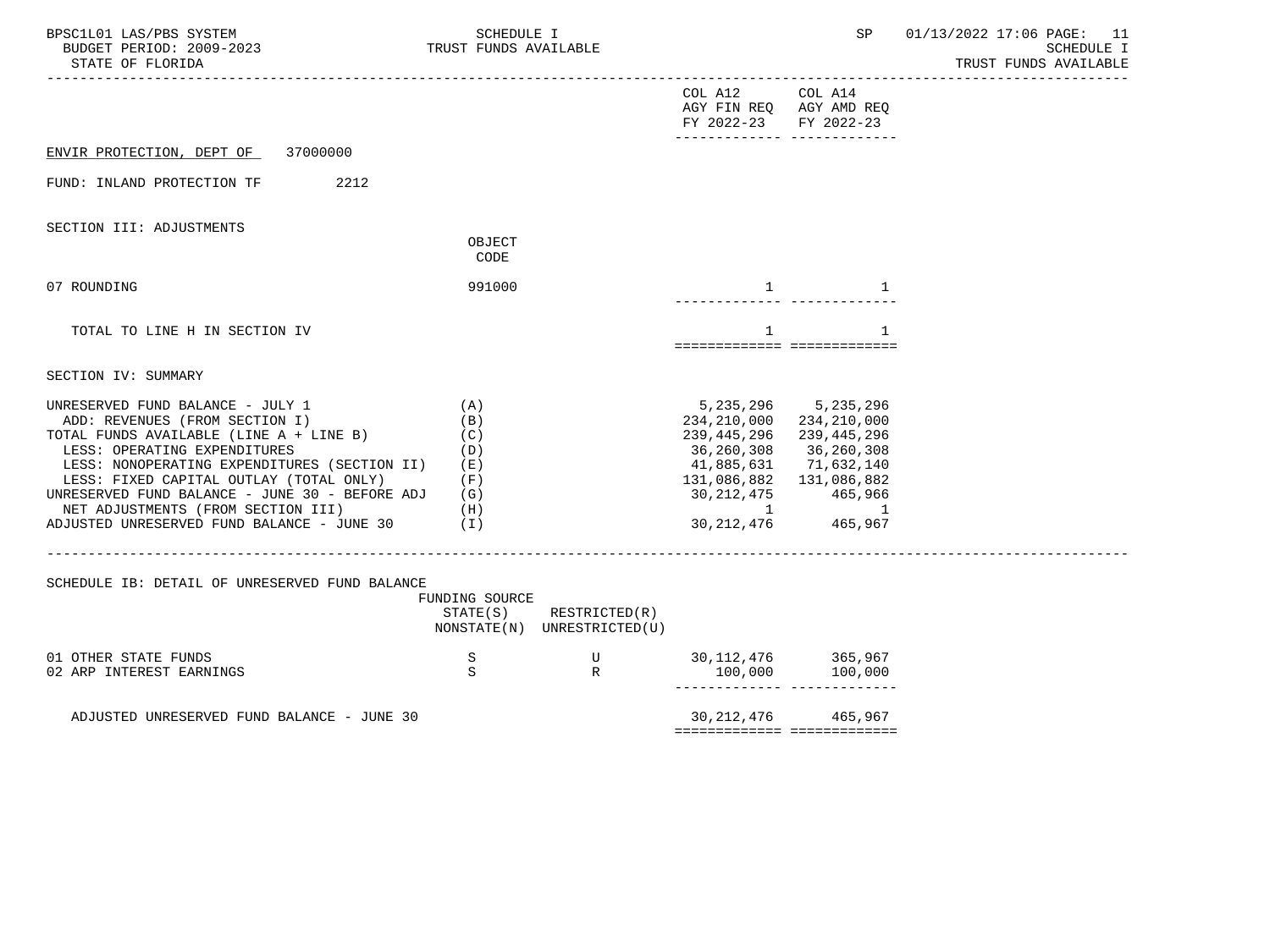| BPSC1L01 LAS/PBS SYSTEM<br>BUDGET PERIOD: 2009-2023<br>STATE OF FLORIDA                                                                                                                                                                                                                                                                                                                             | SCHEDULE I<br>TRUST FUNDS AVAILABLE |                                                            |                                                                                                            | SP                                                                                                                                                           | 01/13/2022 17:06 PAGE: 11<br>SCHEDULE I<br>TRUST FUNDS AVAILABLE |
|-----------------------------------------------------------------------------------------------------------------------------------------------------------------------------------------------------------------------------------------------------------------------------------------------------------------------------------------------------------------------------------------------------|-------------------------------------|------------------------------------------------------------|------------------------------------------------------------------------------------------------------------|--------------------------------------------------------------------------------------------------------------------------------------------------------------|------------------------------------------------------------------|
|                                                                                                                                                                                                                                                                                                                                                                                                     |                                     |                                                            | COL A12 COL A14<br>AGY FIN REQ AGY AMD REQ<br>FY 2022-23 FY 2022-23                                        |                                                                                                                                                              |                                                                  |
| ENVIR PROTECTION, DEPT OF 37000000                                                                                                                                                                                                                                                                                                                                                                  |                                     |                                                            |                                                                                                            |                                                                                                                                                              |                                                                  |
| 2212<br>FUND: INLAND PROTECTION TF                                                                                                                                                                                                                                                                                                                                                                  |                                     |                                                            |                                                                                                            |                                                                                                                                                              |                                                                  |
| SECTION III: ADJUSTMENTS                                                                                                                                                                                                                                                                                                                                                                            | OBJECT<br>CODE                      |                                                            |                                                                                                            |                                                                                                                                                              |                                                                  |
| 07 ROUNDING                                                                                                                                                                                                                                                                                                                                                                                         | 991000                              |                                                            | $\mathbf{1}$                                                                                               | 1                                                                                                                                                            |                                                                  |
| TOTAL TO LINE H IN SECTION IV                                                                                                                                                                                                                                                                                                                                                                       |                                     |                                                            | 1                                                                                                          | $\mathbf{1}$                                                                                                                                                 |                                                                  |
| SECTION IV: SUMMARY                                                                                                                                                                                                                                                                                                                                                                                 |                                     |                                                            |                                                                                                            |                                                                                                                                                              |                                                                  |
| UNRESERVED FUND BALANCE - JULY 1<br>ADD: REVENUES (FROM SECTION I)<br>TOTAL FUNDS AVAILABLE (LINE $A + LINE B$ ) (C)<br>LESS: OPERATING EXPENDITURES<br>LESS: NONOPERATING EXPENDITURES (SECTION II) (E)<br>LESS: FIXED CAPITAL OUTLAY (TOTAL ONLY)<br>UNRESERVED FUND BALANCE - JUNE 30 - BEFORE ADJ $(G)$<br>NET ADJUSTMENTS (FROM SECTION III)<br>ADJUSTED UNRESERVED FUND BALANCE - JUNE 30 (I) | (A)<br>(B)<br>(D)<br>(F)<br>(H)     |                                                            | 234,210,000<br>239,445,296<br>36,260,308<br>41,885,631 71,632,140<br>131,086,882 131,086,882<br>30,212,475 | 5, 235, 296 5, 235, 296<br>234,210,000<br>239,445,296<br>36,260,308<br>$\begin{array}{cc} 30,212,475 & 465,966 \\ 1 & 1 \\ 30,212,476 & 465,967 \end{array}$ |                                                                  |
| SCHEDULE IB: DETAIL OF UNRESERVED FUND BALANCE                                                                                                                                                                                                                                                                                                                                                      | FUNDING SOURCE                      | $STATE(S)$ RESTRICTED $(R)$<br>NONSTATE(N) UNRESTRICTED(U) |                                                                                                            |                                                                                                                                                              |                                                                  |
| 01 OTHER STATE FUNDS<br>02 ARP INTEREST EARNINGS                                                                                                                                                                                                                                                                                                                                                    | S<br>S                              | $\mathbb{R}$                                               | $\begin{array}{cccc}\nU & 30,112,476 & 365,967 \\ R & 100,000 & 100,000\n\end{array}$                      | ------------ --------------                                                                                                                                  |                                                                  |
| ADJUSTED UNRESERVED FUND BALANCE - JUNE 30                                                                                                                                                                                                                                                                                                                                                          |                                     |                                                            |                                                                                                            | 30, 212, 476 465, 967<br>============================                                                                                                        |                                                                  |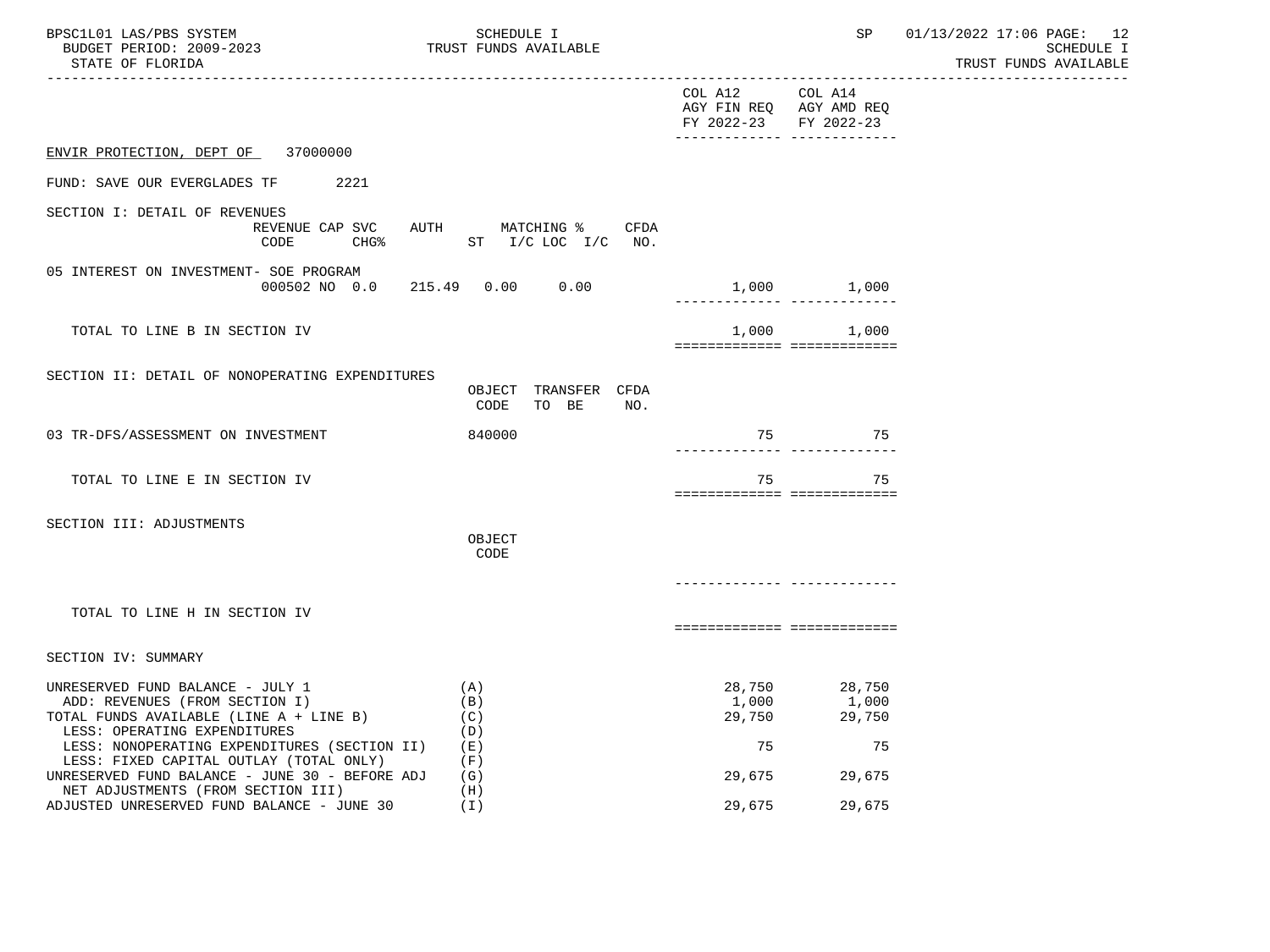| BPSC1L01 LAS/PBS SYSTEM<br>BUDGET PERIOD: 2009-2023<br>STATE OF FLORIDA                                                                                                                           | SCHEDULE I<br>TRUST FUNDS AVAILABLE                             |                       | SP                                                                                     | 01/13/2022 17:06 PAGE: 12<br>SCHEDULE I<br>TRUST FUNDS AVAILABLE |
|---------------------------------------------------------------------------------------------------------------------------------------------------------------------------------------------------|-----------------------------------------------------------------|-----------------------|----------------------------------------------------------------------------------------|------------------------------------------------------------------|
|                                                                                                                                                                                                   |                                                                 | COL A12 COL A14       | ----------------------------------<br>AGY FIN REQ AGY AMD REQ<br>FY 2022-23 FY 2022-23 |                                                                  |
| ENVIR PROTECTION, DEPT OF 37000000                                                                                                                                                                |                                                                 |                       | _________________________________                                                      |                                                                  |
| FUND: SAVE OUR EVERGLADES TF 2221                                                                                                                                                                 |                                                                 |                       |                                                                                        |                                                                  |
| SECTION I: DETAIL OF REVENUES<br>CODE                                                                                                                                                             | REVENUE CAP SVC AUTH MATCHING % CFDA<br>CHG% ST I/C LOC I/C NO. |                       |                                                                                        |                                                                  |
| 05 INTEREST ON INVESTMENT- SOE PROGRAM                                                                                                                                                            | 000502 NO 0.0 215.49 0.00 0.00                                  |                       | 1,000 1,000<br>________________________________                                        |                                                                  |
| TOTAL TO LINE B IN SECTION IV                                                                                                                                                                     |                                                                 |                       | 1,000 1,000<br>=============================                                           |                                                                  |
| SECTION II: DETAIL OF NONOPERATING EXPENDITURES                                                                                                                                                   | OBJECT TRANSFER CFDA<br>CODE<br>TO BE<br>NO.                    |                       |                                                                                        |                                                                  |
| 03 TR-DFS/ASSESSMENT ON INVESTMENT                                                                                                                                                                | 840000                                                          |                       | 75 75                                                                                  |                                                                  |
| TOTAL TO LINE E IN SECTION IV                                                                                                                                                                     |                                                                 | 75                    | 75<br>===========================                                                      |                                                                  |
| SECTION III: ADJUSTMENTS                                                                                                                                                                          | OBJECT<br>CODE                                                  |                       |                                                                                        |                                                                  |
|                                                                                                                                                                                                   |                                                                 |                       |                                                                                        |                                                                  |
| TOTAL TO LINE H IN SECTION IV                                                                                                                                                                     |                                                                 |                       | ===========================                                                            |                                                                  |
| SECTION IV: SUMMARY                                                                                                                                                                               |                                                                 |                       |                                                                                        |                                                                  |
| UNRESERVED FUND BALANCE - JULY 1<br>ADD: REVENUES (FROM SECTION I)<br>TOTAL FUNDS AVAILABLE (LINE A + LINE B)<br>LESS: OPERATING EXPENDITURES<br>LESS: NONOPERATING EXPENDITURES (SECTION II) (E) | (A)<br>(B)<br>(C)<br>(D)                                        | 1,000<br>29,750<br>75 | 28,750 28,750<br>$1,000$<br>29,750<br>75                                               |                                                                  |
| LESS: FIXED CAPITAL OUTLAY (TOTAL ONLY)<br>UNRESERVED FUND BALANCE - JUNE 30 - BEFORE ADJ $(G)$<br>NET ADJUSTMENTS (FROM SECTION III)                                                             | (F)<br>(H)                                                      |                       | 29,675 29,675                                                                          |                                                                  |
| ADJUSTED UNRESERVED FUND BALANCE - JUNE 30                                                                                                                                                        | (T)                                                             | 29,675                | 29,675                                                                                 |                                                                  |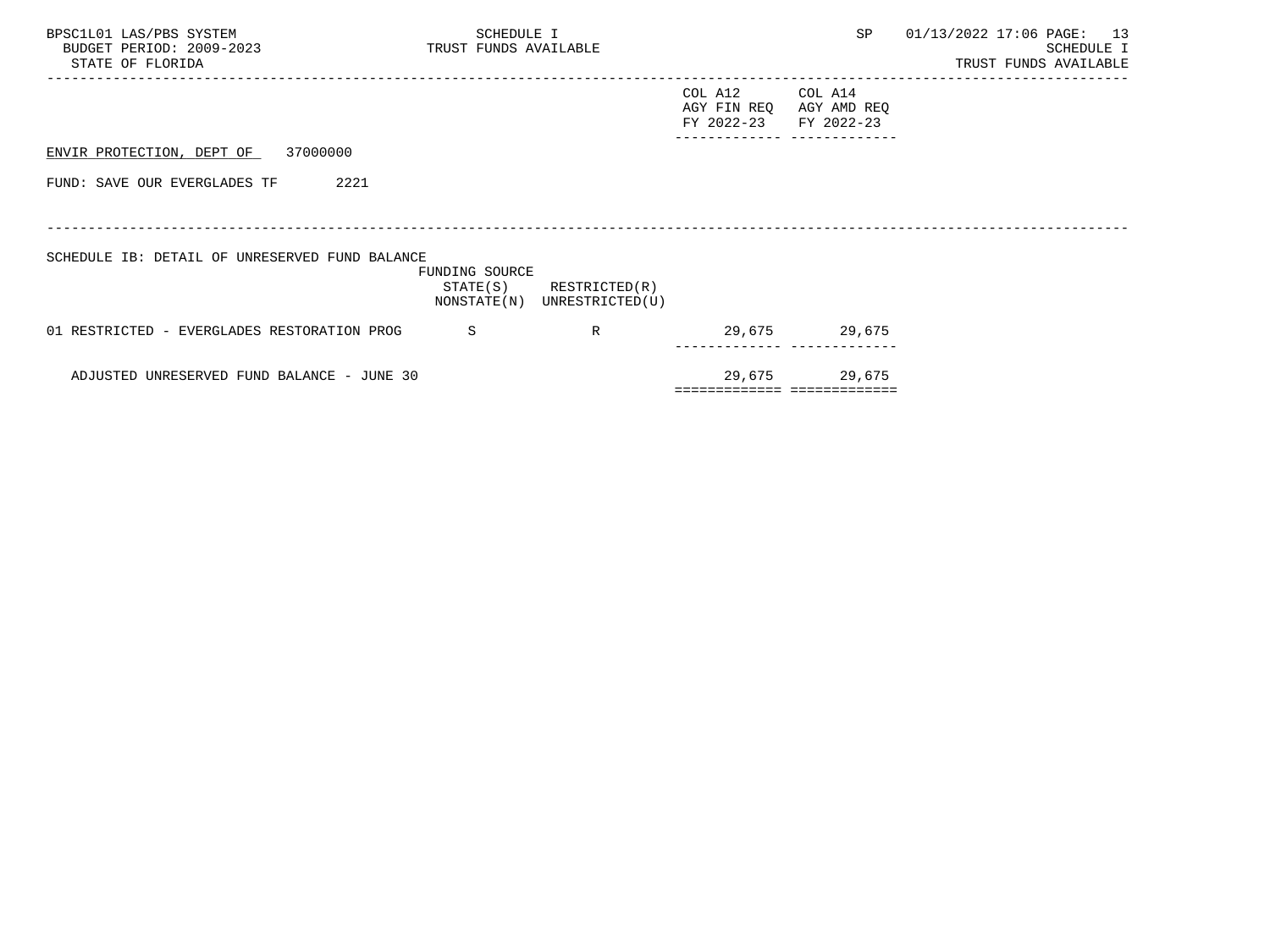| BPSC1L01 LAS/PBS SYSTEM<br>BUDGET PERIOD: 2009-2023 TRUST FUNDS AVAILABLE<br>STATE OF FLORIDA | SCHEDULE I                 |                                              |                                      | SP                                   | 01/13/2022 17:06 PAGE: 13<br>SCHEDULE I<br>TRUST FUNDS AVAILABLE |
|-----------------------------------------------------------------------------------------------|----------------------------|----------------------------------------------|--------------------------------------|--------------------------------------|------------------------------------------------------------------|
|                                                                                               |                            |                                              | COL A12<br>AGY FIN REQ<br>FY 2022-23 | COL A14<br>AGY AMD REQ<br>FY 2022-23 |                                                                  |
| ENVIR PROTECTION, DEPT OF 37000000                                                            |                            |                                              |                                      |                                      |                                                                  |
| 2221<br>FUND: SAVE OUR EVERGLADES TF                                                          |                            |                                              |                                      |                                      |                                                                  |
|                                                                                               |                            |                                              |                                      |                                      |                                                                  |
| SCHEDULE IB: DETAIL OF UNRESERVED FUND BALANCE                                                | FUNDING SOURCE<br>STATE(S) | RESTRICTED(R)<br>NONSTATE(N) UNRESTRICTED(U) |                                      |                                      |                                                                  |
| 01 RESTRICTED - EVERGLADES RESTORATION PROG                                                   | <sub>S</sub>               | R                                            |                                      | 29,675 29,675                        |                                                                  |
| ADJUSTED UNRESERVED FUND BALANCE - JUNE 30                                                    |                            |                                              |                                      | 29,675 29,675                        |                                                                  |
|                                                                                               |                            |                                              | ============================         |                                      |                                                                  |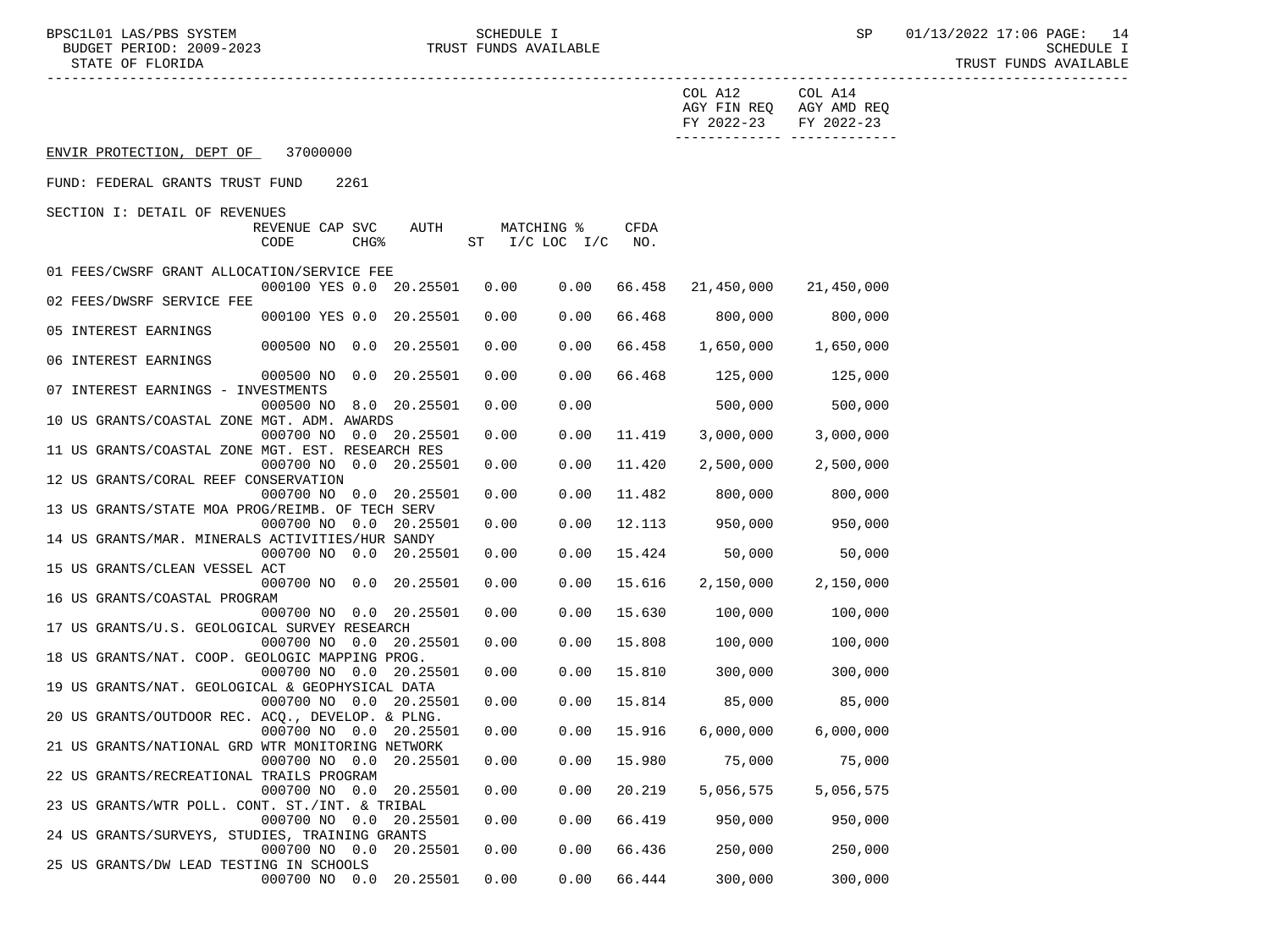BPSC1L01 LAS/PBS SYSTEM SCHEDULE I SCHEDULE I SP 01/13/2022 17:06 PAGE: 14 BUDGET PERIOD: 2009-2023 TRUST FUNDS AVAILABLE SCHEDULE I STATE OF FLORIDA TRUST FUNDS AVAILABLE

|                                                                                          | COL A14<br>COL A12<br>AGY FIN REQ AGY AMD REQ<br>FY 2022-23<br>FY 2022-23 |
|------------------------------------------------------------------------------------------|---------------------------------------------------------------------------|
|                                                                                          | -------------- -------------                                              |
| ENVIR PROTECTION, DEPT OF 37000000                                                       |                                                                           |
| FUND: FEDERAL GRANTS TRUST FUND<br>2261                                                  |                                                                           |
| SECTION I: DETAIL OF REVENUES                                                            |                                                                           |
| AUTH<br>REVENUE CAP SVC<br>MATCHING %                                                    | CFDA                                                                      |
| CODE<br>CHG <sup>8</sup><br>ST I/C LOC I/C NO.                                           |                                                                           |
|                                                                                          |                                                                           |
| 01 FEES/CWSRF GRANT ALLOCATION/SERVICE FEE<br>000100 YES 0.0 20.25501<br>0.00<br>0.00    | 66.458 21,450,000                                                         |
| 02 FEES/DWSRF SERVICE FEE                                                                | 21,450,000                                                                |
| 0.00<br>000100 YES 0.0 20.25501<br>0.00                                                  | 66.468<br>800,000<br>800,000                                              |
| 05 INTEREST EARNINGS                                                                     |                                                                           |
| 000500 NO 0.0 20.25501<br>0.00<br>0.00                                                   | 66.458<br>1,650,000<br>1,650,000                                          |
| 06 INTEREST EARNINGS                                                                     |                                                                           |
| 0.00<br>0.00<br>000500 NO 0.0 20.25501                                                   | 66.468 125,000<br>125,000                                                 |
| 07 INTEREST EARNINGS - INVESTMENTS                                                       |                                                                           |
| 0.00<br>0.00<br>000500 NO 8.0 20.25501                                                   | 500,000<br>500,000                                                        |
| 10 US GRANTS/COASTAL ZONE MGT. ADM. AWARDS                                               |                                                                           |
| 0.00<br>000700 NO 0.0 20.25501<br>0.00                                                   | 3,000,000<br>11.419<br>3,000,000                                          |
| 11 US GRANTS/COASTAL ZONE MGT. EST. RESEARCH RES                                         |                                                                           |
| 000700 NO 0.0 20.25501<br>0.00<br>0.00                                                   | 11.420<br>2,500,000<br>2,500,000                                          |
| 12 US GRANTS/CORAL REEF CONSERVATION                                                     |                                                                           |
| 0.00<br>000700 NO 0.0 20.25501<br>0.00                                                   | 11.482<br>800,000<br>800,000                                              |
| 13 US GRANTS/STATE MOA PROG/REIMB. OF TECH SERV                                          |                                                                           |
| 0.00<br>000700 NO 0.0 20.25501<br>0.00                                                   | 12.113 950,000<br>950,000                                                 |
| 14 US GRANTS/MAR. MINERALS ACTIVITIES/HUR SANDY                                          |                                                                           |
| 000700 NO 0.0 20.25501<br>0.00<br>0.00                                                   | 50,000<br>15.424<br>50,000                                                |
| 15 US GRANTS/CLEAN VESSEL ACT<br>0.00<br>000700 NO 0.0 20.25501<br>0.00                  | 15.616<br>2,150,000<br>2,150,000                                          |
| 16 US GRANTS/COASTAL PROGRAM                                                             |                                                                           |
| 000700 NO 0.0 20.25501<br>0.00<br>0.00                                                   | 15.630<br>100,000<br>100,000                                              |
| 17 US GRANTS/U.S. GEOLOGICAL SURVEY RESEARCH                                             |                                                                           |
| 0.00<br>0.00<br>000700 NO 0.0 20.25501                                                   | 15.808<br>100,000<br>100,000                                              |
| 18 US GRANTS/NAT. COOP. GEOLOGIC MAPPING PROG.                                           |                                                                           |
| 0.00<br>0.00<br>000700 NO 0.0 20.25501                                                   | 15.810<br>300,000<br>300,000                                              |
| 19 US GRANTS/NAT. GEOLOGICAL & GEOPHYSICAL DATA                                          |                                                                           |
| 000700 NO 0.0 20.25501<br>0.00<br>0.00                                                   | 85,000<br>15.814<br>85,000                                                |
| 20 US GRANTS/OUTDOOR REC. ACQ., DEVELOP. & PLNG.                                         |                                                                           |
| 0.00<br>000700 NO 0.0 20.25501<br>0.00                                                   | 15.916<br>6,000,000<br>6,000,000                                          |
| 21 US GRANTS/NATIONAL GRD WTR MONITORING NETWORK                                         |                                                                           |
| 0.00<br>0.00<br>000700 NO 0.0<br>20.25501                                                | 15.980<br>75,000<br>75,000                                                |
| 22 US GRANTS/RECREATIONAL TRAILS PROGRAM                                                 |                                                                           |
| 000700 NO 0.0<br>20.25501<br>0.00<br>0.00                                                | 20.219<br>5,056,575<br>5,056,575                                          |
| 23 US GRANTS/WTR POLL. CONT. ST./INT. & TRIBAL<br>000700 NO 0.0 20.25501<br>0.00<br>0.00 | 66.419<br>950,000<br>950,000                                              |
| 24 US GRANTS/SURVEYS, STUDIES, TRAINING GRANTS                                           |                                                                           |
| 000700 NO 0.0 20.25501<br>0.00<br>0.00                                                   | 66.436<br>250,000<br>250,000                                              |
| 25 US GRANTS/DW LEAD TESTING IN SCHOOLS                                                  |                                                                           |
| 0.00<br>000700 NO 0.0<br>20.25501<br>0.00                                                | 66.444<br>300,000<br>300,000                                              |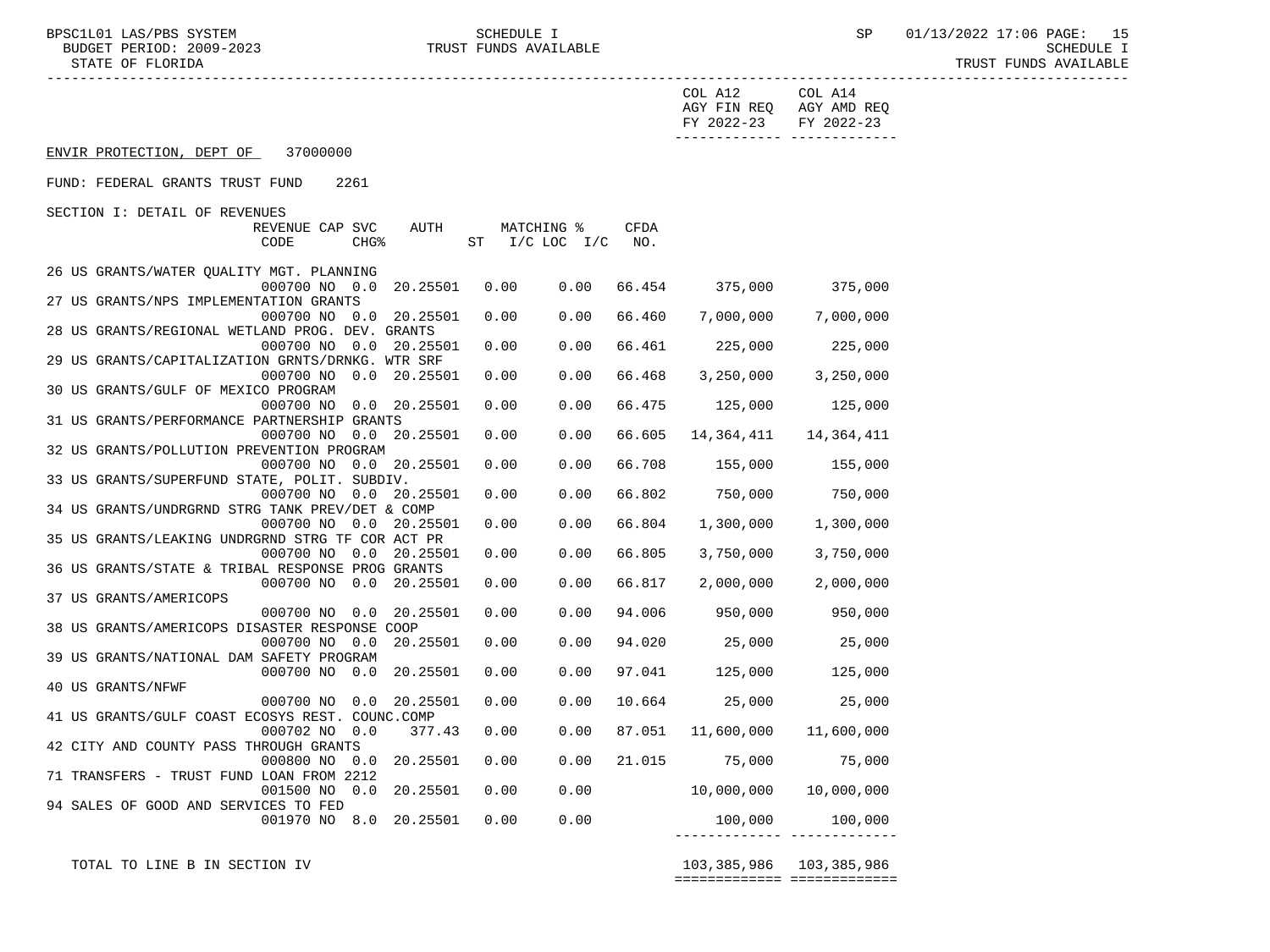|                                                  |                          |        |      |                    |        | COL A12<br>AGY FIN REQ AGY AMD REQ<br>FY 2022-23<br>-------------- -------------- | COL A14<br>FY 2022-23 |
|--------------------------------------------------|--------------------------|--------|------|--------------------|--------|-----------------------------------------------------------------------------------|-----------------------|
| ENVIR PROTECTION, DEPT OF 37000000               |                          |        |      |                    |        |                                                                                   |                       |
| FUND: FEDERAL GRANTS TRUST FUND                  | 2261                     |        |      |                    |        |                                                                                   |                       |
| SECTION I: DETAIL OF REVENUES                    |                          |        |      |                    |        |                                                                                   |                       |
|                                                  | REVENUE CAP SVC          | AUTH   |      | MATCHING %         | CFDA   |                                                                                   |                       |
|                                                  | CODE<br>CHG <sub>8</sub> |        |      | ST I/C LOC I/C NO. |        |                                                                                   |                       |
|                                                  |                          |        |      |                    |        |                                                                                   |                       |
| 26 US GRANTS/WATER QUALITY MGT. PLANNING         |                          |        |      |                    |        |                                                                                   |                       |
|                                                  | 000700 NO 0.0 20.25501   |        | 0.00 | 0.00               | 66.454 | 375,000 375,000                                                                   |                       |
| 27 US GRANTS/NPS IMPLEMENTATION GRANTS           |                          |        |      |                    |        |                                                                                   |                       |
|                                                  | 000700 NO 0.0 20.25501   |        | 0.00 | 0.00               | 66.460 |                                                                                   | 7,000,000 7,000,000   |
| 28 US GRANTS/REGIONAL WETLAND PROG. DEV. GRANTS  |                          |        |      |                    |        |                                                                                   |                       |
|                                                  | 000700 NO 0.0 20.25501   |        | 0.00 | 0.00               | 66.461 |                                                                                   | 225,000 225,000       |
| 29 US GRANTS/CAPITALIZATION GRNTS/DRNKG. WTR SRF |                          |        |      |                    |        |                                                                                   |                       |
|                                                  | 000700 NO 0.0 20.25501   |        | 0.00 | 0.00               | 66.468 | 3,250,000                                                                         | 3,250,000             |
| 30 US GRANTS/GULF OF MEXICO PROGRAM              |                          |        |      |                    |        |                                                                                   |                       |
|                                                  | 000700 NO 0.0 20.25501   |        | 0.00 | 0.00               | 66.475 | 125,000                                                                           | 125,000               |
| 31 US GRANTS/PERFORMANCE PARTNERSHIP GRANTS      |                          |        |      |                    |        |                                                                                   |                       |
|                                                  | 000700 NO 0.0 20.25501   |        | 0.00 | 0.00               | 66.605 | 14,364,411                                                                        | 14,364,411            |
| 32 US GRANTS/POLLUTION PREVENTION PROGRAM        |                          |        |      |                    |        |                                                                                   |                       |
|                                                  | 000700 NO 0.0 20.25501   |        | 0.00 | 0.00               | 66.708 | 155,000                                                                           | 155,000               |
| 33 US GRANTS/SUPERFUND STATE, POLIT. SUBDIV.     |                          |        |      |                    |        |                                                                                   |                       |
|                                                  | 000700 NO 0.0 20.25501   |        | 0.00 | 0.00               | 66.802 | 750,000                                                                           | 750,000               |
| 34 US GRANTS/UNDRGRND STRG TANK PREV/DET & COMP  |                          |        |      |                    |        |                                                                                   |                       |
|                                                  | 000700 NO 0.0 20.25501   |        | 0.00 | 0.00               | 66.804 | 1,300,000                                                                         | 1,300,000             |
| 35 US GRANTS/LEAKING UNDRGRND STRG TF COR ACT PR |                          |        |      |                    |        |                                                                                   |                       |
|                                                  | 000700 NO 0.0 20.25501   |        | 0.00 | 0.00               | 66.805 | 3,750,000                                                                         | 3,750,000             |
| 36 US GRANTS/STATE & TRIBAL RESPONSE PROG GRANTS |                          |        |      |                    |        |                                                                                   |                       |
|                                                  | 000700 NO 0.0 20.25501   |        | 0.00 | 0.00               | 66.817 | 2,000,000                                                                         | 2,000,000             |
| 37 US GRANTS/AMERICOPS                           |                          |        |      |                    |        |                                                                                   |                       |
|                                                  | 000700 NO 0.0 20.25501   |        | 0.00 | 0.00               | 94.006 | 950,000                                                                           | 950,000               |
| 38 US GRANTS/AMERICOPS DISASTER RESPONSE COOP    |                          |        |      |                    |        |                                                                                   |                       |
|                                                  | 000700 NO 0.0 20.25501   |        | 0.00 | 0.00               | 94.020 | 25,000                                                                            | 25,000                |
| 39 US GRANTS/NATIONAL DAM SAFETY PROGRAM         |                          |        |      |                    |        |                                                                                   |                       |
|                                                  | 000700 NO 0.0 20.25501   |        | 0.00 | 0.00               |        | 97.041 125,000                                                                    | 125,000               |
| 40 US GRANTS/NFWF                                |                          |        |      |                    |        |                                                                                   |                       |
|                                                  | 000700 NO 0.0 20.25501   |        | 0.00 | 0.00               |        | 10.664 25,000                                                                     | 25,000                |
| 41 US GRANTS/GULF COAST ECOSYS REST. COUNC.COMP  |                          |        |      |                    |        |                                                                                   |                       |
|                                                  | 000702 NO 0.0            | 377.43 | 0.00 | 0.00               |        | 87.051 11,600,000                                                                 | 11,600,000            |
| 42 CITY AND COUNTY PASS THROUGH GRANTS           |                          |        |      |                    |        |                                                                                   |                       |
|                                                  | 000800 NO 0.0 20.25501   |        | 0.00 | 0.00               |        | 21.015 75,000                                                                     | 75,000                |
| 71 TRANSFERS - TRUST FUND LOAN FROM 2212         |                          |        |      |                    |        |                                                                                   |                       |
|                                                  | 001500 NO 0.0 20.25501   |        | 0.00 | 0.00               |        | 10,000,000                                                                        | 10,000,000            |
| 94 SALES OF GOOD AND SERVICES TO FED             |                          |        |      |                    |        |                                                                                   |                       |
|                                                  | 001970 NO 8.0 20.25501   |        | 0.00 | 0.00               |        | 100,000                                                                           | 100,000               |
|                                                  |                          |        |      |                    |        | ---------                                                                         |                       |

 TOTAL TO LINE B IN SECTION IV 103,385,986 103,385,986 ============= =============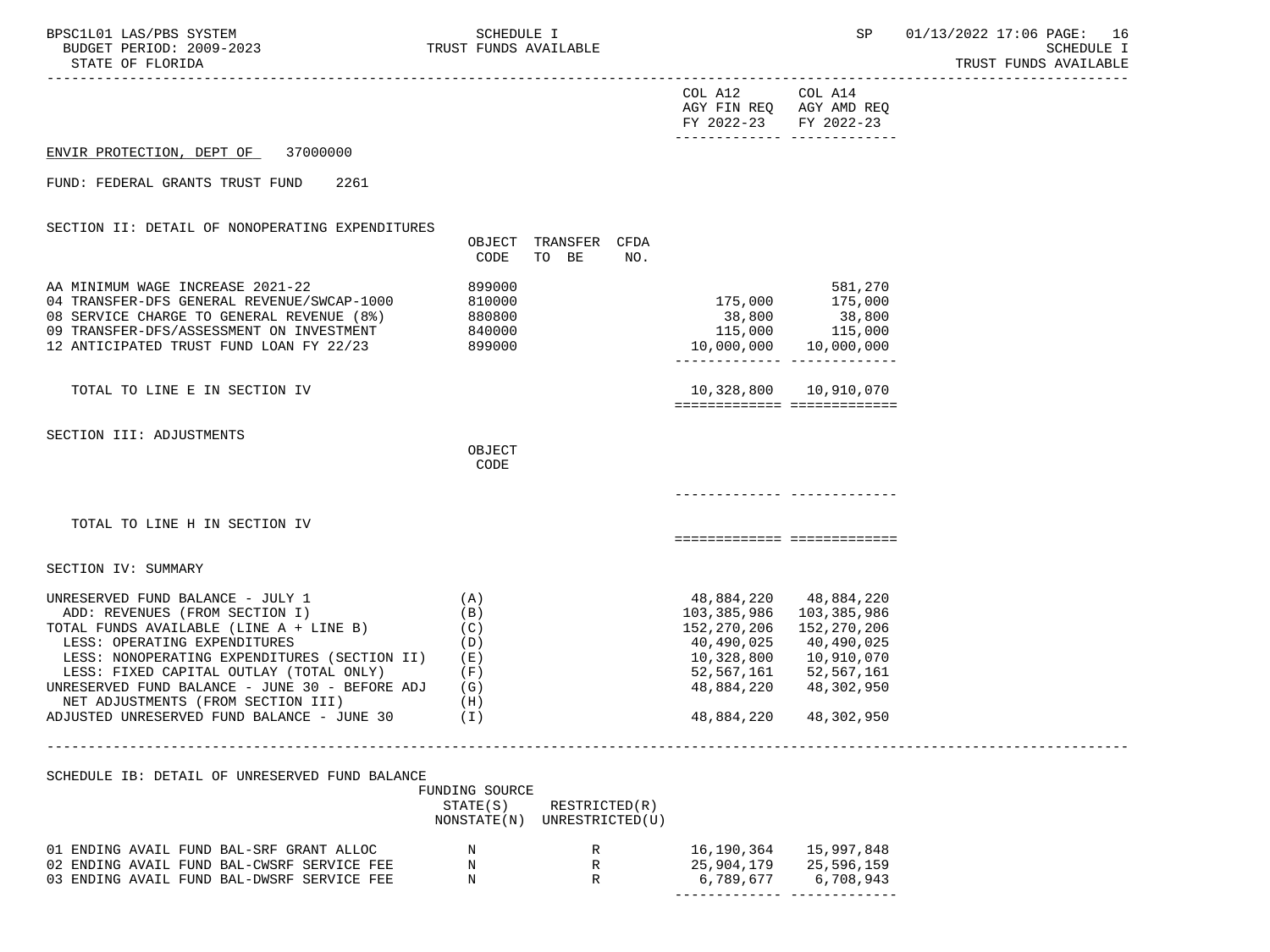| BPSC1L01 LAS/PBS SYSTEM<br>BUDGET PERIOD: 2009-2023<br>STATE OF FLORIDA                                                                                                                                                                                                                                                                                                                            | SCHEDULE I<br>TRUST FUNDS AVAILABLE            |                                                                                                                | SP                                                                                                             | 01/13/2022 17:06 PAGE: 16<br><b>SCHEDULE I</b><br>TRUST FUNDS AVAILABLE |
|----------------------------------------------------------------------------------------------------------------------------------------------------------------------------------------------------------------------------------------------------------------------------------------------------------------------------------------------------------------------------------------------------|------------------------------------------------|----------------------------------------------------------------------------------------------------------------|----------------------------------------------------------------------------------------------------------------|-------------------------------------------------------------------------|
|                                                                                                                                                                                                                                                                                                                                                                                                    |                                                | COL A12 COL A14<br>FY 2022-23 FY 2022-23                                                                       | AGY FIN REQ AGY AMD REQ                                                                                        |                                                                         |
| ENVIR PROTECTION, DEPT OF 37000000                                                                                                                                                                                                                                                                                                                                                                 |                                                |                                                                                                                |                                                                                                                |                                                                         |
| FUND: FEDERAL GRANTS TRUST FUND<br>2261                                                                                                                                                                                                                                                                                                                                                            |                                                |                                                                                                                |                                                                                                                |                                                                         |
| SECTION II: DETAIL OF NONOPERATING EXPENDITURES                                                                                                                                                                                                                                                                                                                                                    | OBJECT TRANSFER CFDA<br>CODE<br>TO BE<br>NO.   |                                                                                                                |                                                                                                                |                                                                         |
| AA MINIMUM WAGE INCREASE 2021-22<br>04 TRANSFER-DFS GENERAL REVENUE/SWCAP-1000<br>08 SERVICE CHARGE TO GENERAL REVENUE (8%)<br>09 TRANSFER-DFS/ASSESSMENT ON INVESTMENT<br>12 ANTICIPATED TRUST FUND LOAN FY 22/23                                                                                                                                                                                 | 899000<br>810000<br>880800<br>840000<br>899000 | 175,000<br>38,800<br>115,000<br>10,000,000                                                                     | 581,270<br>175,000<br>38,800<br>115,000<br>10,000,000                                                          |                                                                         |
| TOTAL TO LINE E IN SECTION IV                                                                                                                                                                                                                                                                                                                                                                      |                                                |                                                                                                                | 10,328,800    10,910,070<br>============================                                                       |                                                                         |
| SECTION III: ADJUSTMENTS                                                                                                                                                                                                                                                                                                                                                                           | OBJECT<br>CODE                                 |                                                                                                                |                                                                                                                |                                                                         |
|                                                                                                                                                                                                                                                                                                                                                                                                    |                                                |                                                                                                                |                                                                                                                |                                                                         |
| TOTAL TO LINE H IN SECTION IV                                                                                                                                                                                                                                                                                                                                                                      |                                                |                                                                                                                | ===========================                                                                                    |                                                                         |
| SECTION IV: SUMMARY                                                                                                                                                                                                                                                                                                                                                                                |                                                |                                                                                                                |                                                                                                                |                                                                         |
| UNRESERVED FUND BALANCE - JULY 1<br>ADD: REVENUES (FROM SECTION I)<br>TOTAL FUNDS AVAILABLE (LINE A + LINE B)<br>LESS: OPERATING EXPENDITURES<br>LESS: NONOPERATING EXPENDITURES (SECTION II) (E)<br>LESS: FIXED CAPITAL OUTLAY (TOTAL ONLY) (F)<br>UNRESERVED FUND BALANCE - JUNE 30 - BEFORE ADJ $(G)$<br>NET ADJUSTMENTS (FROM SECTION III)<br>ADJUSTED UNRESERVED FUND BALANCE - JUNE 30 $(1)$ | (A)<br>(B)<br>(C)<br>(D)<br>(H)                | 48,884,220<br>103,385,986<br>152,270,206<br>40,490,025<br>10,328,800<br>52,567,161<br>48,884,220<br>48,884,220 | 48,884,220<br>103,385,986<br>152,270,206<br>40,490,025<br>10,910,070<br>52,567,161<br>48,302,950<br>48,302,950 |                                                                         |
|                                                                                                                                                                                                                                                                                                                                                                                                    |                                                |                                                                                                                |                                                                                                                |                                                                         |
| SCHEDULE IB: DETAIL OF UNRESERVED FUND BALANCE                                                                                                                                                                                                                                                                                                                                                     | FUNDING SOURCE                                 |                                                                                                                |                                                                                                                |                                                                         |

 STATE(S) RESTRICTED(R) NONSTATE(N) UNRESTRICTED(U) 01 ENDING AVAIL FUND BAL-SRF GRANT ALLOC N<br>
N
R
THLET 26,190,364 15,997,848 02 ENDING AVAIL FUND BAL-CWSRF SERVICE FEE N<br>
N
R
25,904,179
25,596,159 03 ENDING AVAIL FUND BAL-DWSRF SERVICE FEE N<br>
N
R
B
6,789,677
6,708,943 ------------- -------------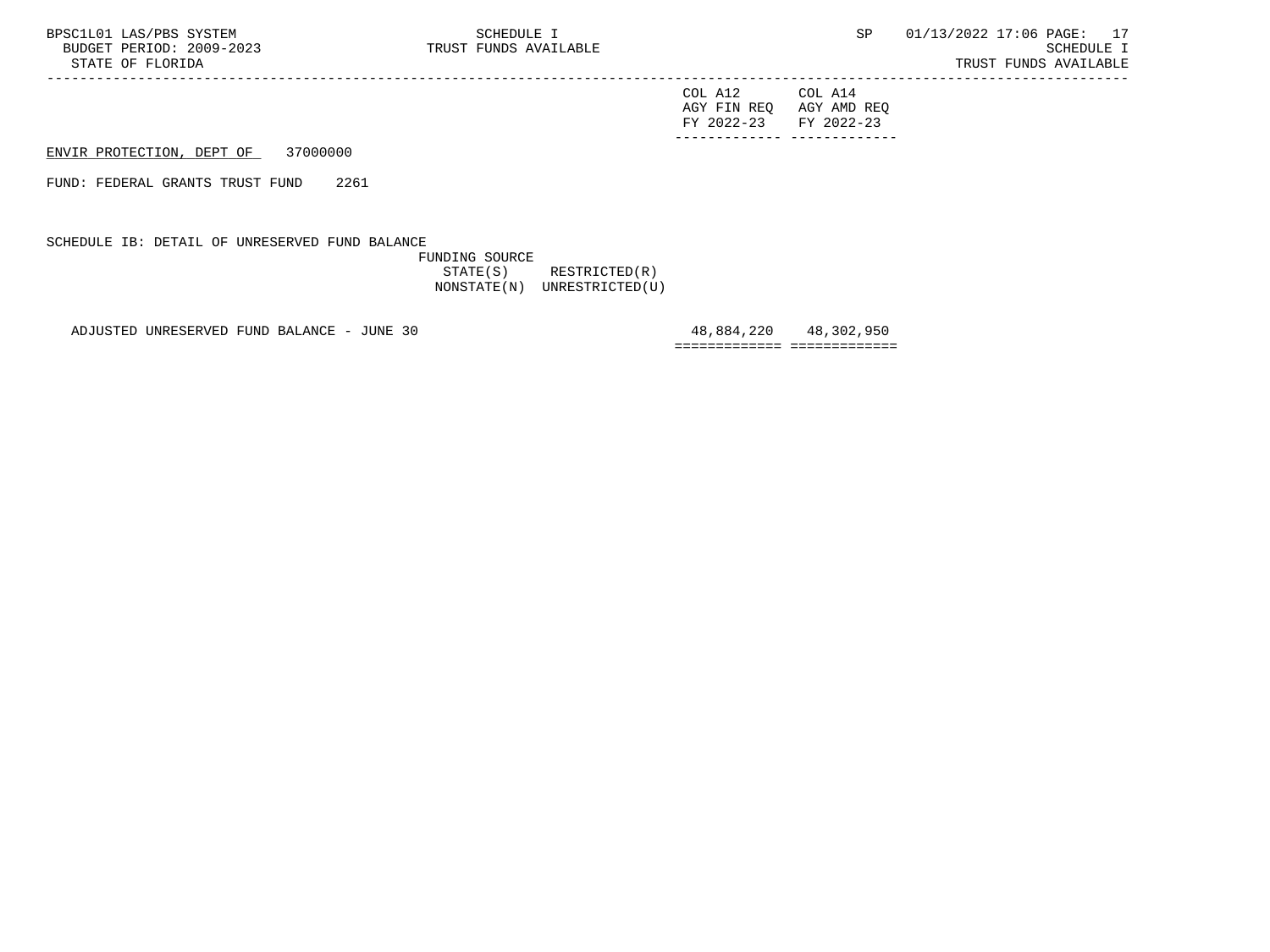| FY 2022-23 FY 2022-23 |                         |
|-----------------------|-------------------------|
|                       | AGY FIN REQ AGY AMD REQ |
| COL A12               | COL A14                 |

ENVIR PROTECTION, DEPT OF 37000000

FUND: FEDERAL GRANTS TRUST FUND 2261

SCHEDULE IB: DETAIL OF UNRESERVED FUND BALANCE

 FUNDING SOURCE STATE(S) RESTRICTED(R) NONSTATE(N) UNRESTRICTED(U)

-----------------------------------------------------------------------------------------------------------------------------------

ADJUSTED UNRESERVED FUND BALANCE - JUNE 30 48,884,220 48,302,950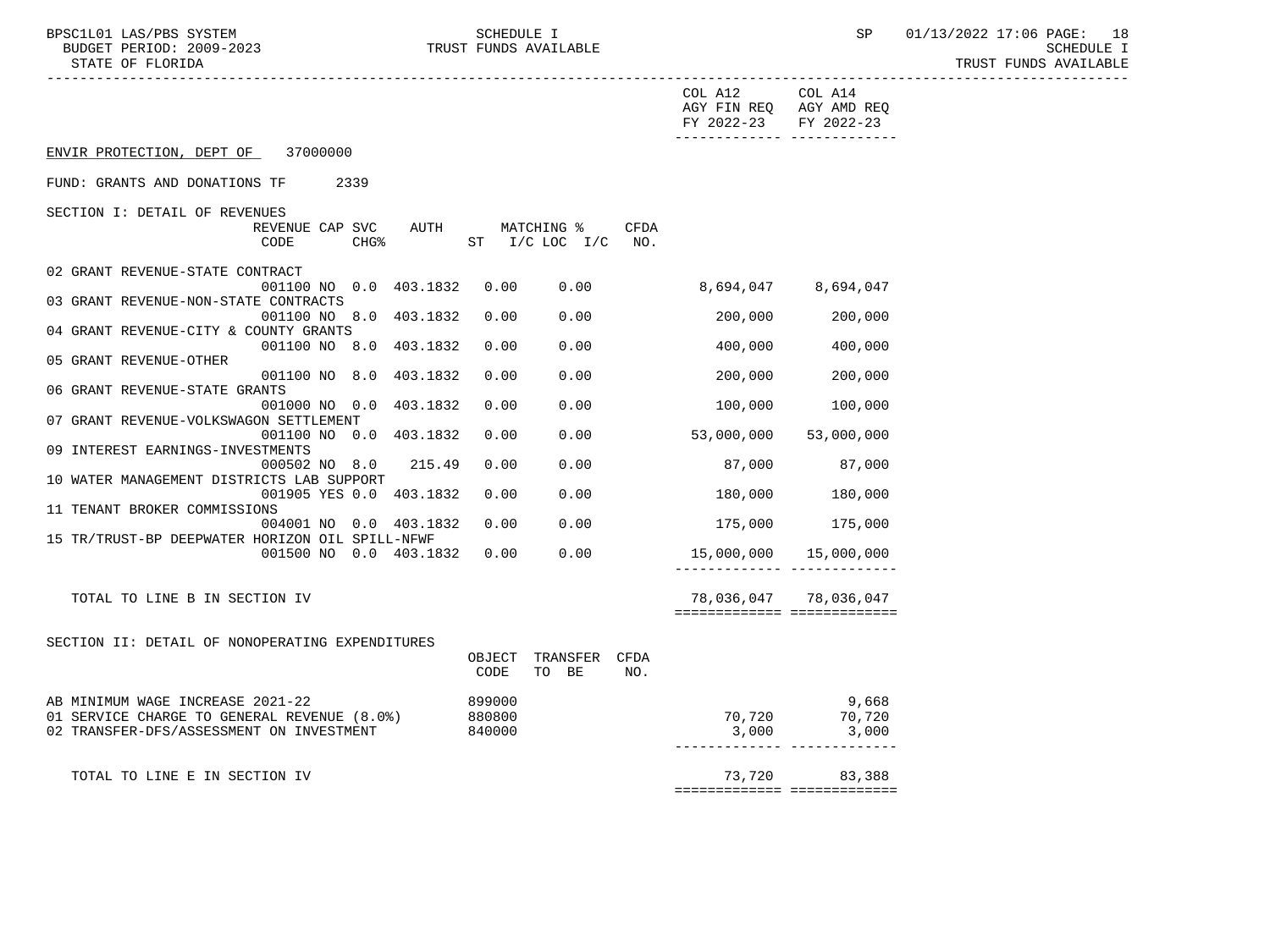BPSC1L01 LAS/PBS SYSTEM SCHEDULE I SCHEDULE I SP 01/13/2022 17:06 PAGE: 18 BUDGET PERIOD: 2009-2023 TRUST FUNDS AVAILABLE SCHEDULE I STATE OF FLORIDA TRUST FUNDS AVAILABLE

|                                                                           |                |                                      |      | COL A12 COL A14<br>AGY FIN REQ AGY AMD REQ<br>FY 2022-23 | FY 2022-23            |
|---------------------------------------------------------------------------|----------------|--------------------------------------|------|----------------------------------------------------------|-----------------------|
| ENVIR PROTECTION, DEPT OF 37000000                                        |                |                                      |      |                                                          |                       |
| FUND: GRANTS AND DONATIONS TF<br>2339                                     |                |                                      |      |                                                          |                       |
| SECTION I: DETAIL OF REVENUES                                             |                |                                      |      |                                                          |                       |
| REVENUE CAP SVC<br>AUTH<br>$CHG$ %<br>CODE                                |                | MATCHING %<br>ST $I/C$ LOC $I/C$ NO. | CFDA |                                                          |                       |
| 02 GRANT REVENUE-STATE CONTRACT                                           |                |                                      |      |                                                          |                       |
| 001100 NO 0.0 403.1832<br>03 GRANT REVENUE-NON-STATE CONTRACTS            | 0.00           | 0.00                                 |      | 8,694,047 8,694,047                                      |                       |
| 001100 NO 8.0 403.1832                                                    | 0.00           | 0.00                                 |      | 200,000                                                  | 200,000               |
| 04 GRANT REVENUE-CITY & COUNTY GRANTS                                     |                |                                      |      |                                                          |                       |
| 001100 NO 8.0 403.1832<br>05 GRANT REVENUE-OTHER                          | 0.00           | 0.00                                 |      | 400,000                                                  | 400,000               |
| 001100 NO 8.0 403.1832                                                    | 0.00           | 0.00                                 |      | 200,000                                                  | 200,000               |
| 06 GRANT REVENUE-STATE GRANTS<br>001000 NO 0.0 403.1832                   | 0.00           | 0.00                                 |      | 100,000                                                  | 100,000               |
| 07 GRANT REVENUE-VOLKSWAGON SETTLEMENT                                    |                |                                      |      |                                                          |                       |
| 001100 NO 0.0 403.1832<br>09 INTEREST EARNINGS-INVESTMENTS                | 0.00           | 0.00                                 |      | 53,000,000                                               | 53,000,000            |
| 000502 NO 8.0 215.49                                                      | 0.00           | 0.00                                 |      | 87,000                                                   | 87,000                |
| 10 WATER MANAGEMENT DISTRICTS LAB SUPPORT                                 |                |                                      |      |                                                          |                       |
| 001905 YES 0.0 403.1832<br>11 TENANT BROKER COMMISSIONS                   | 0.00           | 0.00                                 |      | 180,000                                                  | 180,000               |
| 004001 NO 0.0 403.1832                                                    | 0.00           | 0.00                                 |      |                                                          | 175,000 175,000       |
| 15 TR/TRUST-BP DEEPWATER HORIZON OIL SPILL-NFWF<br>001500 NO 0.0 403.1832 | 0.00           | 0.00                                 |      | 15,000,000  15,000,000                                   |                       |
|                                                                           |                |                                      |      |                                                          |                       |
| TOTAL TO LINE B IN SECTION IV                                             |                |                                      |      |                                                          | 78,036,047 78,036,047 |
|                                                                           |                |                                      |      | ============================                             |                       |
| SECTION II: DETAIL OF NONOPERATING EXPENDITURES                           |                |                                      |      |                                                          |                       |
|                                                                           | OBJECT<br>CODE | TRANSFER CFDA<br>TO BE               | NO.  |                                                          |                       |
| AB MINIMUM WAGE INCREASE 2021-22                                          | 899000         |                                      |      |                                                          | 9,668                 |
| 01 SERVICE CHARGE TO GENERAL REVENUE (8.0%)                               | 880800         |                                      |      | 70,720                                                   | 70,720                |
| 02 TRANSFER-DFS/ASSESSMENT ON INVESTMENT                                  | 840000         |                                      |      | 3,000                                                    | 3,000                 |
| TOTAL TO LINE E IN SECTION IV                                             |                |                                      |      | 73,720                                                   | 83,388                |
|                                                                           |                |                                      |      | ===========================                              |                       |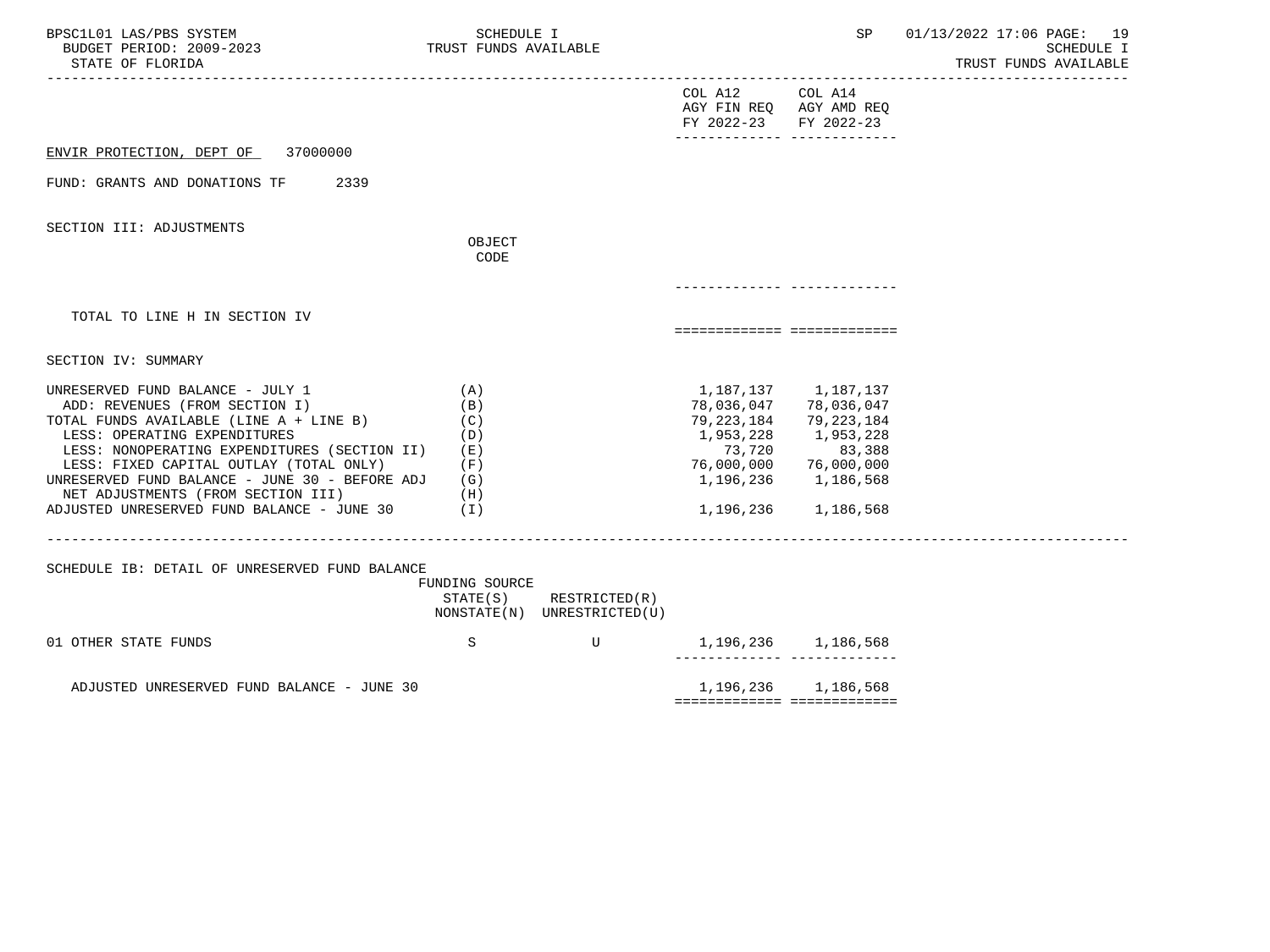| BPSC1L01 LAS/PBS SYSTEM<br>BUDGET PERIOD: 2009-2023<br>STATE OF FLORIDA                                                                                                                                                                                                                                                                                                            | SCHEDULE I<br>TRUST FUNDS AVAILABLE                  |                                              |                                                                           | SP                                                                                                                            | 01/13/2022 17:06 PAGE: 19<br><b>SCHEDULE I</b><br>TRUST FUNDS AVAILABLE |
|------------------------------------------------------------------------------------------------------------------------------------------------------------------------------------------------------------------------------------------------------------------------------------------------------------------------------------------------------------------------------------|------------------------------------------------------|----------------------------------------------|---------------------------------------------------------------------------|-------------------------------------------------------------------------------------------------------------------------------|-------------------------------------------------------------------------|
|                                                                                                                                                                                                                                                                                                                                                                                    |                                                      |                                              | COL A12 COL A14<br>AGY FIN REQ AGY AMD REQ<br>FY 2022-23                  | FY 2022-23                                                                                                                    |                                                                         |
| 37000000<br>ENVIR PROTECTION, DEPT OF                                                                                                                                                                                                                                                                                                                                              |                                                      |                                              |                                                                           |                                                                                                                               |                                                                         |
| FUND: GRANTS AND DONATIONS TF<br>2339                                                                                                                                                                                                                                                                                                                                              |                                                      |                                              |                                                                           |                                                                                                                               |                                                                         |
| SECTION III: ADJUSTMENTS                                                                                                                                                                                                                                                                                                                                                           | OBJECT<br>CODE                                       |                                              |                                                                           |                                                                                                                               |                                                                         |
|                                                                                                                                                                                                                                                                                                                                                                                    |                                                      |                                              |                                                                           |                                                                                                                               |                                                                         |
| TOTAL TO LINE H IN SECTION IV                                                                                                                                                                                                                                                                                                                                                      |                                                      |                                              | ===========================                                               |                                                                                                                               |                                                                         |
| SECTION IV: SUMMARY                                                                                                                                                                                                                                                                                                                                                                |                                                      |                                              |                                                                           |                                                                                                                               |                                                                         |
| UNRESERVED FUND BALANCE - JULY 1<br>ADD: REVENUES (FROM SECTION I)<br>TOTAL FUNDS AVAILABLE (LINE A + LINE B)<br>LESS: OPERATING EXPENDITURES<br>LESS: NONOPERATING EXPENDITURES (SECTION II)<br>LESS: FIXED CAPITAL OUTLAY (TOTAL ONLY)<br>UNRESERVED FUND BALANCE - JUNE 30 - BEFORE ADJ<br>NET ADJUSTMENTS (FROM SECTION III)<br>ADJUSTED UNRESERVED FUND BALANCE - JUNE 30 (I) | (A)<br>(B)<br>(C)<br>(D)<br>(E)<br>(F)<br>(G)<br>(H) |                                              | 78,036,047<br>79,223,184<br>1,953,228<br>73,720<br>1,196,236<br>1,196,236 | 1, 187, 137 1, 187, 137<br>78,036,047<br>79,223,184<br>1,953,228<br>83,388<br>76,000,000 76,000,000<br>1,186,568<br>1,186,568 |                                                                         |
| SCHEDULE IB: DETAIL OF UNRESERVED FUND BALANCE                                                                                                                                                                                                                                                                                                                                     | FUNDING SOURCE<br>STATE(S)                           | RESTRICTED(R)<br>NONSTATE(N) UNRESTRICTED(U) |                                                                           |                                                                                                                               |                                                                         |
| 01 OTHER STATE FUNDS                                                                                                                                                                                                                                                                                                                                                               | S                                                    | $\mathbf U$                                  |                                                                           | 1,196,236 1,186,568                                                                                                           |                                                                         |
| ADJUSTED UNRESERVED FUND BALANCE - JUNE 30                                                                                                                                                                                                                                                                                                                                         |                                                      |                                              | ============================                                              | 1, 196, 236 1, 186, 568                                                                                                       |                                                                         |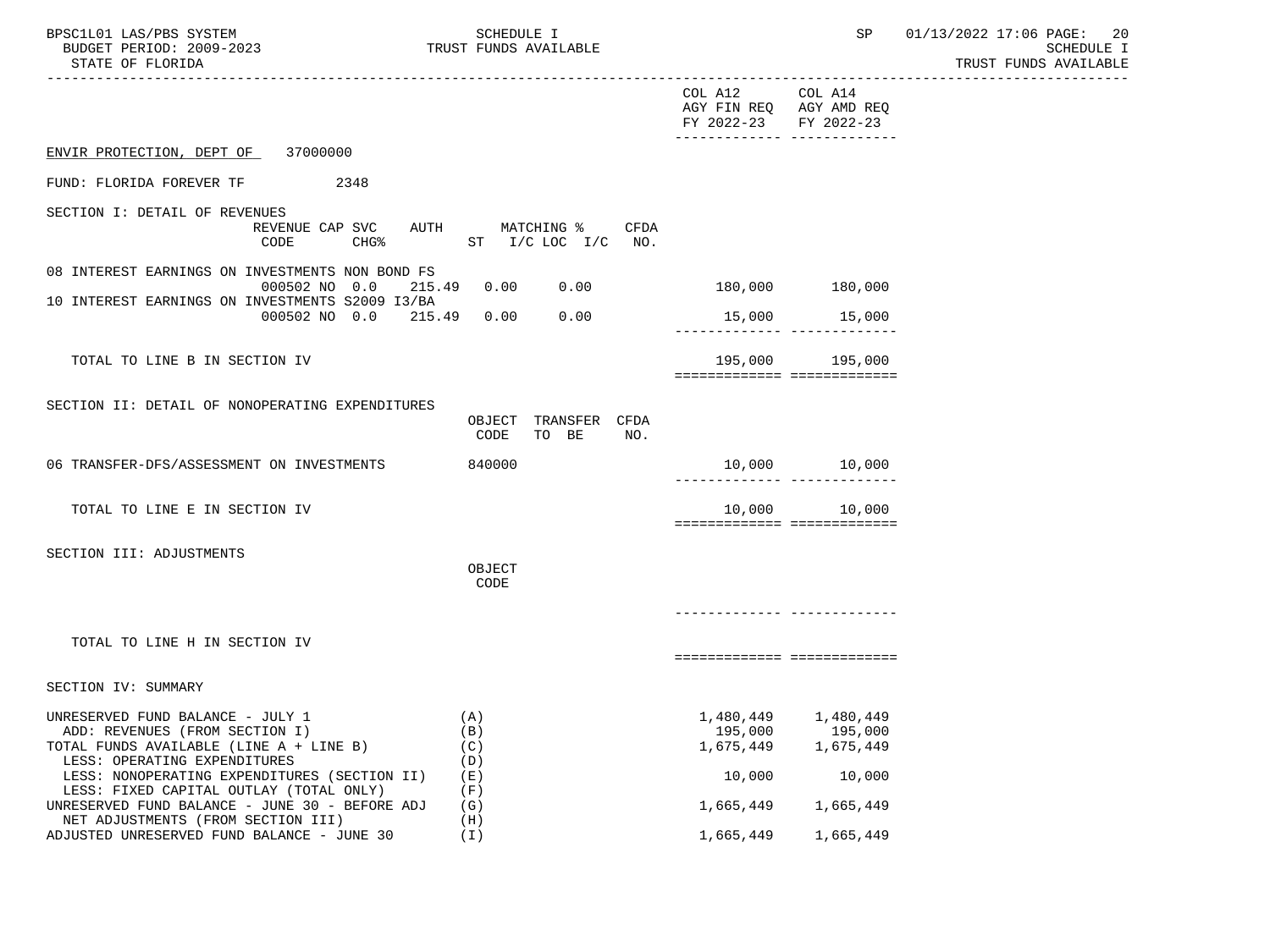| BPSC1L01 LAS/PBS SYSTEM<br>BUDGET PERIOD: 2009-2023<br>STATE OF FLORIDA                                                                       | SCHEDULE I<br>TRUST FUNDS AVAILABLE            |                                                       | SP                                                                 | 01/13/2022 17:06 PAGE: 20<br>SCHEDULE I<br>TRUST FUNDS AVAILABLE |
|-----------------------------------------------------------------------------------------------------------------------------------------------|------------------------------------------------|-------------------------------------------------------|--------------------------------------------------------------------|------------------------------------------------------------------|
|                                                                                                                                               |                                                | -----------------<br>COL A12<br>FY 2022-23 FY 2022-23 | COL A14<br>AGY FIN REQ AGY AMD REQ<br>-------------- ------------- |                                                                  |
| ENVIR PROTECTION, DEPT OF 37000000                                                                                                            |                                                |                                                       |                                                                    |                                                                  |
| 2348<br>FUND: FLORIDA FOREVER TF                                                                                                              |                                                |                                                       |                                                                    |                                                                  |
| SECTION I: DETAIL OF REVENUES<br>REVENUE CAP SVC<br><b>CHG%</b><br>CODE                                                                       | AUTH MATCHING % CFDA<br>ST $I/C$ LOC $I/C$ NO. |                                                       |                                                                    |                                                                  |
| 08 INTEREST EARNINGS ON INVESTMENTS NON BOND FS<br>000502 NO 0.0                                                                              | 215.49 0.00                                    | $0.00$ 180,000 180,000                                |                                                                    |                                                                  |
| 10 INTEREST EARNINGS ON INVESTMENTS S2009 I3/BA                                                                                               | 000502 NO 0.0 215.49 0.00<br>0.00              |                                                       | 15,000 15,000                                                      |                                                                  |
| TOTAL TO LINE B IN SECTION IV                                                                                                                 |                                                |                                                       | 195,000 195,000<br>===========================                     |                                                                  |
| SECTION II: DETAIL OF NONOPERATING EXPENDITURES                                                                                               | OBJECT TRANSFER CFDA<br>TO BE<br>CODE<br>NO.   |                                                       |                                                                    |                                                                  |
| 06 TRANSFER-DFS/ASSESSMENT ON INVESTMENTS                                                                                                     | 840000                                         |                                                       | 10,000    10,000                                                   |                                                                  |
| TOTAL TO LINE E IN SECTION IV                                                                                                                 |                                                | 10,000                                                | 10,000<br>============================                             |                                                                  |
| SECTION III: ADJUSTMENTS                                                                                                                      | OBJECT<br>CODE                                 |                                                       |                                                                    |                                                                  |
| TOTAL TO LINE H IN SECTION IV                                                                                                                 |                                                |                                                       |                                                                    |                                                                  |
|                                                                                                                                               |                                                |                                                       | ===========================                                        |                                                                  |
| SECTION IV: SUMMARY                                                                                                                           |                                                |                                                       |                                                                    |                                                                  |
| UNRESERVED FUND BALANCE - JULY 1<br>ADD: REVENUES (FROM SECTION I)<br>TOTAL FUNDS AVAILABLE (LINE A + LINE B)<br>LESS: OPERATING EXPENDITURES | (A)<br>(B)<br>(C)<br>(D)                       | 1,480,449<br>195,000<br>1,675,449                     | 1,480,449<br>195,000<br>1,675,449                                  |                                                                  |
| LESS: NONOPERATING EXPENDITURES (SECTION II)<br>LESS: FIXED CAPITAL OUTLAY (TOTAL ONLY)                                                       | (E)                                            | 10,000                                                | 10,000                                                             |                                                                  |
| UNRESERVED FUND BALANCE - JUNE 30 - BEFORE ADJ<br>NET ADJUSTMENTS (FROM SECTION III)                                                          | (F)<br>(G)<br>(H)                              | 1,665,449                                             | 1,665,449                                                          |                                                                  |
| ADJUSTED UNRESERVED FUND BALANCE - JUNE 30                                                                                                    | (I)                                            | 1,665,449                                             | 1,665,449                                                          |                                                                  |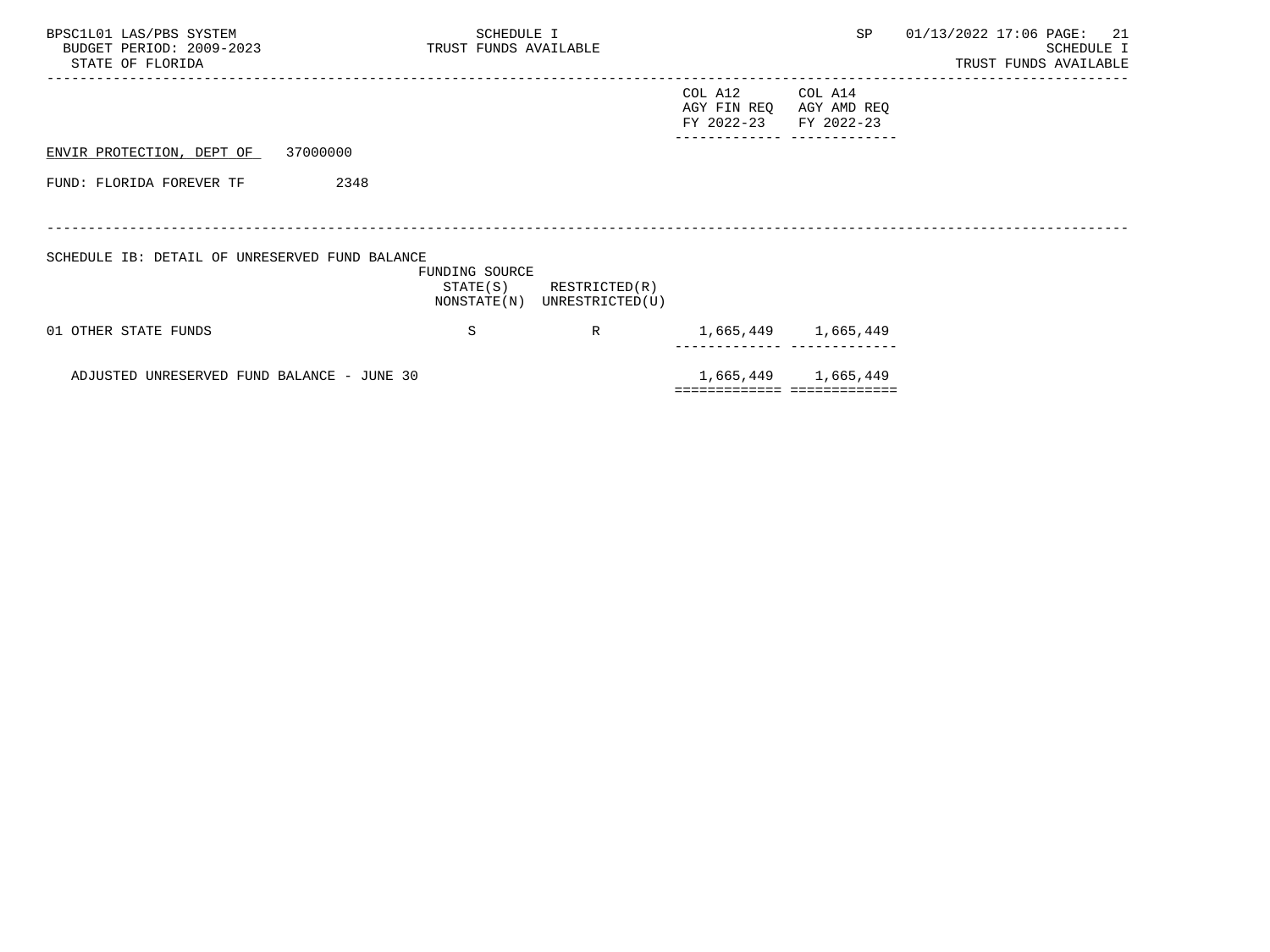| BPSC1L01 LAS/PBS SYSTEM<br>BUDGET PERIOD: 2009-2023<br>STATE OF FLORIDA | SCHEDULE I<br>TRUST FUNDS AVAILABLE |                 |                                      | SP                                   | 01/13/2022 17:06 PAGE: 21<br><b>SCHEDULE I</b><br>TRUST FUNDS AVAILABLE |
|-------------------------------------------------------------------------|-------------------------------------|-----------------|--------------------------------------|--------------------------------------|-------------------------------------------------------------------------|
|                                                                         |                                     |                 | COL A12<br>AGY FIN REQ<br>FY 2022-23 | COL A14<br>AGY AMD REQ<br>FY 2022-23 |                                                                         |
| ENVIR PROTECTION, DEPT OF 37000000                                      |                                     |                 |                                      |                                      |                                                                         |
| 2348<br>FUND: FLORIDA FOREVER TF                                        |                                     |                 |                                      |                                      |                                                                         |
|                                                                         |                                     |                 |                                      |                                      |                                                                         |
| SCHEDULE IB: DETAIL OF UNRESERVED FUND BALANCE                          | FUNDING SOURCE<br>STATE(S)          | RESTRICTED(R)   |                                      |                                      |                                                                         |
|                                                                         | NONSTATE(N)                         | UNRESTRICTED(U) |                                      |                                      |                                                                         |
| 01 OTHER STATE FUNDS                                                    | S                                   | R               |                                      | 1,665,449 1,665,449                  |                                                                         |
| ADJUSTED UNRESERVED FUND BALANCE - JUNE 30                              |                                     |                 |                                      | 1,665,449 1,665,449                  |                                                                         |
|                                                                         |                                     |                 |                                      | ============================         |                                                                         |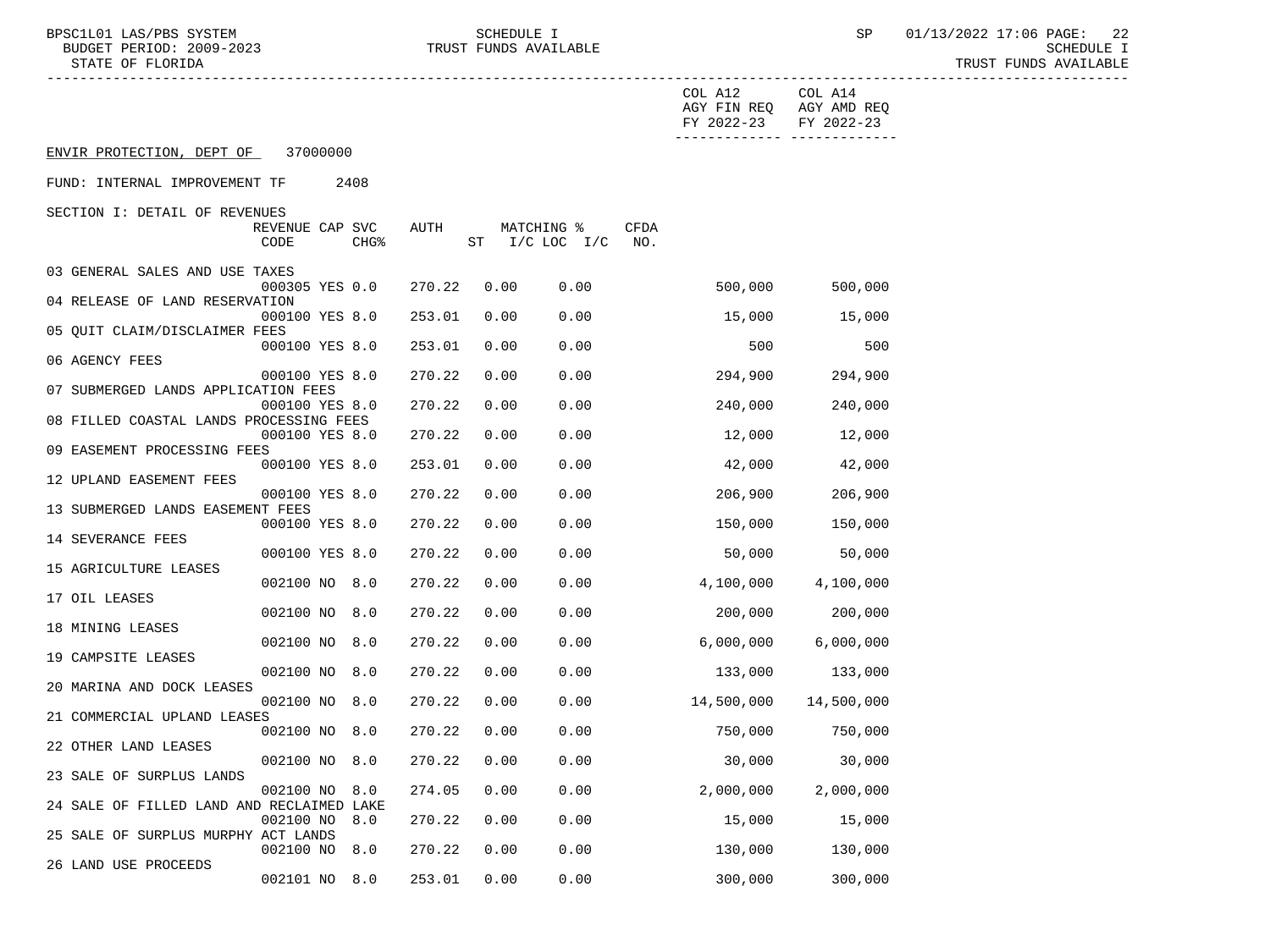BUDGET PERIOD: 2009-2023 TRUST FUNDS AVAILABLE SCHEDULE I

BPSC1L01 LAS/PBS SYSTEM SCHEDULE I SCHEDULE I SP 01/13/2022 17:06 PAGE: 22<br>BUDGET PERIOD: 2009-2023 TRUST FUNDS AVAILABLE TRUST FUNDS AVAILABLE

|                                           |                         |          |                  |        |      |                              |             | COL A12<br>FY 2022-23 | COL A14<br>AGY FIN REQ AGY AMD REQ<br>FY 2022-23 |  |
|-------------------------------------------|-------------------------|----------|------------------|--------|------|------------------------------|-------------|-----------------------|--------------------------------------------------|--|
| ENVIR PROTECTION, DEPT OF                 |                         | 37000000 |                  |        |      |                              |             |                       |                                                  |  |
| FUND: INTERNAL IMPROVEMENT TF             |                         |          | 2408             |        |      |                              |             |                       |                                                  |  |
| SECTION I: DETAIL OF REVENUES             |                         |          |                  |        |      |                              |             |                       |                                                  |  |
|                                           | REVENUE CAP SVC<br>CODE |          | CHG <sup>8</sup> | AUTH   |      | MATCHING %<br>ST I/C LOC I/C | CFDA<br>NO. |                       |                                                  |  |
| 03 GENERAL SALES AND USE TAXES            | 000305 YES 0.0          |          |                  | 270.22 | 0.00 | 0.00                         |             | 500,000               | 500,000                                          |  |
| 04 RELEASE OF LAND RESERVATION            |                         |          |                  |        |      |                              |             |                       |                                                  |  |
|                                           | 000100 YES 8.0          |          |                  | 253.01 | 0.00 | 0.00                         |             | 15,000                | 15,000                                           |  |
| 05 QUIT CLAIM/DISCLAIMER FEES             | 000100 YES 8.0          |          |                  | 253.01 | 0.00 | 0.00                         |             | 500                   | 500                                              |  |
| 06 AGENCY FEES                            |                         |          |                  |        |      |                              |             |                       |                                                  |  |
|                                           | 000100 YES 8.0          |          |                  | 270.22 | 0.00 | 0.00                         |             | 294,900               | 294,900                                          |  |
| 07 SUBMERGED LANDS APPLICATION FEES       | 000100 YES 8.0          |          |                  | 270.22 |      | 0.00<br>0.00                 |             | 240,000               | 240,000                                          |  |
| 08 FILLED COASTAL LANDS PROCESSING FEES   |                         |          |                  |        |      |                              |             |                       |                                                  |  |
|                                           | 000100 YES 8.0          |          |                  | 270.22 |      | 0.00<br>0.00                 |             | 12,000                | 12,000                                           |  |
| 09 EASEMENT PROCESSING FEES               | 000100 YES 8.0          |          |                  | 253.01 |      | 0.00<br>0.00                 |             | 42,000                | 42,000                                           |  |
| 12 UPLAND EASEMENT FEES                   |                         |          |                  |        |      |                              |             |                       |                                                  |  |
|                                           | 000100 YES 8.0          |          |                  | 270.22 | 0.00 | 0.00                         |             | 206,900               | 206,900                                          |  |
| 13 SUBMERGED LANDS EASEMENT FEES          |                         |          |                  |        |      |                              |             |                       |                                                  |  |
| 14 SEVERANCE FEES                         | 000100 YES 8.0          |          |                  | 270.22 |      | 0.00<br>0.00                 |             | 150,000               | 150,000                                          |  |
|                                           | 000100 YES 8.0          |          |                  | 270.22 |      | 0.00<br>0.00                 |             | 50,000                | 50,000                                           |  |
| 15 AGRICULTURE LEASES                     |                         |          |                  |        |      |                              |             |                       |                                                  |  |
| 17 OIL LEASES                             | 002100 NO 8.0           |          |                  | 270.22 | 0.00 | 0.00                         |             | 4,100,000             | 4,100,000                                        |  |
|                                           | 002100 NO 8.0           |          |                  | 270.22 |      | 0.00<br>0.00                 |             | 200,000               | 200,000                                          |  |
| 18 MINING LEASES                          |                         |          |                  |        |      |                              |             |                       |                                                  |  |
| 19 CAMPSITE LEASES                        | 002100 NO 8.0           |          |                  | 270.22 | 0.00 | 0.00                         |             | 6,000,000             | 6,000,000                                        |  |
|                                           | 002100 NO 8.0           |          |                  | 270.22 |      | 0.00<br>0.00                 |             | 133,000               | 133,000                                          |  |
| 20 MARINA AND DOCK LEASES                 |                         |          |                  |        |      |                              |             |                       |                                                  |  |
| 21 COMMERCIAL UPLAND LEASES               | 002100 NO 8.0           |          |                  | 270.22 | 0.00 | 0.00                         |             | 14,500,000            | 14,500,000                                       |  |
|                                           | 002100 NO 8.0           |          |                  | 270.22 | 0.00 | 0.00                         |             | 750,000               | 750,000                                          |  |
| 22 OTHER LAND LEASES                      |                         |          |                  |        |      |                              |             |                       |                                                  |  |
| 23 SALE OF SURPLUS LANDS                  | 002100 NO 8.0           |          |                  |        |      | 270.22  0.00  0.00           |             | 30,000                | 30,000                                           |  |
|                                           | 002100 NO               |          | 8.0              | 274.05 |      | 0.00<br>0.00                 |             | 2,000,000             | 2,000,000                                        |  |
| 24 SALE OF FILLED LAND AND RECLAIMED LAKE |                         |          |                  |        |      |                              |             |                       |                                                  |  |
| 25 SALE OF SURPLUS MURPHY ACT LANDS       | 002100 NO               |          | 8.0              | 270.22 |      | 0.00<br>0.00                 |             | 15,000                | 15,000                                           |  |
|                                           | 002100 NO               |          | 8.0              | 270.22 |      | 0.00<br>0.00                 |             | 130,000               | 130,000                                          |  |
| 26 LAND USE PROCEEDS                      |                         |          |                  |        |      |                              |             |                       |                                                  |  |
|                                           | 002101 NO 8.0           |          |                  | 253.01 |      | 0.00<br>0.00                 |             | 300,000               | 300,000                                          |  |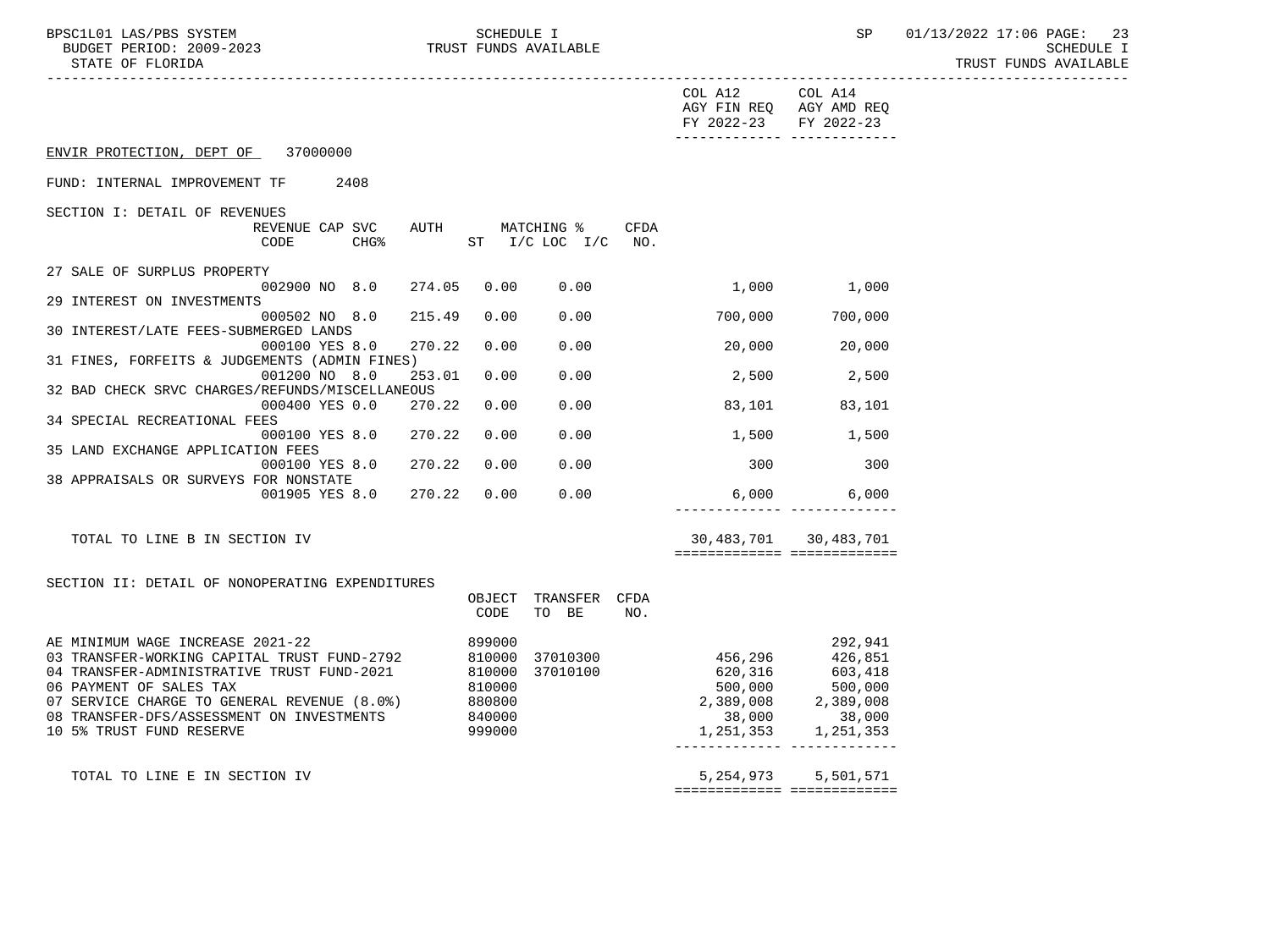-----------------------------------------------------------------------------------------------------------------------------------

|                                                                                                                                                                                                                                                                                                                                    |                                                    | COL A12<br>AGY FIN REQ AGY AMD REQ<br>FY 2022-23                                                                         | COL A14<br>FY 2022-23 |
|------------------------------------------------------------------------------------------------------------------------------------------------------------------------------------------------------------------------------------------------------------------------------------------------------------------------------------|----------------------------------------------------|--------------------------------------------------------------------------------------------------------------------------|-----------------------|
| ENVIR PROTECTION, DEPT OF 37000000                                                                                                                                                                                                                                                                                                 |                                                    |                                                                                                                          |                       |
| FUND: INTERNAL IMPROVEMENT TF<br>2408                                                                                                                                                                                                                                                                                              |                                                    |                                                                                                                          |                       |
| SECTION I: DETAIL OF REVENUES<br>REVENUE CAP SVC<br><b>AUTH</b><br>CHG <sup>8</sup><br>CODE                                                                                                                                                                                                                                        | MATCHING %<br><b>CFDA</b><br>ST I/C LOC I/C<br>NO. |                                                                                                                          |                       |
| 27 SALE OF SURPLUS PROPERTY<br>274.05<br>002900 NO 8.0                                                                                                                                                                                                                                                                             | 0.00<br>0.00                                       |                                                                                                                          | 1,000 1,000           |
| 29 INTEREST ON INVESTMENTS<br>215.49<br>000502 NO 8.0                                                                                                                                                                                                                                                                              | 0.00<br>0.00                                       | 700,000                                                                                                                  | 700,000               |
| 30 INTEREST/LATE FEES-SUBMERGED LANDS<br>000100 YES 8.0<br>270.22                                                                                                                                                                                                                                                                  | 0.00<br>0.00                                       |                                                                                                                          | 20,000 20,000         |
| 31 FINES, FORFEITS & JUDGEMENTS (ADMIN FINES)<br>001200 NO 8.0<br>253.01                                                                                                                                                                                                                                                           | 0.00<br>0.00                                       |                                                                                                                          | 2,500 2,500           |
| 32 BAD CHECK SRVC CHARGES/REFUNDS/MISCELLANEOUS<br>000400 YES 0.0<br>270.22                                                                                                                                                                                                                                                        | 0.00<br>0.00                                       |                                                                                                                          | 83,101 83,101         |
| 34 SPECIAL RECREATIONAL FEES<br>270.22<br>000100 YES 8.0                                                                                                                                                                                                                                                                           | 0.00<br>0.00                                       |                                                                                                                          | 1,500 1,500           |
| 35 LAND EXCHANGE APPLICATION FEES<br>270.22<br>000100 YES 8.0                                                                                                                                                                                                                                                                      | 0.00<br>0.00                                       | 300 000                                                                                                                  | 300                   |
| 38 APPRAISALS OR SURVEYS FOR NONSTATE<br>001905 YES 8.0<br>270.22                                                                                                                                                                                                                                                                  | 0.00<br>0.00                                       |                                                                                                                          | $6,000$ 6,000         |
| TOTAL TO LINE B IN SECTION IV                                                                                                                                                                                                                                                                                                      |                                                    | ============================                                                                                             | 30,483,701 30,483,701 |
| SECTION II: DETAIL OF NONOPERATING EXPENDITURES                                                                                                                                                                                                                                                                                    | OBJECT<br>TRANSFER<br>CFDA<br>TO BE<br>NO.<br>CODE |                                                                                                                          |                       |
| AE MINIMUM WAGE INCREASE 2021-22<br>03 TRANSFER-WORKING CAPITAL TRUST FUND-2792<br>810000<br>04 TRANSFER-ADMINISTRATIVE TRUST FUND-2021<br>810000<br>06 PAYMENT OF SALES TAX<br>810000<br>07 SERVICE CHARGE TO GENERAL REVENUE (8.0%)<br>880800<br>08 TRANSFER-DFS/ASSESSMENT ON INVESTMENTS<br>840000<br>10 5% TRUST FUND RESERVE | 899000<br>37010300<br>37010100<br>999000           | 456,296 426,851<br>$620,316$<br>$500,000$<br>$2,389,008$<br>$38,000$<br>$2,389,008$<br>$38,000$<br>$38,000$<br>1,251,353 | 292,941<br>1,251,353  |
| TOTAL TO LINE E IN SECTION IV                                                                                                                                                                                                                                                                                                      |                                                    | 5, 254, 973<br>=============================                                                                             | 5,501,571             |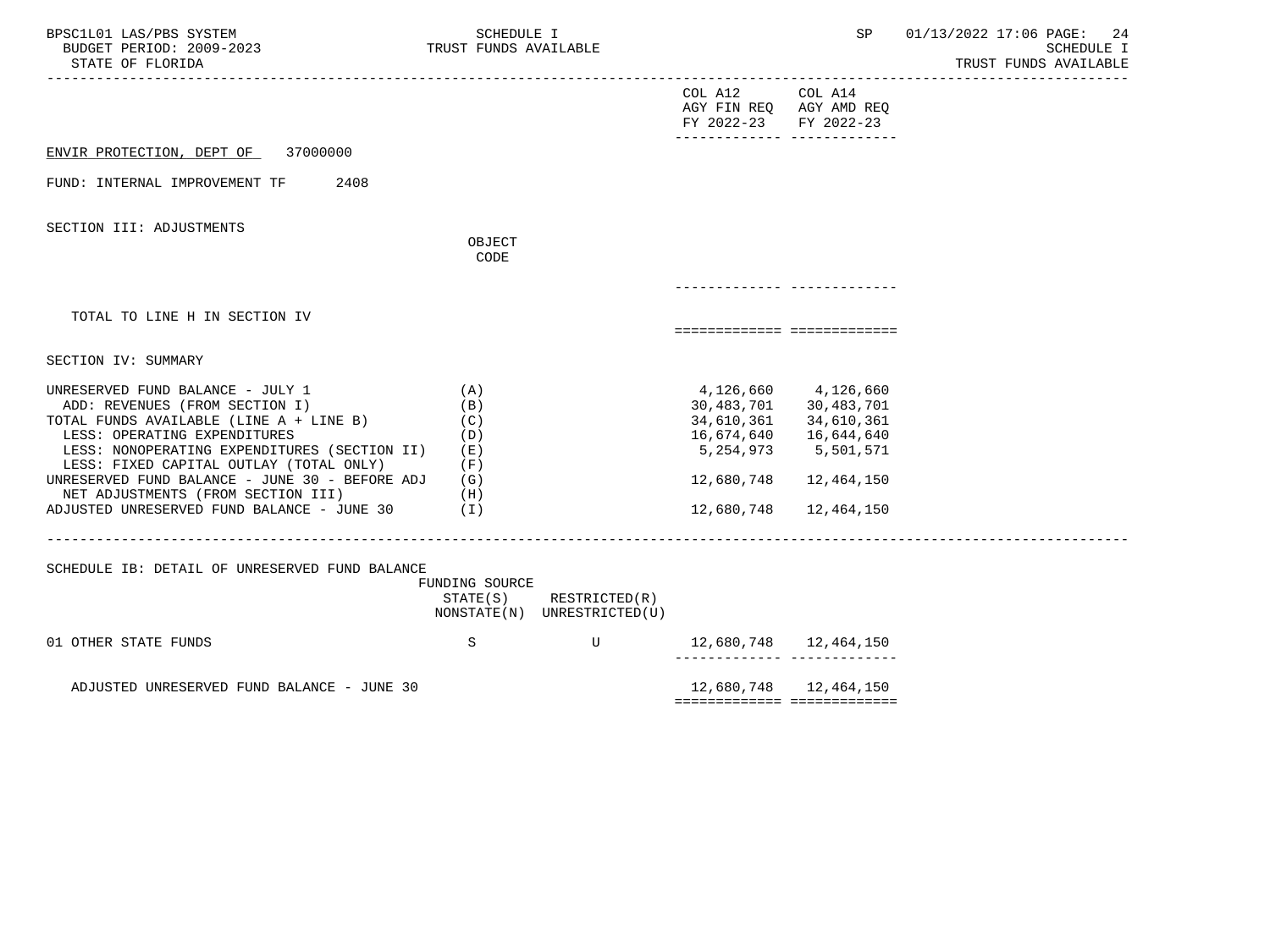| BPSC1L01 LAS/PBS SYSTEM<br>BUDGET PERIOD: 2009-2023<br>STATE OF FLORIDA                                                                                                                                                                                                                                                                                                              | SCHEDULE I<br>TRUST FUNDS AVAILABLE                    |                                              |                                                                     | SP                                                                                                                               | 01/13/2022 17:06 PAGE:<br>24<br><b>SCHEDULE I</b><br>TRUST FUNDS AVAILABLE |
|--------------------------------------------------------------------------------------------------------------------------------------------------------------------------------------------------------------------------------------------------------------------------------------------------------------------------------------------------------------------------------------|--------------------------------------------------------|----------------------------------------------|---------------------------------------------------------------------|----------------------------------------------------------------------------------------------------------------------------------|----------------------------------------------------------------------------|
|                                                                                                                                                                                                                                                                                                                                                                                      |                                                        |                                              | COL A12 COL A14<br>AGY FIN REQ AGY AMD REQ<br>FY 2022-23 FY 2022-23 |                                                                                                                                  |                                                                            |
| ENVIR PROTECTION, DEPT OF<br>37000000                                                                                                                                                                                                                                                                                                                                                |                                                        |                                              |                                                                     |                                                                                                                                  |                                                                            |
| FUND: INTERNAL IMPROVEMENT TF<br>2408                                                                                                                                                                                                                                                                                                                                                |                                                        |                                              |                                                                     |                                                                                                                                  |                                                                            |
| SECTION III: ADJUSTMENTS                                                                                                                                                                                                                                                                                                                                                             | OBJECT<br>CODE                                         |                                              |                                                                     |                                                                                                                                  |                                                                            |
| TOTAL TO LINE H IN SECTION IV                                                                                                                                                                                                                                                                                                                                                        |                                                        |                                              | ===========================                                         |                                                                                                                                  |                                                                            |
| SECTION IV: SUMMARY                                                                                                                                                                                                                                                                                                                                                                  |                                                        |                                              |                                                                     |                                                                                                                                  |                                                                            |
| UNRESERVED FUND BALANCE - JULY 1<br>ADD: REVENUES (FROM SECTION I)<br>TOTAL FUNDS AVAILABLE (LINE A + LINE B)<br>LESS: OPERATING EXPENDITURES<br>LESS: NONOPERATING EXPENDITURES (SECTION II)<br>LESS: FIXED CAPITAL OUTLAY (TOTAL ONLY)<br>UNRESERVED FUND BALANCE - JUNE 30 - BEFORE ADJ<br>NET ADJUSTMENTS (FROM SECTION III)<br>ADJUSTED UNRESERVED FUND BALANCE - JUNE $30$ (I) | (A)<br>(B)<br>(C)<br>(D)<br>( E )<br>(F)<br>(G)<br>(H) |                                              | 16,674,640<br>5,254,973<br>12,680,748<br>12,680,748                 | 4, 126, 660 4, 126, 660<br>30,483,701 30,483,701<br>34,610,361 34,610,361<br>16,644,640<br>5,501,571<br>12,464,150<br>12,464,150 |                                                                            |
| SCHEDULE IB: DETAIL OF UNRESERVED FUND BALANCE                                                                                                                                                                                                                                                                                                                                       | FUNDING SOURCE<br>STATE(S)                             | RESTRICTED(R)<br>NONSTATE(N) UNRESTRICTED(U) |                                                                     |                                                                                                                                  |                                                                            |
| 01 OTHER STATE FUNDS                                                                                                                                                                                                                                                                                                                                                                 | S                                                      | U                                            |                                                                     |                                                                                                                                  |                                                                            |
| ADJUSTED UNRESERVED FUND BALANCE - JUNE 30                                                                                                                                                                                                                                                                                                                                           |                                                        |                                              | ============================                                        | 12,680,748  12,464,150                                                                                                           |                                                                            |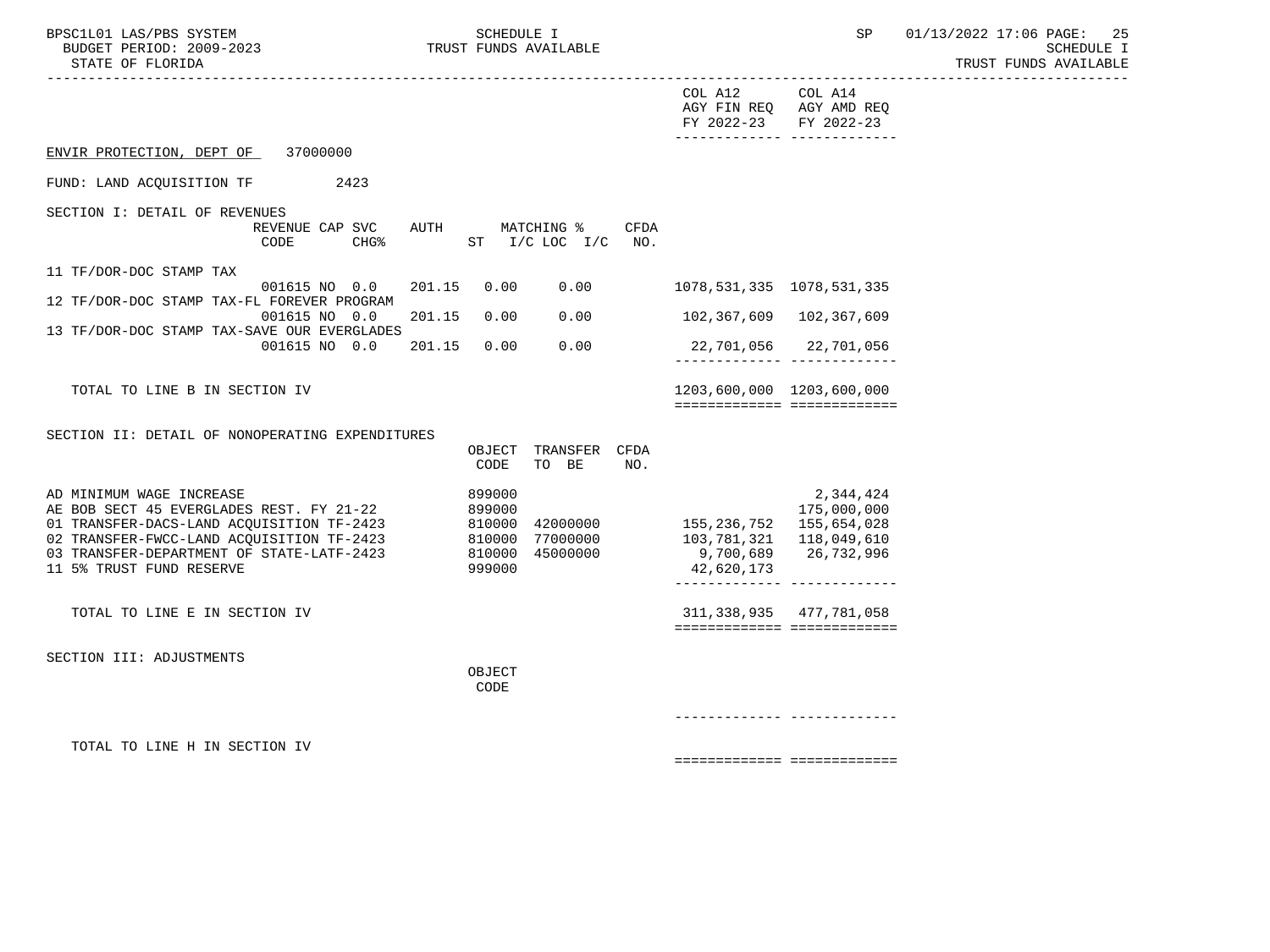| BPSC1L01 LAS/PBS SYSTEM<br>BUDGET PERIOD: 2009-2023<br>STATE OF FLORIDA                                                                                                                                                                 | SCHEDULE I<br>TRUST FUNDS AVAILABLE                                                              | SP                                                                                                                                                                  | 01/13/2022 17:06 PAGE:<br>-25<br><b>SCHEDULE I</b><br>TRUST FUNDS AVAILABLE |
|-----------------------------------------------------------------------------------------------------------------------------------------------------------------------------------------------------------------------------------------|--------------------------------------------------------------------------------------------------|---------------------------------------------------------------------------------------------------------------------------------------------------------------------|-----------------------------------------------------------------------------|
|                                                                                                                                                                                                                                         |                                                                                                  | COL A12<br>COL A14<br>AGY FIN REQ AGY AMD REQ<br>FY 2022-23 FY 2022-23<br>_________________________________                                                         |                                                                             |
| ENVIR PROTECTION, DEPT OF 37000000                                                                                                                                                                                                      |                                                                                                  |                                                                                                                                                                     |                                                                             |
| FUND: LAND ACQUISITION TF<br>2423                                                                                                                                                                                                       |                                                                                                  |                                                                                                                                                                     |                                                                             |
| SECTION I: DETAIL OF REVENUES                                                                                                                                                                                                           | REVENUE CAP SVC AUTH MATCHING %<br>CFDA                                                          |                                                                                                                                                                     |                                                                             |
| CODE<br>CHG%                                                                                                                                                                                                                            | ST I/C LOC I/C<br>NO.                                                                            |                                                                                                                                                                     |                                                                             |
| 11 TF/DOR-DOC STAMP TAX<br>001615 NO 0.0<br>12 TF/DOR-DOC STAMP TAX-FL FOREVER PROGRAM                                                                                                                                                  | 201.15<br>0.00<br>0.00                                                                           | 1078,531,335 1078,531,335                                                                                                                                           |                                                                             |
| 001615 NO 0.0<br>13 TF/DOR-DOC STAMP TAX-SAVE OUR EVERGLADES                                                                                                                                                                            | 201.15<br>0.00<br>0.00                                                                           | 102,367,609 102,367,609                                                                                                                                             |                                                                             |
| 001615 NO 0.0                                                                                                                                                                                                                           | 0.00<br>201.15<br>0.00                                                                           | 22,701,056 22,701,056<br>-------------- --------------                                                                                                              |                                                                             |
| TOTAL TO LINE B IN SECTION IV                                                                                                                                                                                                           |                                                                                                  | 1203,600,000 1203,600,000<br>============================                                                                                                           |                                                                             |
| SECTION II: DETAIL OF NONOPERATING EXPENDITURES                                                                                                                                                                                         | OBJECT TRANSFER CFDA<br>TO BE<br>CODE<br>NO.                                                     |                                                                                                                                                                     |                                                                             |
| AD MINIMUM WAGE INCREASE<br>AE BOB SECT 45 EVERGLADES REST. FY 21-22<br>01 TRANSFER-DACS-LAND ACOUISITION TF-2423<br>02 TRANSFER-FWCC-LAND ACQUISITION TF-2423<br>03 TRANSFER-DEPARTMENT OF STATE-LATF-2423<br>11 5% TRUST FUND RESERVE | 899000<br>899000<br>810000<br>810000<br>42000000<br>810000 77000000<br>810000 45000000<br>999000 | 2,344,424<br>175,000,000<br>155, 236, 752 155, 654, 028<br>103,781,321<br>118,049,610<br>26,732,996<br>9,700,689<br>42,620,173<br>_________________________________ |                                                                             |
| TOTAL TO LINE E IN SECTION IV                                                                                                                                                                                                           |                                                                                                  | 311, 338, 935 477, 781, 058<br>============================                                                                                                         |                                                                             |
| SECTION III: ADJUSTMENTS                                                                                                                                                                                                                | OBJECT<br>CODE                                                                                   |                                                                                                                                                                     |                                                                             |
|                                                                                                                                                                                                                                         |                                                                                                  | ______________ ___________                                                                                                                                          |                                                                             |
| TOTAL TO LINE H IN SECTION IV                                                                                                                                                                                                           |                                                                                                  |                                                                                                                                                                     |                                                                             |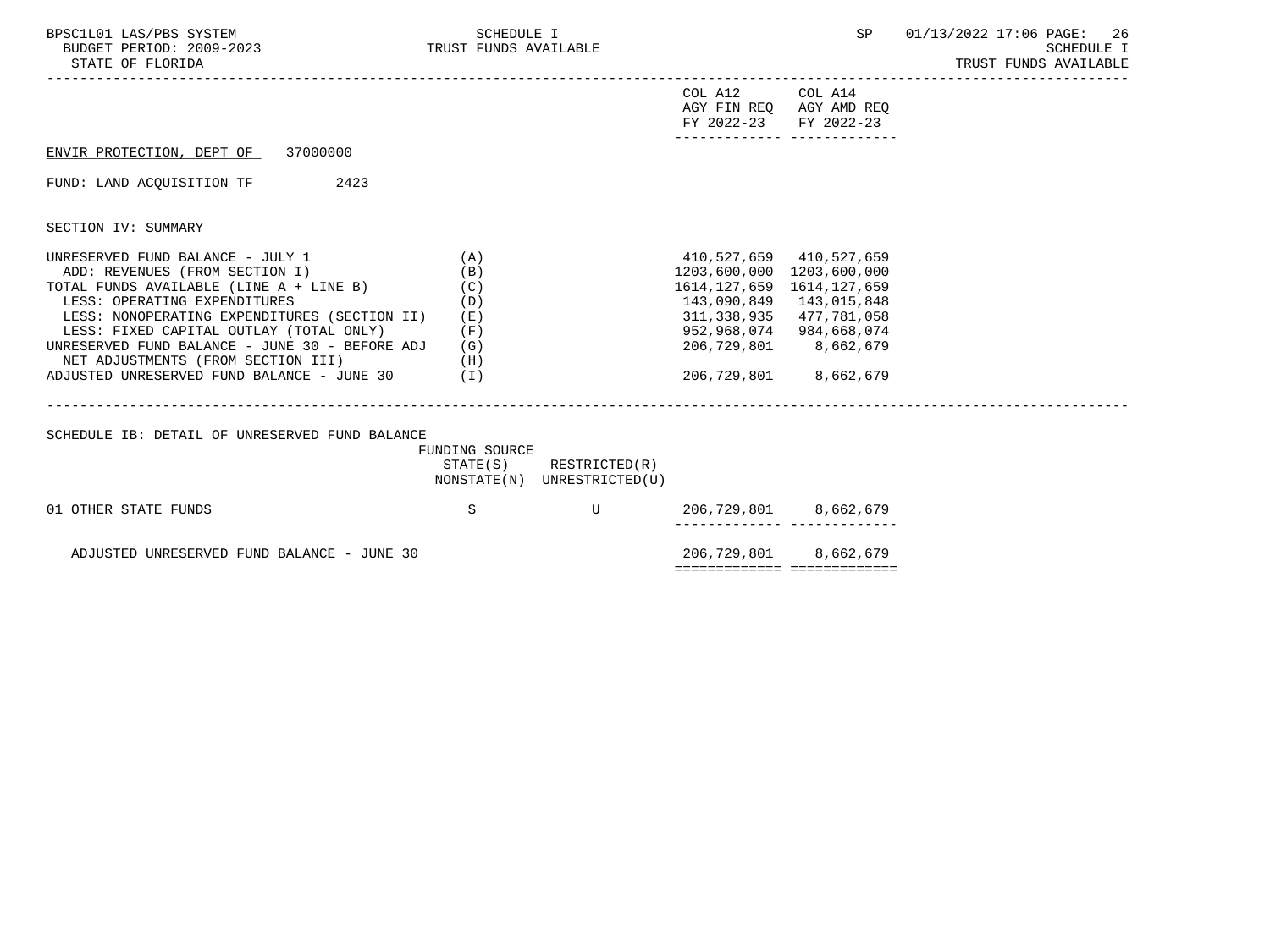| BPSC1L01 LAS/PBS SYSTEM<br>BUDGET PERIOD: 2009-2023 TRUST FUNDS AVAILABLE<br>STATE OF FLORIDA                                                                                                                                                                                                                                                                                            | SCHEDULE I                                    |                                                            |                                                                                   | --------------------------------------                                                                                          | SP 01/13/2022 17:06 PAGE: 26<br>SCHEDULE I<br>TRUST FUNDS AVAILABLE |
|------------------------------------------------------------------------------------------------------------------------------------------------------------------------------------------------------------------------------------------------------------------------------------------------------------------------------------------------------------------------------------------|-----------------------------------------------|------------------------------------------------------------|-----------------------------------------------------------------------------------|---------------------------------------------------------------------------------------------------------------------------------|---------------------------------------------------------------------|
|                                                                                                                                                                                                                                                                                                                                                                                          |                                               |                                                            | COL A12 COL A14<br>FY 2022-23 FY 2022-23                                          | AGY FIN REQ AGY AMD REQ                                                                                                         |                                                                     |
| ENVIR PROTECTION, DEPT OF 37000000                                                                                                                                                                                                                                                                                                                                                       |                                               |                                                            |                                                                                   |                                                                                                                                 |                                                                     |
| 2423<br>FUND: LAND ACOUISITION TF                                                                                                                                                                                                                                                                                                                                                        |                                               |                                                            |                                                                                   |                                                                                                                                 |                                                                     |
| SECTION IV: SUMMARY                                                                                                                                                                                                                                                                                                                                                                      |                                               |                                                            |                                                                                   |                                                                                                                                 |                                                                     |
| UNRESERVED FUND BALANCE - JULY 1<br>ADD: REVENUES (FROM SECTION I)<br>TOTAL FUNDS AVAILABLE (LINE A + LINE B)<br>LESS: OPERATING EXPENDITURES<br>LESS: NONOPERATING EXPENDITURES (SECTION II)<br>LESS: FIXED CAPITAL OUTLAY (TOTAL ONLY)<br>UNRESERVED FUND BALANCE - JUNE 30 - BEFORE ADJ<br>NET ADJUSTMENTS (FROM SECTION III) (H)<br>ADJUSTED UNRESERVED FUND BALANCE - JUNE 30 $(1)$ | (A)<br>(B)<br>(C)<br>(D)<br>(E)<br>(F)<br>(G) |                                                            | 1203,600,000 1203,600,000<br>1614,127,659 1614,127,659<br>143,090,849 143,015,848 | 410,527,659 410,527,659<br>311,338,935 477,781,058<br>952,968,074 984,668,074<br>206,729,801 8,662,679<br>206,729,801 8,662,679 |                                                                     |
| SCHEDULE IB: DETAIL OF UNRESERVED FUND BALANCE                                                                                                                                                                                                                                                                                                                                           | FUNDING SOURCE                                | $STATE(S)$ RESTRICTED $(R)$<br>NONSTATE(N) UNRESTRICTED(U) |                                                                                   |                                                                                                                                 |                                                                     |
| 01 OTHER STATE FUNDS                                                                                                                                                                                                                                                                                                                                                                     | S                                             | <b>Example 19</b>                                          | . _ _ _ _ _ _ _ _ _ _ _ _ _ _                                                     | 206,729,801 8,662,679                                                                                                           |                                                                     |
| ADJUSTED UNRESERVED FUND BALANCE - JUNE 30                                                                                                                                                                                                                                                                                                                                               |                                               |                                                            |                                                                                   | 206,729,801 8,662,679<br>============================                                                                           |                                                                     |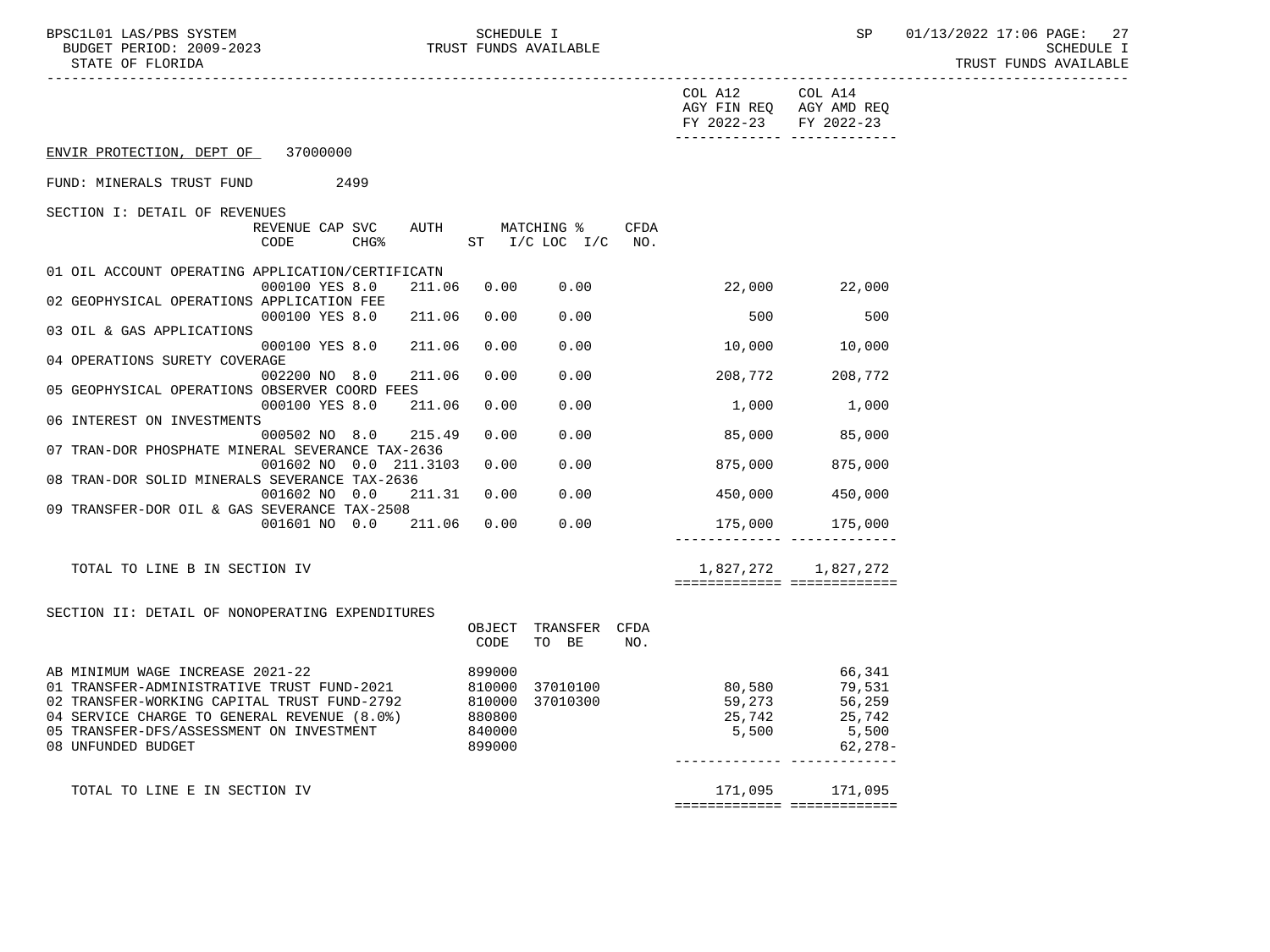BPSC1L01 LAS/PBS SYSTEM SCHEDULE I SEREDULE I SP 01/13/2022 17:06 PAGE: 27<br>BUDGET PERIOD: 2009-2023 TRUST FUNDS AVAILABLE TRUST FUNDS AVAILABLE

|                                                                                                                                                                                                                                                         |                           |                  |                            |                                                  |      | COL A12 COL A14<br>FY 2022-23 FY 2022-23 | AGY FIN REQ AGY AMD REQ<br>________________________________ |
|---------------------------------------------------------------------------------------------------------------------------------------------------------------------------------------------------------------------------------------------------------|---------------------------|------------------|----------------------------|--------------------------------------------------|------|------------------------------------------|-------------------------------------------------------------|
| ENVIR PROTECTION, DEPT OF 37000000                                                                                                                                                                                                                      |                           |                  |                            |                                                  |      |                                          |                                                             |
| FUND: MINERALS TRUST FUND                                                                                                                                                                                                                               | 2499                      |                  |                            |                                                  |      |                                          |                                                             |
| SECTION I: DETAIL OF REVENUES                                                                                                                                                                                                                           | REVENUE CAP SVC<br>CODE   | CHG <sup>8</sup> |                            | AUTH MATCHING %<br>$ST$ $I/C$ $LOC$ $I/C$ $NO$ . | CFDA |                                          |                                                             |
| 01 OIL ACCOUNT OPERATING APPLICATION/CERTIFICATN                                                                                                                                                                                                        | 000100 YES 8.0            | 211.06           | 0.00                       | 0.00                                             |      |                                          | 22,000 22,000                                               |
| 02 GEOPHYSICAL OPERATIONS APPLICATION FEE                                                                                                                                                                                                               | 000100 YES 8.0            | 211.06           | 0.00                       | 0.00                                             |      | 500                                      | 500                                                         |
| 03 OIL & GAS APPLICATIONS                                                                                                                                                                                                                               | 000100 YES 8.0 211.06     |                  |                            |                                                  |      |                                          |                                                             |
| 04 OPERATIONS SURETY COVERAGE                                                                                                                                                                                                                           |                           |                  | 0.00                       | 0.00                                             |      | 10,000                                   | 10,000                                                      |
| 05 GEOPHYSICAL OPERATIONS OBSERVER COORD FEES                                                                                                                                                                                                           | 002200 NO 8.0             | 211.06           | 0.00                       | 0.00                                             |      |                                          | 208,772 208,772                                             |
| 06 INTEREST ON INVESTMENTS                                                                                                                                                                                                                              | 000100 YES 8.0            | 211.06           | 0.00                       | 0.00                                             |      | 1,000                                    | 1,000                                                       |
| 07 TRAN-DOR PHOSPHATE MINERAL SEVERANCE TAX-2636                                                                                                                                                                                                        | 000502 NO 8.0 215.49      |                  | 0.00                       | 0.00                                             |      | 85,000                                   | 85,000                                                      |
|                                                                                                                                                                                                                                                         | 001602 NO 0.0 211.3103    |                  | 0.00                       | 0.00                                             |      | 875,000                                  | 875,000                                                     |
| 08 TRAN-DOR SOLID MINERALS SEVERANCE TAX-2636                                                                                                                                                                                                           | 001602 NO 0.0             |                  | 211.31 0.00                | 0.00                                             |      | 450,000                                  | 450,000                                                     |
| 09 TRANSFER-DOR OIL & GAS SEVERANCE TAX-2508                                                                                                                                                                                                            | 001601 NO 0.0 211.06 0.00 |                  |                            | 0.00                                             |      |                                          | 175,000 175,000                                             |
|                                                                                                                                                                                                                                                         |                           |                  |                            |                                                  |      |                                          |                                                             |
| TOTAL TO LINE B IN SECTION IV                                                                                                                                                                                                                           |                           |                  |                            |                                                  |      |                                          | 1,827,272 1,827,272                                         |
| SECTION II: DETAIL OF NONOPERATING EXPENDITURES                                                                                                                                                                                                         |                           |                  | CODE                       | OBJECT TRANSFER CFDA<br>TO BE                    | NO.  |                                          |                                                             |
| AB MINIMUM WAGE INCREASE 2021-22<br>01 TRANSFER-ADMINISTRATIVE TRUST FUND-2021 810000<br>---- ''^`'''' CAPITRAL TRUST FUND-2792 810000<br>04 SERVICE CHARGE TO GENERAL REVENUE (8.0%)<br>05 TRANSFER-DFS/ASSESSMENT ON INVESTMENT<br>08 UNFUNDED BUDGET |                           |                  | 880800<br>840000<br>899000 | 37010100<br>37010300                             |      | 80,580<br>59,273<br>25,742<br>5,500      | 66,341<br>79,531<br>56,259<br>25,742<br>5,500<br>62,278-    |
| TOTAL TO LINE E IN SECTION IV                                                                                                                                                                                                                           |                           |                  |                            |                                                  |      | ============================             | 171,095 171,095                                             |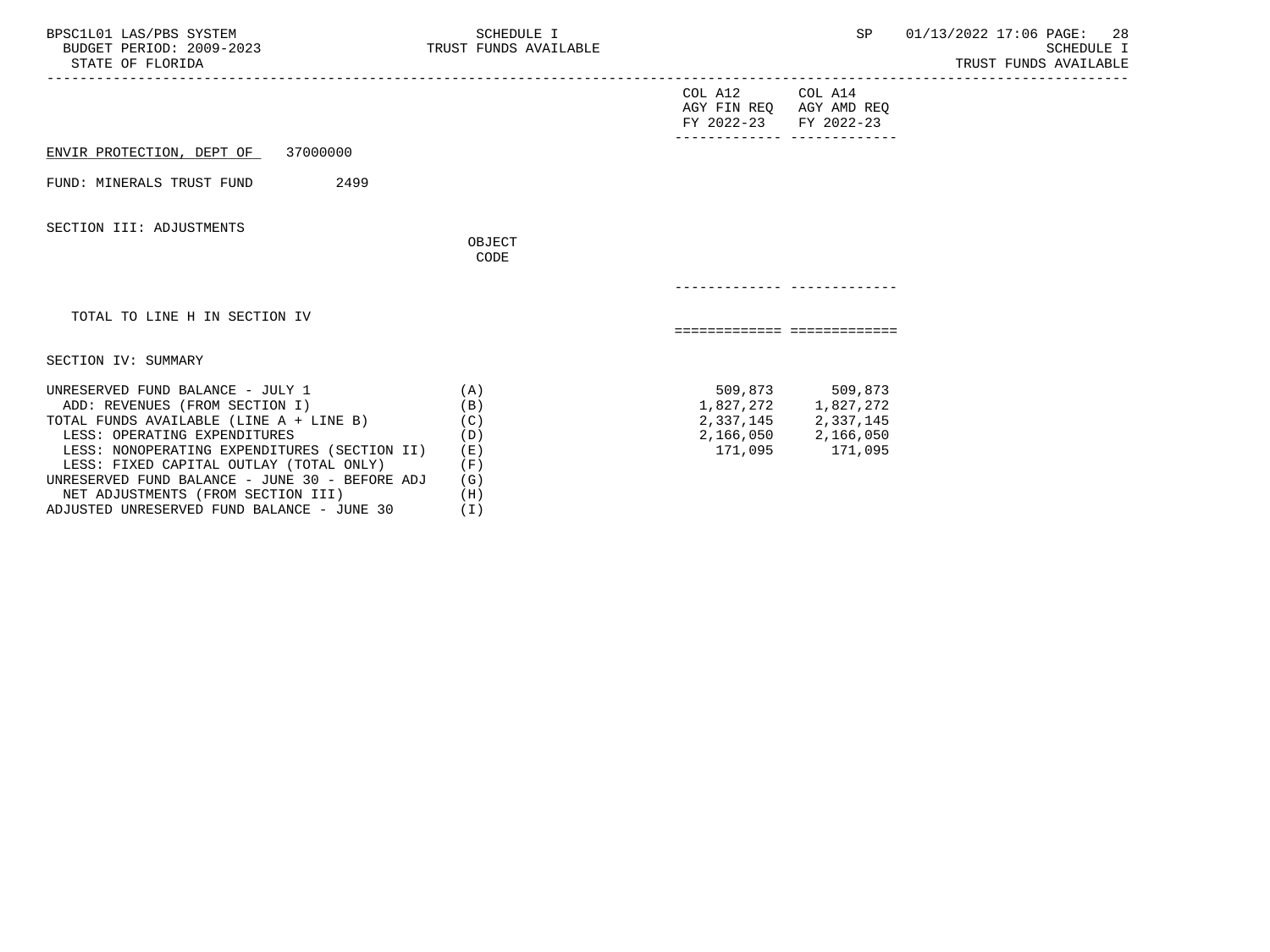| BPSC1L01 LAS/PBS SYSTEM<br>BUDGET PERIOD: 2009-2023 TRUST FUNDS AVAILABLE<br>STATE OF FLORIDA                                                                                                                                                                                                                                    | SCHEDULE I                                             |                                                                     | SP                                                                                                  | 01/13/2022 17:06 PAGE: 28<br>SCHEDULE I<br>TRUST FUNDS AVAILABLE |
|----------------------------------------------------------------------------------------------------------------------------------------------------------------------------------------------------------------------------------------------------------------------------------------------------------------------------------|--------------------------------------------------------|---------------------------------------------------------------------|-----------------------------------------------------------------------------------------------------|------------------------------------------------------------------|
|                                                                                                                                                                                                                                                                                                                                  |                                                        | COL A12 COL A14<br>AGY FIN REQ AGY AMD REQ<br>FY 2022-23 FY 2022-23 |                                                                                                     |                                                                  |
| ENVIR PROTECTION, DEPT OF 37000000                                                                                                                                                                                                                                                                                               |                                                        |                                                                     |                                                                                                     |                                                                  |
| 2499<br>FUND: MINERALS TRUST FUND                                                                                                                                                                                                                                                                                                |                                                        |                                                                     |                                                                                                     |                                                                  |
| SECTION III: ADJUSTMENTS                                                                                                                                                                                                                                                                                                         | OBJECT<br>CODE                                         |                                                                     |                                                                                                     |                                                                  |
|                                                                                                                                                                                                                                                                                                                                  |                                                        |                                                                     |                                                                                                     |                                                                  |
| TOTAL TO LINE H IN SECTION IV                                                                                                                                                                                                                                                                                                    |                                                        | ============================                                        |                                                                                                     |                                                                  |
| SECTION IV: SUMMARY                                                                                                                                                                                                                                                                                                              |                                                        |                                                                     |                                                                                                     |                                                                  |
| UNRESERVED FUND BALANCE - JULY 1<br>ADD: REVENUES (FROM SECTION I)<br>TOTAL FUNDS AVAILABLE (LINE A + LINE B)<br>LESS: OPERATING EXPENDITURES<br>LESS: NONOPERATING EXPENDITURES (SECTION II)<br>LESS: FIXED CAPITAL OUTLAY (TOTAL ONLY)<br>UNRESERVED FUND BALANCE - JUNE 30 - BEFORE ADJ<br>NET ADJUSTMENTS (FROM SECTION III) | (A)<br>(B)<br>(C)<br>(D)<br>( E )<br>(F)<br>(G)<br>(H) | 171,095                                                             | 509,873 509,873<br>$1,827,272$ $1,827,272$<br>2,337,145 2,337,145<br>2,166,050 2,166,050<br>171,095 |                                                                  |

ADJUSTED UNRESERVED FUND BALANCE - JUNE 30 (I)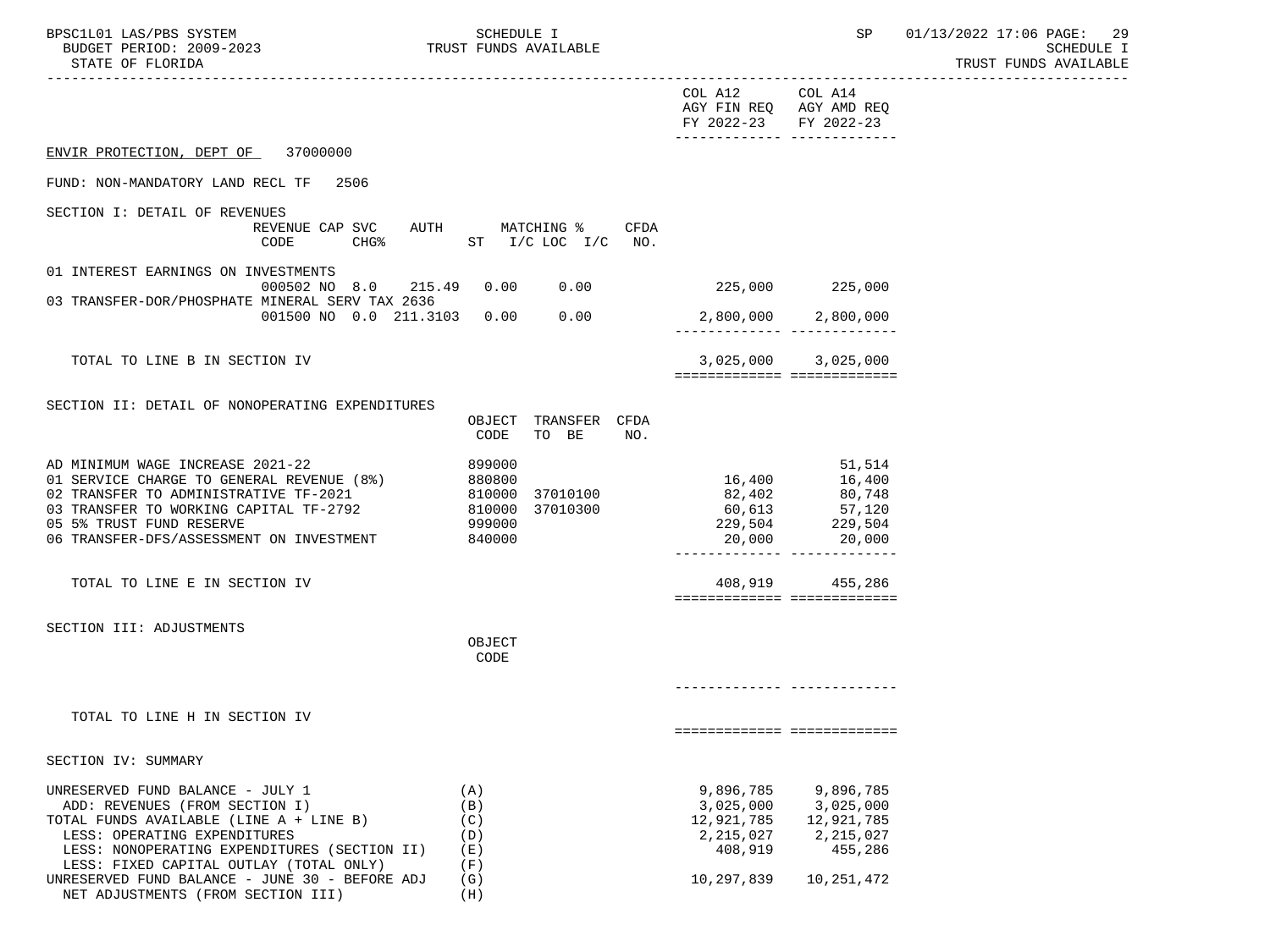| BPSC1L01 LAS/PBS SYSTEM  |  | SCHEDULE 1 |                       | SP | 01/13/2022 17:06 PAGE: 29 |                       |  |
|--------------------------|--|------------|-----------------------|----|---------------------------|-----------------------|--|
| BUDGET PERIOD: 2009-2023 |  |            | TRUST FUNDS AVAILABLE |    |                           | SCHEDULE I            |  |
| STATE OF FLORIDA         |  |            |                       |    |                           | TRUST FUNDS AVAILABLE |  |

|                                                                                                                                                                                                                                                 |                                        |                                    |     | COL A12 COL A14<br>AGY FIN REQ AGY AMD REQ<br>FY 2022-23 FY 2022-23 | _________________________________                                                              |  |
|-------------------------------------------------------------------------------------------------------------------------------------------------------------------------------------------------------------------------------------------------|----------------------------------------|------------------------------------|-----|---------------------------------------------------------------------|------------------------------------------------------------------------------------------------|--|
| ENVIR PROTECTION, DEPT OF 37000000                                                                                                                                                                                                              |                                        |                                    |     |                                                                     |                                                                                                |  |
| FUND: NON-MANDATORY LAND RECL TF 2506                                                                                                                                                                                                           |                                        |                                    |     |                                                                     |                                                                                                |  |
| SECTION I: DETAIL OF REVENUES<br>REVENUE CAP SVC AUTH MATCHING % CFDA<br>CHG% ST I/C LOC I/C NO.<br>CODE                                                                                                                                        |                                        |                                    |     |                                                                     |                                                                                                |  |
| 01 INTEREST EARNINGS ON INVESTMENTS<br>000502 NO 8.0 215.49 0.00 0.00                                                                                                                                                                           |                                        |                                    |     | 225,000 225,000                                                     |                                                                                                |  |
| 03 TRANSFER-DOR/PHOSPHATE MINERAL SERV TAX 2636<br>001500 NO 0.0 211.3103 0.00 0.00                                                                                                                                                             |                                        |                                    |     |                                                                     | 2,800,000 2,800,000<br>_________ __________                                                    |  |
| TOTAL TO LINE B IN SECTION IV                                                                                                                                                                                                                   |                                        |                                    |     |                                                                     | 3,025,000 3,025,000<br>============================                                            |  |
| SECTION II: DETAIL OF NONOPERATING EXPENDITURES                                                                                                                                                                                                 | CODE                                   | OBJECT TRANSFER CFDA<br>TO BE      | NO. |                                                                     |                                                                                                |  |
| AD MINIMUM WAGE INCREASE 2021-22<br>01 SERVICE CHARGE TO GENERAL REVENUE (8%) 880800<br>02 TRANSFER TO ADMINISTRATIVE TF-2021<br>03 TRANSFER TO WORKING CAPITAL TF-2792<br>05 5% TRUST FUND RESERVE<br>06 TRANSFER-DFS/ASSESSMENT ON INVESTMENT | 899000<br>999000<br>840000             | 810000 37010100<br>810000 37010300 |     | 16,400<br>82,402<br>60,613<br>229,504<br>20,000                     | 51,514<br>16,400<br>80,748<br>57,120<br>229,504<br>20,000<br>_________________________________ |  |
| TOTAL TO LINE E IN SECTION IV                                                                                                                                                                                                                   |                                        |                                    |     |                                                                     | 408,919 455,286<br>===========================                                                 |  |
| SECTION III: ADJUSTMENTS                                                                                                                                                                                                                        | OBJECT<br>CODE                         |                                    |     |                                                                     |                                                                                                |  |
| TOTAL TO LINE H IN SECTION IV                                                                                                                                                                                                                   |                                        |                                    |     |                                                                     | ===========================                                                                    |  |
| SECTION IV: SUMMARY                                                                                                                                                                                                                             |                                        |                                    |     |                                                                     |                                                                                                |  |
| UNRESERVED FUND BALANCE - JULY 1<br>ADD: REVENUES (FROM SECTION I)<br>TOTAL FUNDS AVAILABLE (LINE A + LINE B)<br>LESS: OPERATING EXPENDITURES<br>LESS: NONOPERATING EXPENDITURES (SECTION II)<br>LESS: FIXED CAPITAL OUTLAY (TOTAL ONLY)        | (A)<br>(B)<br>(C)<br>(D)<br>(E)<br>(F) |                                    |     | 9,896,785<br>3,025,000<br>12,921,785<br>2,215,027<br>408,919        | 9,896,785<br>3,025,000<br>12,921,785<br>2,215,027<br>455,286                                   |  |
| UNRESERVED FUND BALANCE - JUNE 30 - BEFORE ADJ                                                                                                                                                                                                  | (G)                                    |                                    |     | 10,297,839                                                          | 10,251,472                                                                                     |  |

NET ADJUSTMENTS (FROM SECTION III) (H)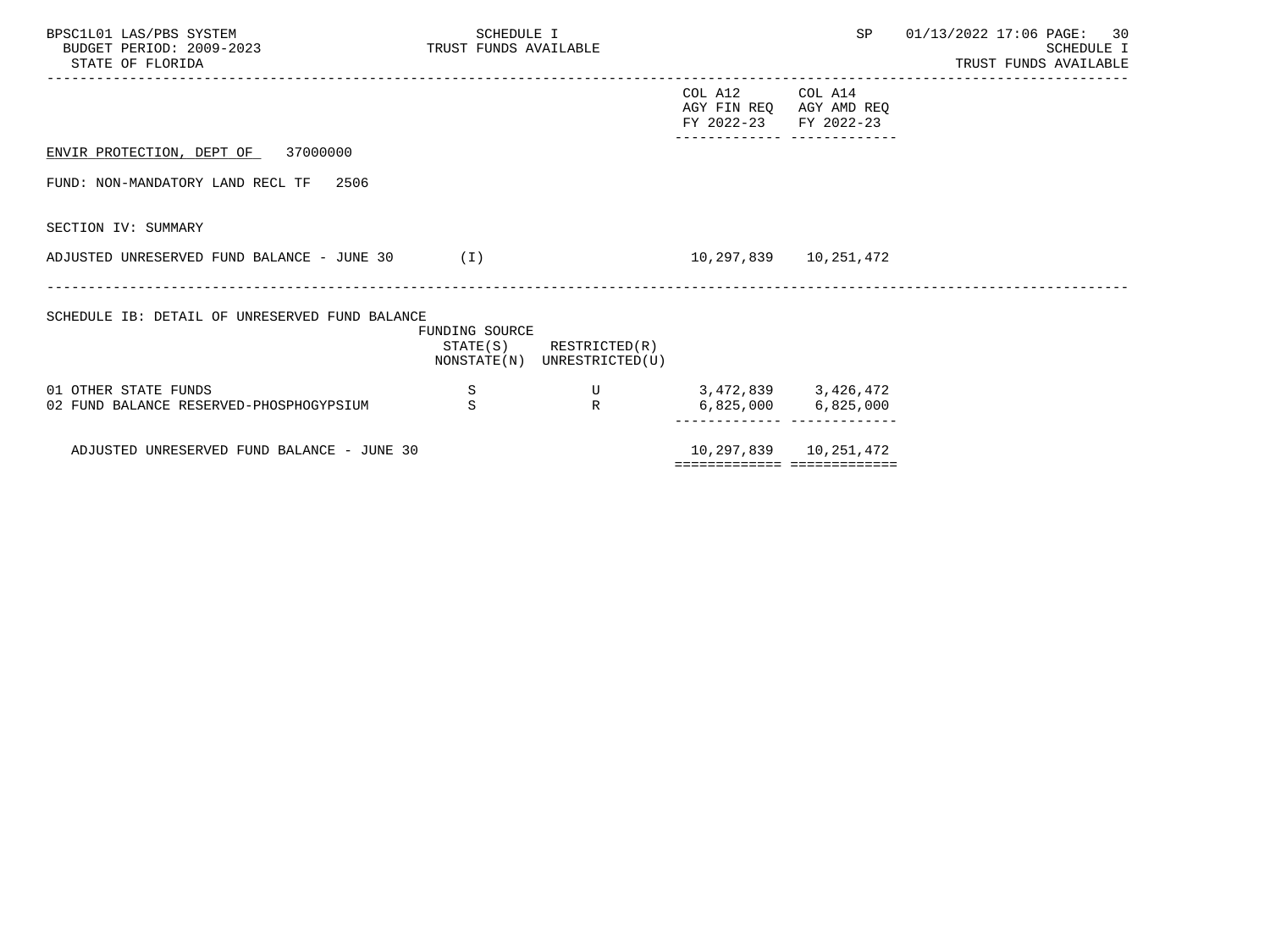| BPSC1L01 LAS/PBS SYSTEM<br>BUDGET PERIOD: 2009-2023 TRUST FUNDS AVAILABLE<br>STATE OF FLORIDA | SCHEDULE I       |                                                            |                                                                     |                     | SP 01/13/2022 17:06 PAGE: 30<br>SCHEDULE I<br>TRUST FUNDS AVAILABLE<br>------------------ |
|-----------------------------------------------------------------------------------------------|------------------|------------------------------------------------------------|---------------------------------------------------------------------|---------------------|-------------------------------------------------------------------------------------------|
|                                                                                               |                  |                                                            | COL A12 COL A14<br>AGY FIN REQ AGY AMD REQ<br>FY 2022-23 FY 2022-23 |                     |                                                                                           |
| ENVIR PROTECTION, DEPT OF 37000000                                                            |                  |                                                            |                                                                     |                     |                                                                                           |
| FUND: NON-MANDATORY LAND RECL TF 2506                                                         |                  |                                                            |                                                                     |                     |                                                                                           |
| SECTION IV: SUMMARY                                                                           |                  |                                                            |                                                                     |                     |                                                                                           |
| ADJUSTED UNRESERVED FUND BALANCE - JUNE 30 (I)                                                |                  |                                                            | 10, 297, 839   10, 251, 472                                         |                     |                                                                                           |
| SCHEDULE IB: DETAIL OF UNRESERVED FUND BALANCE                                                | FUNDING SOURCE   | $STATE(S)$ RESTRICTED $(R)$<br>NONSTATE(N) UNRESTRICTED(U) |                                                                     |                     |                                                                                           |
| 01 OTHER STATE FUNDS<br>02 FUND BALANCE RESERVED-PHOSPHOGYPSIUM                               | S<br>$\mathbf S$ | R                                                          | U 3,472,839 3,426,472                                               | 6,825,000 6,825,000 |                                                                                           |
|                                                                                               |                  |                                                            |                                                                     |                     |                                                                                           |
| ADJUSTED UNRESERVED FUND BALANCE - JUNE 30                                                    |                  |                                                            | 10,297,839   10,251,472<br>===========================              |                     |                                                                                           |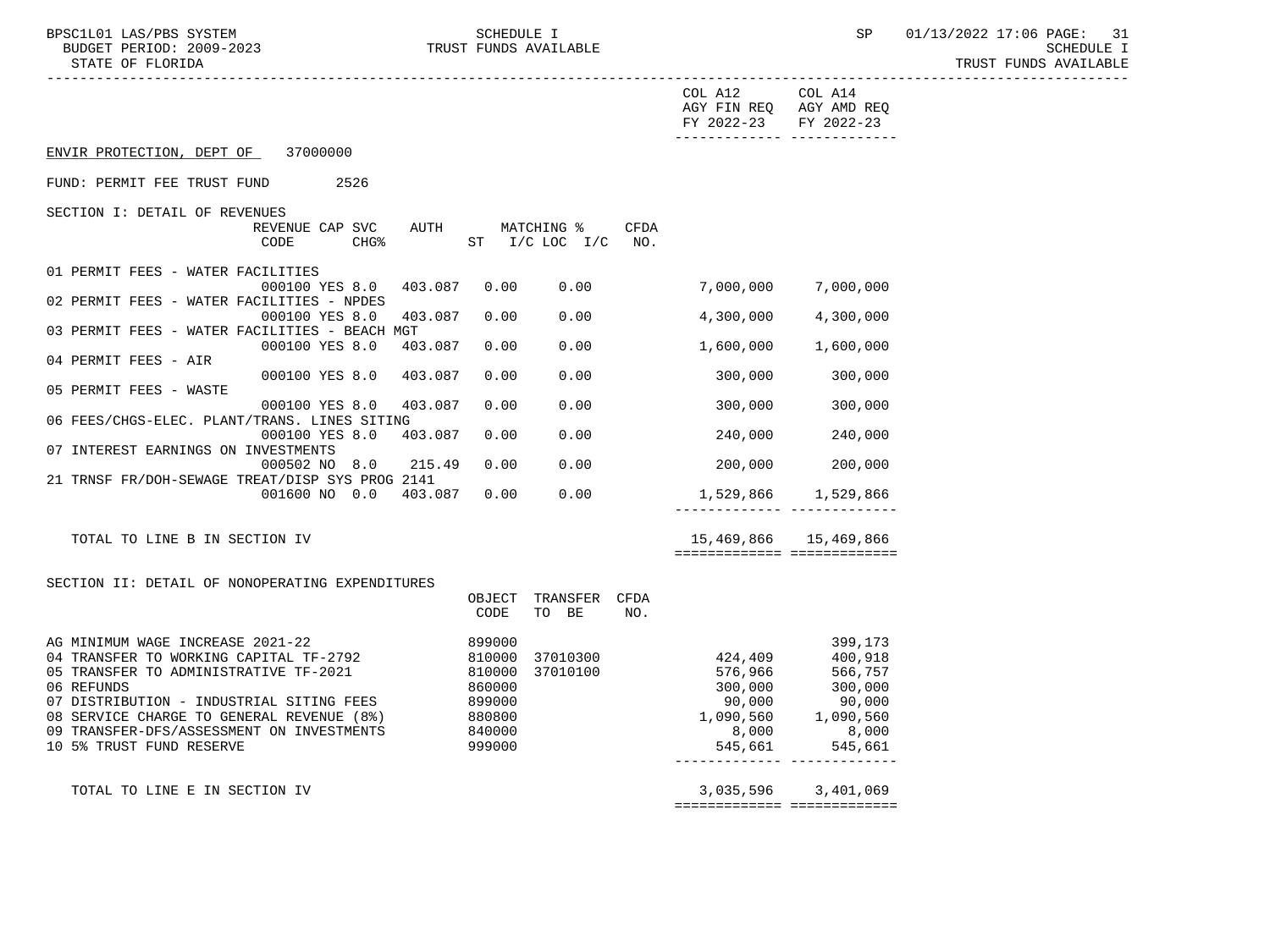BPSC1L01 LAS/PBS SYSTEM SCHEDULE I SCHEDULE I SP 01/13/2022 17:06 PAGE: 31 BUDGET PERIOD: 2009-2023 TRUST FUNDS AVAILABLE SCHEDULE I STATE OF FLORIDA TRUST FUNDS AVAILABLE

|                                                                                                                                                                                                                                                                                                     |                                                                              |                                           |      | COL A12<br>AGY FIN REQ AGY AMD REQ<br>FY 2022-23 FY 2022-23                                                 | COL A14<br>-------------- --------------                                          |
|-----------------------------------------------------------------------------------------------------------------------------------------------------------------------------------------------------------------------------------------------------------------------------------------------------|------------------------------------------------------------------------------|-------------------------------------------|------|-------------------------------------------------------------------------------------------------------------|-----------------------------------------------------------------------------------|
| ENVIR PROTECTION, DEPT OF 37000000                                                                                                                                                                                                                                                                  |                                                                              |                                           |      |                                                                                                             |                                                                                   |
| FUND: PERMIT FEE TRUST FUND<br>2526                                                                                                                                                                                                                                                                 |                                                                              |                                           |      |                                                                                                             |                                                                                   |
| SECTION I: DETAIL OF REVENUES<br>REVENUE CAP SVC<br>CODE<br>CHG <sup>8</sup>                                                                                                                                                                                                                        |                                                                              | AUTH MATCHING %<br>ST $I/C$ LOC $I/C$ NO. | CFDA |                                                                                                             |                                                                                   |
| 01 PERMIT FEES - WATER FACILITIES<br>403.087<br>000100 YES 8.0                                                                                                                                                                                                                                      | 0.00                                                                         | 0.00                                      |      | 7,000,000                                                                                                   | 7,000,000                                                                         |
| 02 PERMIT FEES - WATER FACILITIES - NPDES<br>000100 YES 8.0<br>403.087                                                                                                                                                                                                                              | 0.00                                                                         | 0.00                                      |      | 4,300,000                                                                                                   | 4,300,000                                                                         |
| 03 PERMIT FEES - WATER FACILITIES - BEACH MGT<br>000100 YES 8.0<br>403.087                                                                                                                                                                                                                          | 0.00                                                                         | 0.00                                      |      | 1,600,000                                                                                                   | 1,600,000                                                                         |
| 04 PERMIT FEES - AIR<br>000100 YES 8.0 403.087                                                                                                                                                                                                                                                      | 0.00                                                                         | 0.00                                      |      | 300,000                                                                                                     | 300,000                                                                           |
| 05 PERMIT FEES - WASTE<br>000100 YES 8.0<br>403.087                                                                                                                                                                                                                                                 | 0.00                                                                         | 0.00                                      |      | 300,000                                                                                                     | 300,000                                                                           |
| 06 FEES/CHGS-ELEC. PLANT/TRANS. LINES SITING<br>000100 YES 8.0<br>403.087                                                                                                                                                                                                                           | 0.00                                                                         | 0.00                                      |      | 240,000                                                                                                     | 240,000                                                                           |
| 07 INTEREST EARNINGS ON INVESTMENTS<br>215.49<br>000502 NO 8.0                                                                                                                                                                                                                                      | 0.00                                                                         | 0.00                                      |      |                                                                                                             | 200,000 200,000                                                                   |
| 21 TRNSF FR/DOH-SEWAGE TREAT/DISP SYS PROG 2141<br>001600 NO 0.0 403.087                                                                                                                                                                                                                            | 0.00                                                                         | 0.00                                      |      |                                                                                                             | 1,529,866 1,529,866                                                               |
| TOTAL TO LINE B IN SECTION IV                                                                                                                                                                                                                                                                       |                                                                              |                                           |      |                                                                                                             | -------------- --------------<br>15,469,866 15,469,866                            |
|                                                                                                                                                                                                                                                                                                     |                                                                              |                                           |      | ============================                                                                                |                                                                                   |
| SECTION II: DETAIL OF NONOPERATING EXPENDITURES                                                                                                                                                                                                                                                     | OBJECT<br>CODE                                                               | TRANSFER CFDA<br>TO BE                    | NO.  |                                                                                                             |                                                                                   |
| AG MINIMUM WAGE INCREASE 2021-22<br>04 TRANSFER TO WORKING CAPITAL TF-2792<br>05 TRANSFER TO ADMINISTRATIVE TF-2021<br>06 REFUNDS<br>07 DISTRIBUTION - INDUSTRIAL SITING FEES<br>08 SERVICE CHARGE TO GENERAL REVENUE (8%)<br>09 TRANSFER-DFS/ASSESSMENT ON INVESTMENTS<br>10 5% TRUST FUND RESERVE | 899000<br>810000<br>810000<br>860000<br>899000<br>880800<br>840000<br>999000 | 37010300<br>37010100                      |      | 424,409<br>576,966<br>300,000<br>90,000<br>1,090,560<br>8,000<br>545,661<br>_______________________________ | 399,173<br>400,918<br>566,757<br>300,000<br>.,.,<br>1,090,560<br>8,000<br>545,661 |
| TOTAL TO LINE E IN SECTION IV                                                                                                                                                                                                                                                                       |                                                                              |                                           |      |                                                                                                             | 3,035,596 3,401,069                                                               |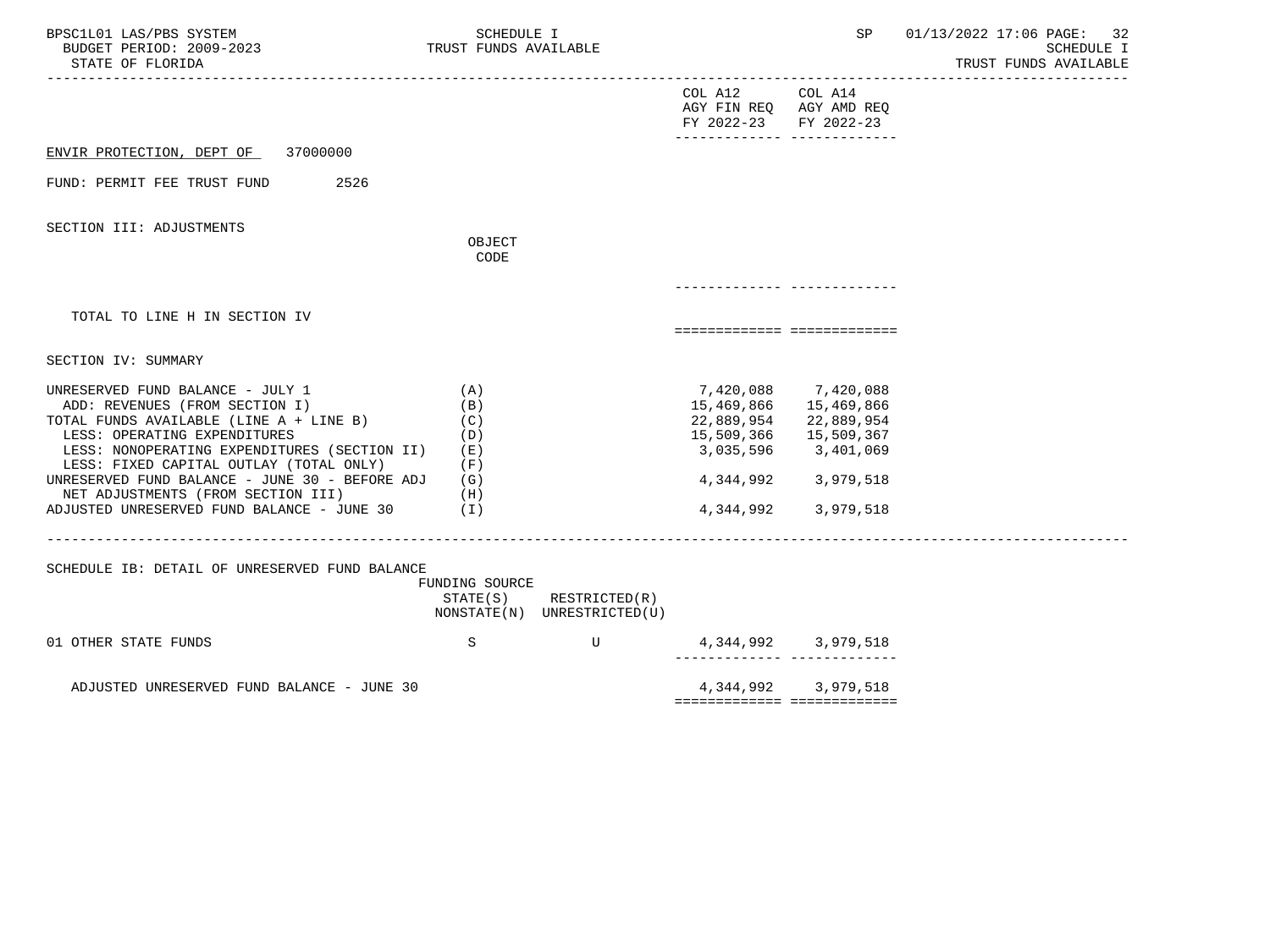| BPSC1L01 LAS/PBS SYSTEM<br>BUDGET PERIOD: 2009-2023<br>STATE OF FLORIDA                                                                                                                                                                                                                                                                                                        | SCHEDULE I<br>TRUST FUNDS AVAILABLE                                |                                              |                                                          | SP                                                                                                                                                  | 01/13/2022 17:06 PAGE:<br>32<br><b>SCHEDULE I</b><br>TRUST FUNDS AVAILABLE |
|--------------------------------------------------------------------------------------------------------------------------------------------------------------------------------------------------------------------------------------------------------------------------------------------------------------------------------------------------------------------------------|--------------------------------------------------------------------|----------------------------------------------|----------------------------------------------------------|-----------------------------------------------------------------------------------------------------------------------------------------------------|----------------------------------------------------------------------------|
|                                                                                                                                                                                                                                                                                                                                                                                |                                                                    |                                              | COL A12 COL A14<br>AGY FIN REQ AGY AMD REQ<br>FY 2022-23 | FY 2022-23<br>-------------- --------------                                                                                                         |                                                                            |
| ENVIR PROTECTION, DEPT OF 37000000                                                                                                                                                                                                                                                                                                                                             |                                                                    |                                              |                                                          |                                                                                                                                                     |                                                                            |
| 2526<br>FUND: PERMIT FEE TRUST FUND                                                                                                                                                                                                                                                                                                                                            |                                                                    |                                              |                                                          |                                                                                                                                                     |                                                                            |
| SECTION III: ADJUSTMENTS                                                                                                                                                                                                                                                                                                                                                       | OBJECT<br>CODE                                                     |                                              |                                                          |                                                                                                                                                     |                                                                            |
|                                                                                                                                                                                                                                                                                                                                                                                |                                                                    |                                              |                                                          |                                                                                                                                                     |                                                                            |
| TOTAL TO LINE H IN SECTION IV                                                                                                                                                                                                                                                                                                                                                  |                                                                    |                                              |                                                          | ============================                                                                                                                        |                                                                            |
| SECTION IV: SUMMARY                                                                                                                                                                                                                                                                                                                                                            |                                                                    |                                              |                                                          |                                                                                                                                                     |                                                                            |
| UNRESERVED FUND BALANCE - JULY 1<br>ADD: REVENUES (FROM SECTION I)<br>TOTAL FUNDS AVAILABLE (LINE A + LINE B)<br>LESS: OPERATING EXPENDITURES<br>LESS: NONOPERATING EXPENDITURES (SECTION II)<br>LESS: FIXED CAPITAL OUTLAY (TOTAL ONLY)<br>UNRESERVED FUND BALANCE - JUNE 30 - BEFORE ADJ<br>NET ADJUSTMENTS (FROM SECTION III)<br>ADJUSTED UNRESERVED FUND BALANCE - JUNE 30 | (A)<br>(B)<br>(C)<br>(D)<br>( E )<br>(F)<br>(G)<br>(H)<br>$(\top)$ |                                              | 3,035,596<br>4,344,992                                   | 7,420,088 7,420,088<br>15,469,866 15,469,866<br>22,889,954 22,889,954<br>15,509,366 15,509,367<br>3,401,069<br>4, 344, 992 3, 979, 518<br>3,979,518 |                                                                            |
| SCHEDULE IB: DETAIL OF UNRESERVED FUND BALANCE                                                                                                                                                                                                                                                                                                                                 | FUNDING SOURCE<br>STATE(S)                                         | RESTRICTED(R)<br>NONSTATE(N) UNRESTRICTED(U) |                                                          |                                                                                                                                                     |                                                                            |
| 01 OTHER STATE FUNDS                                                                                                                                                                                                                                                                                                                                                           | S                                                                  | U                                            |                                                          | 4, 344, 992 3, 979, 518                                                                                                                             |                                                                            |
| ADJUSTED UNRESERVED FUND BALANCE - JUNE 30                                                                                                                                                                                                                                                                                                                                     |                                                                    |                                              |                                                          | 4, 344, 992 3, 979, 518<br>============================                                                                                             |                                                                            |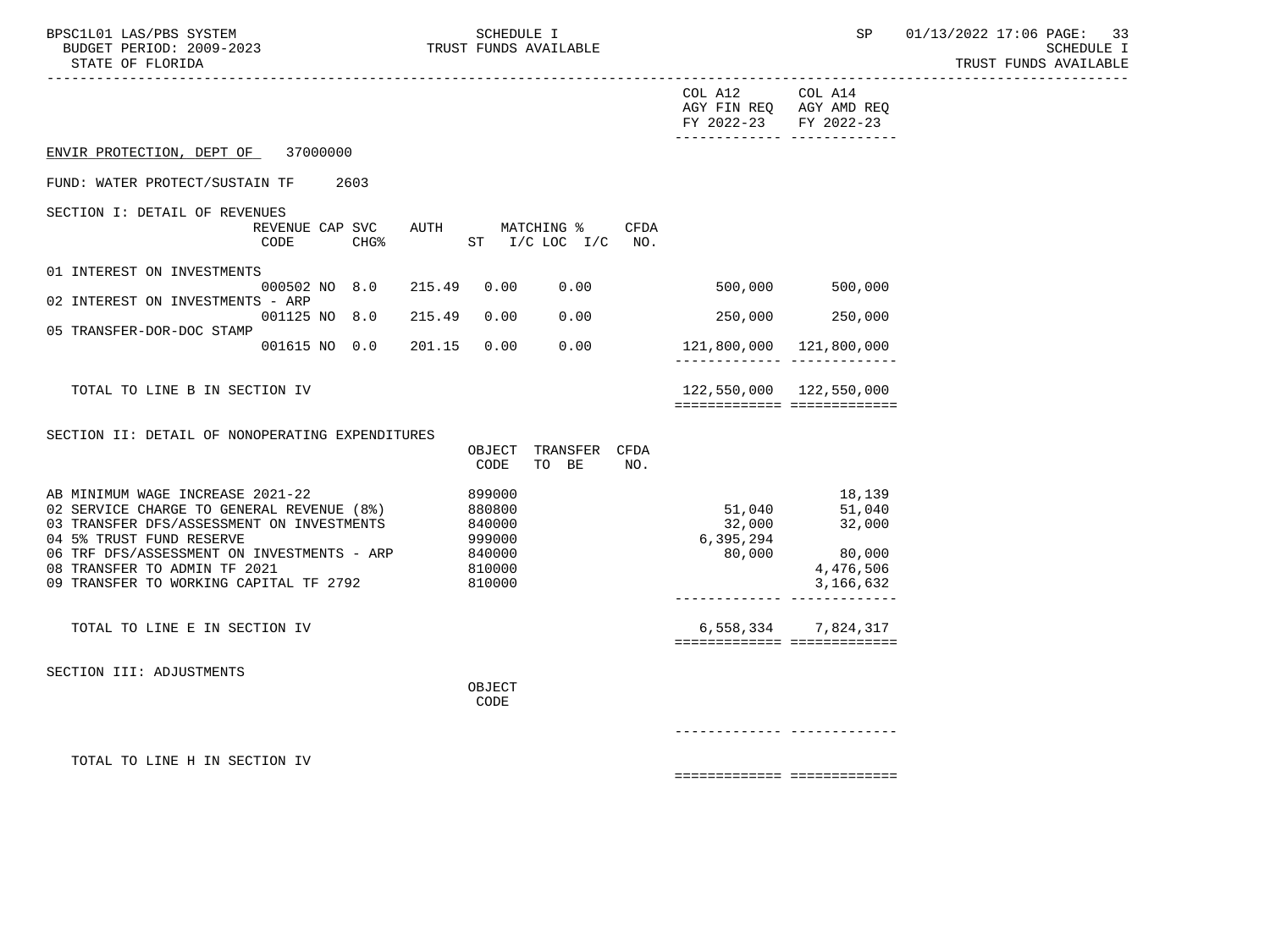| BPSC1L01 LAS/PBS SYSTEM<br>BUDGET PERIOD: 2009-2023<br>STATE OF FLORIDA<br>----------------------                                                                                                                                                                              | _____________________   |                  |        | SCHEDULE I                                                         | TRUST FUNDS AVAILABLE         |             |                                          | SP                                                                                              | 01/13/2022 17:06 PAGE:<br>33<br>SCHEDULE I<br>TRUST FUNDS AVAILABLE |
|--------------------------------------------------------------------------------------------------------------------------------------------------------------------------------------------------------------------------------------------------------------------------------|-------------------------|------------------|--------|--------------------------------------------------------------------|-------------------------------|-------------|------------------------------------------|-------------------------------------------------------------------------------------------------|---------------------------------------------------------------------|
|                                                                                                                                                                                                                                                                                |                         |                  |        |                                                                    |                               |             | COL A12 COL A14<br>FY 2022-23 FY 2022-23 | AGY FIN REQ AGY AMD REQ                                                                         |                                                                     |
| ENVIR PROTECTION, DEPT OF                                                                                                                                                                                                                                                      | 37000000                |                  |        |                                                                    |                               |             |                                          |                                                                                                 |                                                                     |
| FUND: WATER PROTECT/SUSTAIN TF                                                                                                                                                                                                                                                 |                         | 2603             |        |                                                                    |                               |             |                                          |                                                                                                 |                                                                     |
| SECTION I: DETAIL OF REVENUES                                                                                                                                                                                                                                                  | REVENUE CAP SVC<br>CODE | CHG <sup>8</sup> | AUTH   |                                                                    | MATCHING %<br>ST I/C LOC I/C  | CFDA<br>NO. |                                          |                                                                                                 |                                                                     |
| 01 INTEREST ON INVESTMENTS                                                                                                                                                                                                                                                     | 000502 NO 8.0           |                  | 215.49 | 0.00                                                               | 0.00                          |             | 500,000                                  | 500,000                                                                                         |                                                                     |
| 02 INTEREST ON INVESTMENTS - ARP                                                                                                                                                                                                                                               | 001125 NO 8.0           |                  | 215.49 | 0.00                                                               | 0.00                          |             | 250,000                                  | 250,000                                                                                         |                                                                     |
| 05 TRANSFER-DOR-DOC STAMP                                                                                                                                                                                                                                                      | 001615 NO 0.0           |                  | 201.15 | 0.00                                                               | 0.00                          |             |                                          | 121,800,000 121,800,000                                                                         |                                                                     |
| TOTAL TO LINE B IN SECTION IV                                                                                                                                                                                                                                                  |                         |                  |        |                                                                    |                               |             |                                          | 122,550,000 122,550,000<br>============================                                         |                                                                     |
| SECTION II: DETAIL OF NONOPERATING EXPENDITURES                                                                                                                                                                                                                                |                         |                  |        | CODE                                                               | OBJECT TRANSFER CFDA<br>TO BE | NO.         |                                          |                                                                                                 |                                                                     |
| AB MINIMUM WAGE INCREASE 2021-22<br>02 SERVICE CHARGE TO GENERAL REVENUE (8%)<br>03 TRANSFER DFS/ASSESSMENT ON INVESTMENTS<br>04 5% TRUST FUND RESERVE<br>06 TRF DFS/ASSESSMENT ON INVESTMENTS - ARP<br>08 TRANSFER TO ADMIN TF 2021<br>09 TRANSFER TO WORKING CAPITAL TF 2792 |                         |                  |        | 899000<br>880800<br>840000<br>999000<br>840000<br>810000<br>810000 |                               |             | 51,040<br>32,000<br>6,395,294<br>80,000  | 18,139<br>51,040<br>32,000<br>80,000<br>4,476,506<br>3,166,632<br>-------------- -------------- |                                                                     |
| TOTAL TO LINE E IN SECTION IV                                                                                                                                                                                                                                                  |                         |                  |        |                                                                    |                               |             |                                          | 6,558,334 7,824,317<br>============================                                             |                                                                     |
| SECTION III: ADJUSTMENTS                                                                                                                                                                                                                                                       |                         |                  |        | OBJECT<br>CODE                                                     |                               |             |                                          |                                                                                                 |                                                                     |
|                                                                                                                                                                                                                                                                                |                         |                  |        |                                                                    |                               |             |                                          | __________ __________                                                                           |                                                                     |
| TOTAL TO LINE H IN SECTION IV                                                                                                                                                                                                                                                  |                         |                  |        |                                                                    |                               |             |                                          | ===========================                                                                     |                                                                     |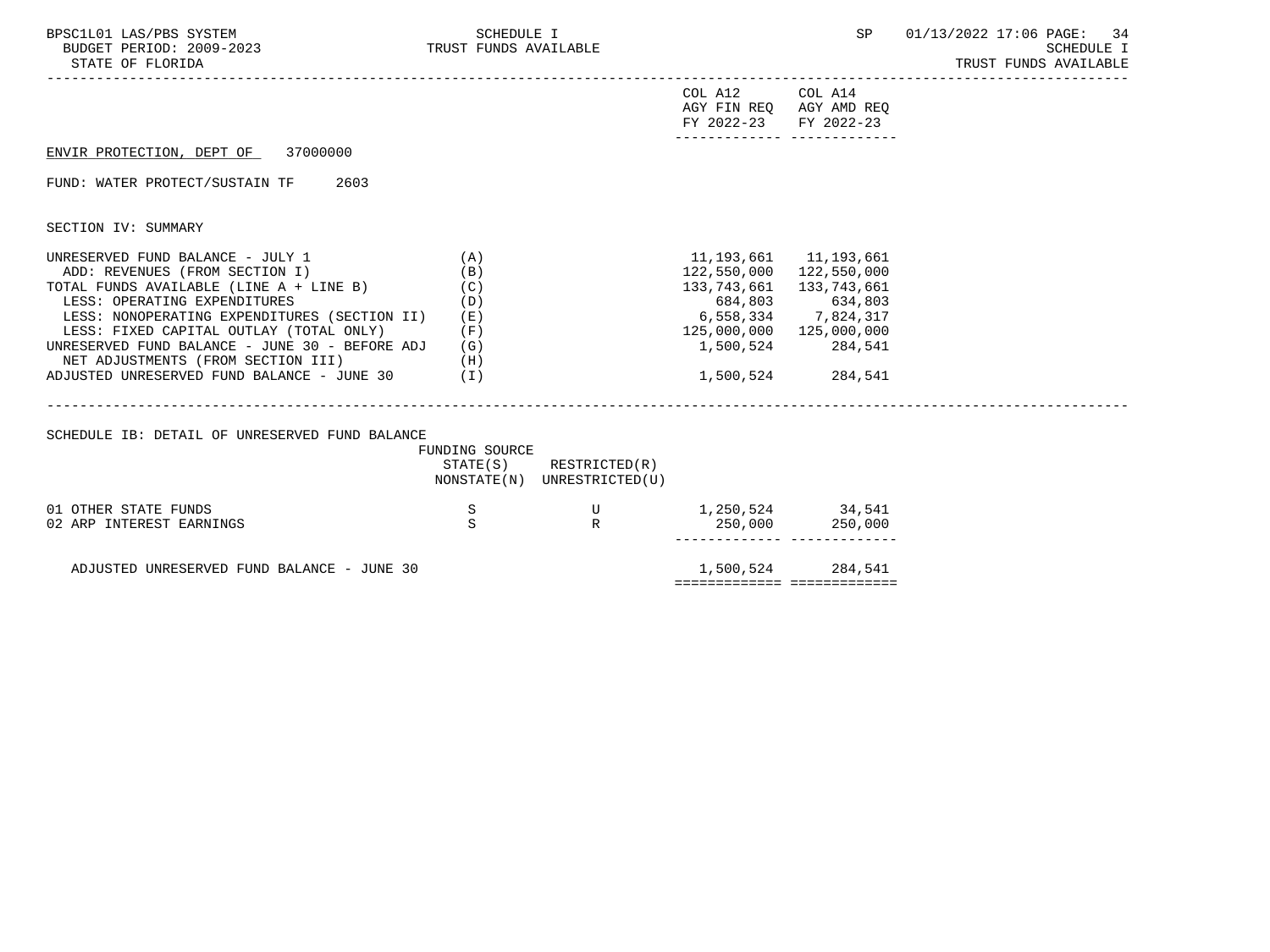| BPSC1L01 LAS/PBS SYSTEM<br>BUDGET PERIOD: 2009-2023 TRUST FUNDS AVAILABLE<br>STATE OF FLORIDA                                                   | SCHEDULE I          |                                                       |                                                                                     | SP                                              | 01/13/2022 17:06 PAGE: 34<br>SCHEDULE I<br>TRUST FUNDS AVAILABLE |
|-------------------------------------------------------------------------------------------------------------------------------------------------|---------------------|-------------------------------------------------------|-------------------------------------------------------------------------------------|-------------------------------------------------|------------------------------------------------------------------|
|                                                                                                                                                 |                     |                                                       | COL A12<br>AGY FIN REQ AGY AMD REQ<br>FY 2022-23 FY 2022-23                         | COL A14<br>------------- --------------         |                                                                  |
| ENVIR PROTECTION, DEPT OF 37000000                                                                                                              |                     |                                                       |                                                                                     |                                                 |                                                                  |
| FUND: WATER PROTECT/SUSTAIN TF<br>2603                                                                                                          |                     |                                                       |                                                                                     |                                                 |                                                                  |
| SECTION IV: SUMMARY                                                                                                                             |                     |                                                       |                                                                                     |                                                 |                                                                  |
| UNRESERVED FUND BALANCE - JULY 1<br>ADD: REVENUES (FROM SECTION I)<br>TOTAL FUNDS AVAILABLE (LINE A + LINE B) $(C)$                             | (A)<br>(B)          |                                                       | 11, 193, 661 11, 193, 661<br>122,550,000 122,550,000<br>133, 743, 661 133, 743, 661 |                                                 |                                                                  |
| LESS: OPERATING EXPENDITURES<br>LESS: NONOPERATING EXPENDITURES (SECTION II)<br>LESS: FIXED CAPITAL OUTLAY (TOTAL ONLY)                         | (D)<br>( E )<br>(F) |                                                       | 684,803 634,803<br>6,558,334 7,824,317<br>125,000,000 125,000,000                   |                                                 |                                                                  |
| UNRESERVED FUND BALANCE - JUNE 30 - BEFORE ADJ<br>NET ADJUSTMENTS (FROM SECTION III)<br>(H)<br>ADJUSTED UNRESERVED FUND BALANCE - JUNE $30$ (I) | (G)                 |                                                       |                                                                                     | 1,500,524 284,541<br>1,500,524 284,541          |                                                                  |
|                                                                                                                                                 |                     |                                                       |                                                                                     |                                                 |                                                                  |
| SCHEDULE IB: DETAIL OF UNRESERVED FUND BALANCE                                                                                                  | FUNDING SOURCE      |                                                       |                                                                                     |                                                 |                                                                  |
|                                                                                                                                                 |                     | STATE(S) RESTRICTED(R)<br>NONSTATE(N) UNRESTRICTED(U) |                                                                                     |                                                 |                                                                  |
| 01 OTHER STATE FUNDS                                                                                                                            | S<br>S              | U                                                     | 1, 250, 524 34, 541                                                                 |                                                 |                                                                  |
| 02 ARP INTEREST EARNINGS                                                                                                                        |                     | R                                                     |                                                                                     | 250,000 250,000<br>------------- -------------- |                                                                  |
| ADJUSTED UNRESERVED FUND BALANCE - JUNE 30                                                                                                      |                     |                                                       | ============================                                                        | 1,500,524 284,541                               |                                                                  |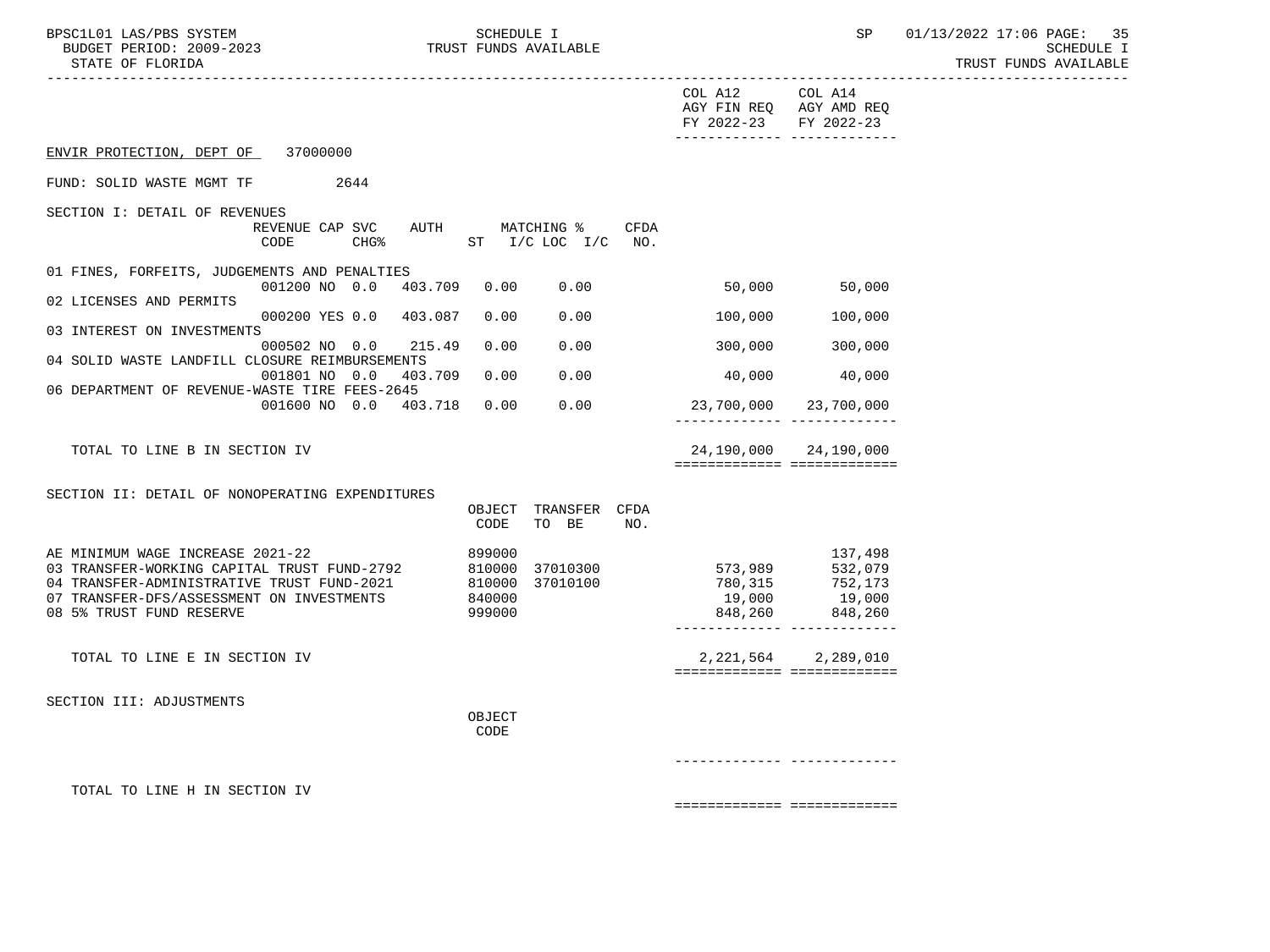| BPSC1L01 LAS/PBS SYSTEM<br>BUDGET PERIOD: 2009-2023<br>STATE OF FLORIDA                                                                                 |                                                                                    | SCHEDULE I                 | TRUST FUNDS AVAILABLE              |      |                                                   | SP                                                                          | 01/13/2022 17:06 PAGE:<br>-35<br><b>SCHEDULE I</b><br>TRUST FUNDS AVAILABLE |
|---------------------------------------------------------------------------------------------------------------------------------------------------------|------------------------------------------------------------------------------------|----------------------------|------------------------------------|------|---------------------------------------------------|-----------------------------------------------------------------------------|-----------------------------------------------------------------------------|
|                                                                                                                                                         |                                                                                    |                            |                                    |      | COL A12 COL A14<br>FY 2022-23 FY 2022-23          | AGY FIN REQ AGY AMD REQ                                                     |                                                                             |
| ENVIR PROTECTION, DEPT OF 37000000                                                                                                                      |                                                                                    |                            |                                    |      |                                                   |                                                                             |                                                                             |
| FUND: SOLID WASTE MGMT TF 2644                                                                                                                          |                                                                                    |                            |                                    |      |                                                   |                                                                             |                                                                             |
| SECTION I: DETAIL OF REVENUES                                                                                                                           |                                                                                    |                            |                                    |      |                                                   |                                                                             |                                                                             |
|                                                                                                                                                         | REVENUE CAP SVC AUTH MATCHING %<br>CHG <sup>2</sup> ST $I/C$ LOC $I/C$ NO.<br>CODE |                            |                                    | CFDA |                                                   |                                                                             |                                                                             |
| 01 FINES, FORFEITS, JUDGEMENTS AND PENALTIES                                                                                                            | 001200 NO 0.0 403.709                                                              | 0.00                       | 0.00                               |      | $50,000$ 50,000                                   |                                                                             |                                                                             |
| 02 LICENSES AND PERMITS                                                                                                                                 | 000200 YES 0.0 403.087                                                             | 0.00                       | 0.00                               |      | 100,000                                           | 100,000                                                                     |                                                                             |
| 03 INTEREST ON INVESTMENTS<br>04 SOLID WASTE LANDFILL CLOSURE REIMBURSEMENTS                                                                            | 000502 NO 0.0 215.49                                                               | 0.00                       | 0.00                               |      | 300,000                                           | 300,000                                                                     |                                                                             |
|                                                                                                                                                         | 001801 NO 0.0 403.709                                                              | 0.00                       | 0.00                               |      | 40,000                                            | 40,000                                                                      |                                                                             |
| 06 DEPARTMENT OF REVENUE-WASTE TIRE FEES-2645                                                                                                           | 001600 NO 0.0 403.718 0.00 0.00                                                    |                            |                                    |      | 23,700,000 23,700,000                             |                                                                             |                                                                             |
| TOTAL TO LINE B IN SECTION IV                                                                                                                           |                                                                                    |                            |                                    |      |                                                   | 24,190,000 24,190,000<br>===========================                        |                                                                             |
| SECTION II: DETAIL OF NONOPERATING EXPENDITURES                                                                                                         |                                                                                    |                            |                                    |      |                                                   |                                                                             |                                                                             |
|                                                                                                                                                         |                                                                                    | CODE                       | OBJECT TRANSFER CFDA<br>TO BE      | NO.  |                                                   |                                                                             |                                                                             |
| AE MINIMUM WAGE INCREASE 2021-22<br>04 TRANSFER-ADMINISTRATIVE TRUST FUND-2021<br>07 TRANSFER-DFS/ASSESSMENT ON INVESTMENTS<br>08 5% TRUST FUND RESERVE | 03 TRANSFER-WORKING CAPITAL TRUST FUND-2792                                        | 899000<br>840000<br>999000 | 810000 37010300<br>810000 37010100 |      | $573,989$ 532,079<br>780,315<br>19,000<br>848,260 | 137,498<br>752,173<br>19,000<br>848,260<br>________________________________ |                                                                             |
| TOTAL TO LINE E IN SECTION IV                                                                                                                           |                                                                                    |                            |                                    |      |                                                   | 2, 221, 564 2, 289, 010<br>============================                     |                                                                             |
| SECTION III: ADJUSTMENTS                                                                                                                                |                                                                                    | OBJECT<br>CODE             |                                    |      |                                                   |                                                                             |                                                                             |
|                                                                                                                                                         |                                                                                    |                            |                                    |      |                                                   |                                                                             |                                                                             |
| TOTAL TO LINE H IN SECTION IV                                                                                                                           |                                                                                    |                            |                                    |      |                                                   |                                                                             |                                                                             |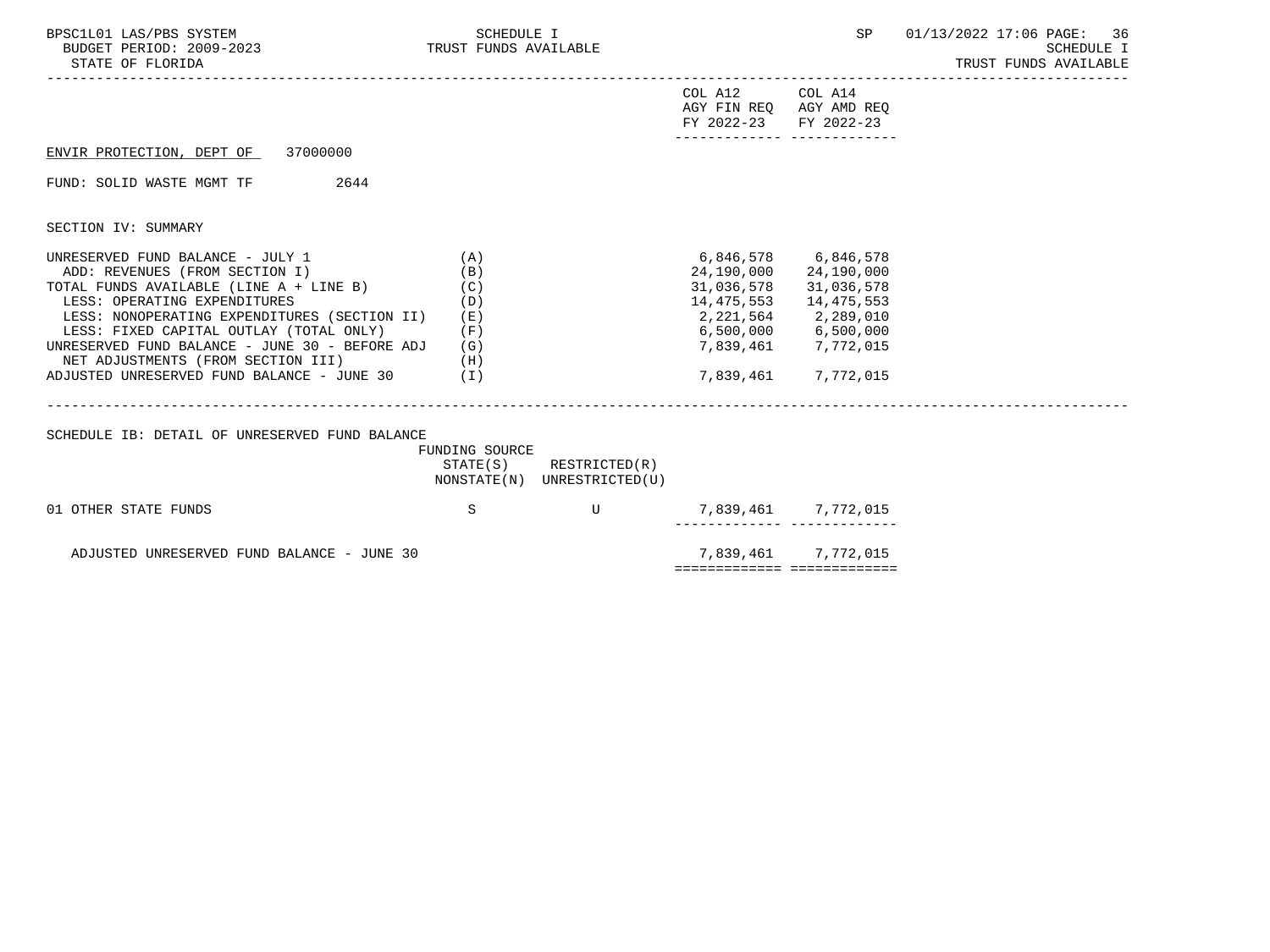| BPSC1L01 LAS/PBS SYSTEM<br>BUDGET PERIOD: 2009-2023 TRUST FUNDS AVAILABLE<br>STATE OF FLORIDA                                                                                                                                                                                                                                                                                               | <b>SCHEDULE I</b>                             |                                                            |                                                                     | SP                                                                                                                                                                       | 01/13/2022 17:06 PAGE: 36<br>SCHEDULE I<br>TRUST FUNDS AVAILABLE |
|---------------------------------------------------------------------------------------------------------------------------------------------------------------------------------------------------------------------------------------------------------------------------------------------------------------------------------------------------------------------------------------------|-----------------------------------------------|------------------------------------------------------------|---------------------------------------------------------------------|--------------------------------------------------------------------------------------------------------------------------------------------------------------------------|------------------------------------------------------------------|
|                                                                                                                                                                                                                                                                                                                                                                                             |                                               |                                                            | COL A12 COL A14<br>AGY FIN REO AGY AMD REO<br>FY 2022-23 FY 2022-23 |                                                                                                                                                                          |                                                                  |
| ENVIR PROTECTION, DEPT OF 37000000                                                                                                                                                                                                                                                                                                                                                          |                                               |                                                            |                                                                     |                                                                                                                                                                          |                                                                  |
| FUND: SOLID WASTE MGMT TF<br>2644                                                                                                                                                                                                                                                                                                                                                           |                                               |                                                            |                                                                     |                                                                                                                                                                          |                                                                  |
| SECTION IV: SUMMARY                                                                                                                                                                                                                                                                                                                                                                         |                                               |                                                            |                                                                     |                                                                                                                                                                          |                                                                  |
| UNRESERVED FUND BALANCE - JULY 1<br>ADD: REVENUES (FROM SECTION I)<br>TOTAL FUNDS AVAILABLE (LINE A + LINE B)<br>LESS: OPERATING EXPENDITURES<br>LESS: NONOPERATING EXPENDITURES (SECTION II)<br>LESS: FIXED CAPITAL OUTLAY (TOTAL ONLY)<br>UNRESERVED FUND BALANCE - JUNE 30 - BEFORE ADJ<br>NET ADJUSTMENTS (FROM SECTION III)<br>(H)<br>ADJUSTED UNRESERVED FUND BALANCE - JUNE 30 $(1)$ | (A)<br>(B)<br>(C)<br>(D)<br>(E)<br>(F)<br>(G) |                                                            | 31,036,578<br>14,475,553                                            | 6,846,578 6,846,578<br>24,190,000 24,190,000<br>31,036,578<br>14,475,553<br>2, 221, 564 2, 289, 010<br>6,500,000 6,500,000<br>7,839,461 7,772,015<br>7,839,461 7,772,015 |                                                                  |
| SCHEDULE IB: DETAIL OF UNRESERVED FUND BALANCE                                                                                                                                                                                                                                                                                                                                              | FUNDING SOURCE                                | $STATE(S)$ RESTRICTED $(R)$<br>NONSTATE(N) UNRESTRICTED(U) |                                                                     |                                                                                                                                                                          |                                                                  |
| 01 OTHER STATE FUNDS                                                                                                                                                                                                                                                                                                                                                                        | S                                             | $\mathbf{U}$                                               |                                                                     | 7,839,461 7,772,015                                                                                                                                                      |                                                                  |
| ADJUSTED UNRESERVED FUND BALANCE - JUNE 30                                                                                                                                                                                                                                                                                                                                                  |                                               |                                                            | ============== ==============                                       | 7,839,461 7,772,015                                                                                                                                                      |                                                                  |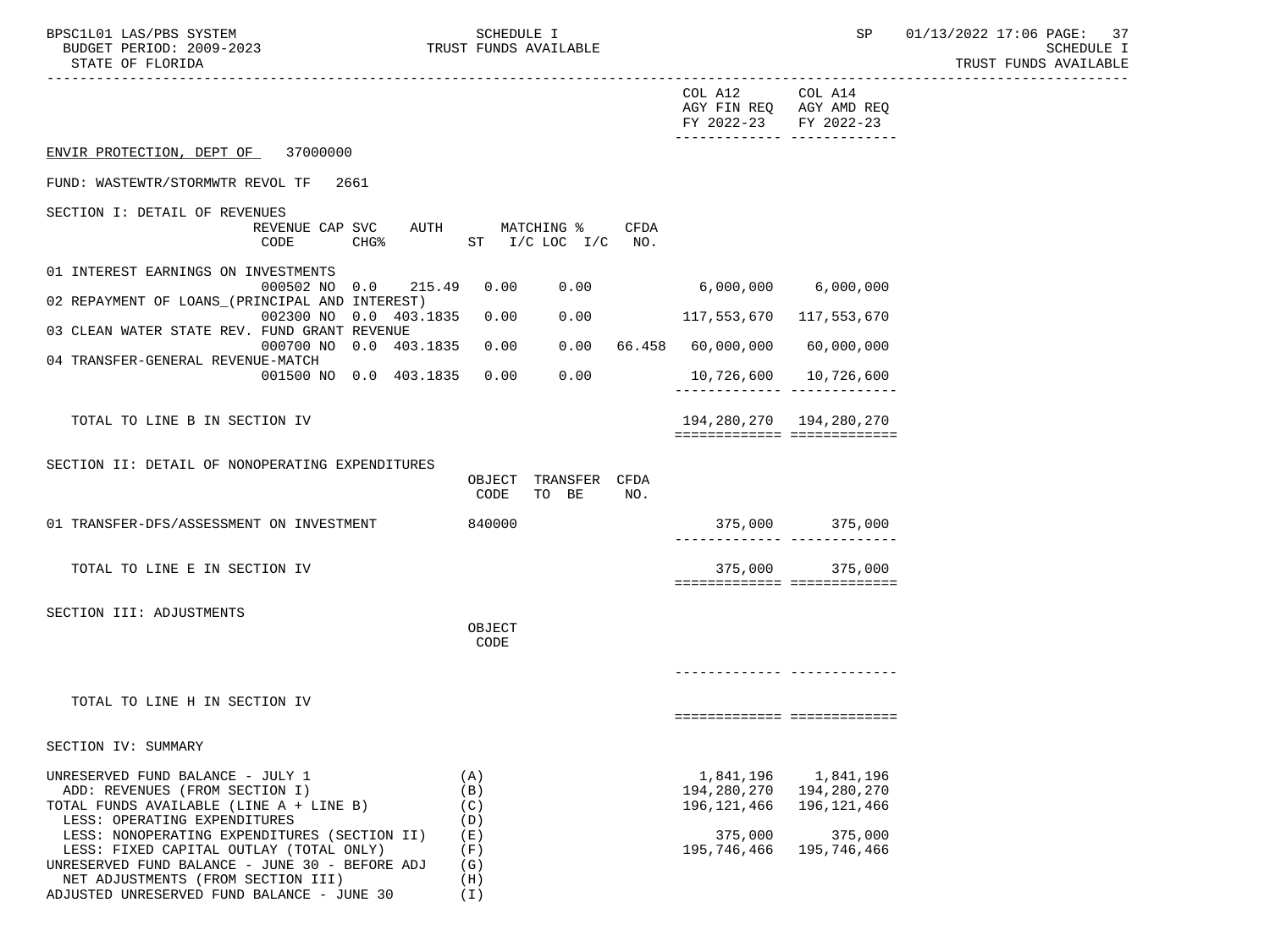| BPSC1L01 LAS/PBS SYSTEM<br>BUDGET PERIOD: 2009-2023<br>STATE OF FLORIDA                                                                                                                                                                                                                                                                                                        |                         | SCHEDULE I                                                  | TRUST FUNDS AVAILABLE                     |      |                                                                   | SP                                                                | 01/13/2022 17:06 PAGE: 37<br><b>SCHEDULE I</b><br>TRUST FUNDS AVAILABLE |
|--------------------------------------------------------------------------------------------------------------------------------------------------------------------------------------------------------------------------------------------------------------------------------------------------------------------------------------------------------------------------------|-------------------------|-------------------------------------------------------------|-------------------------------------------|------|-------------------------------------------------------------------|-------------------------------------------------------------------|-------------------------------------------------------------------------|
|                                                                                                                                                                                                                                                                                                                                                                                |                         |                                                             |                                           |      | COL A12 COL A14<br>FY 2022-23 FY 2022-23                          | AGY FIN REQ AGY AMD REQ<br>-------------- --------------          |                                                                         |
| ENVIR PROTECTION, DEPT OF 37000000                                                                                                                                                                                                                                                                                                                                             |                         |                                                             |                                           |      |                                                                   |                                                                   |                                                                         |
| FUND: WASTEWTR/STORMWTR REVOL TF                                                                                                                                                                                                                                                                                                                                               | 2661                    |                                                             |                                           |      |                                                                   |                                                                   |                                                                         |
| SECTION I: DETAIL OF REVENUES<br>CODE                                                                                                                                                                                                                                                                                                                                          | REVENUE CAP SVC<br>CHG% |                                                             | AUTH MATCHING %<br>ST $I/C$ LOC $I/C$ NO. | CFDA |                                                                   |                                                                   |                                                                         |
| 01 INTEREST EARNINGS ON INVESTMENTS                                                                                                                                                                                                                                                                                                                                            |                         |                                                             |                                           |      |                                                                   |                                                                   |                                                                         |
| 02 REPAYMENT OF LOANS_(PRINCIPAL AND INTEREST)                                                                                                                                                                                                                                                                                                                                 | 000502 NO 0.0<br>215.49 | 0.00                                                        |                                           | 0.00 | 6,000,000                                                         | 6,000,000                                                         |                                                                         |
| 03 CLEAN WATER STATE REV. FUND GRANT REVENUE                                                                                                                                                                                                                                                                                                                                   | 002300 NO 0.0 403.1835  | 0.00                                                        | 0.00                                      |      | 117,553,670                                                       | 117,553,670                                                       |                                                                         |
| 04 TRANSFER-GENERAL REVENUE-MATCH                                                                                                                                                                                                                                                                                                                                              | 000700 NO 0.0 403.1835  | 0.00                                                        | 0.00                                      |      | 66.458 60,000,000                                                 | 60,000,000                                                        |                                                                         |
|                                                                                                                                                                                                                                                                                                                                                                                | 001500 NO 0.0 403.1835  | 0.00                                                        | 0.00                                      |      | 10,726,600                                                        | 10,726,600                                                        |                                                                         |
| TOTAL TO LINE B IN SECTION IV                                                                                                                                                                                                                                                                                                                                                  |                         |                                                             |                                           |      | 194,280,270 194,280,270<br>============================           |                                                                   |                                                                         |
| SECTION II: DETAIL OF NONOPERATING EXPENDITURES                                                                                                                                                                                                                                                                                                                                |                         | CODE                                                        | OBJECT TRANSFER CFDA<br>TO BE             | NO.  |                                                                   |                                                                   |                                                                         |
| 01 TRANSFER-DFS/ASSESSMENT ON INVESTMENT                                                                                                                                                                                                                                                                                                                                       |                         | 840000                                                      |                                           |      |                                                                   | 375,000 375,000<br>-------------- --------------                  |                                                                         |
| TOTAL TO LINE E IN SECTION IV                                                                                                                                                                                                                                                                                                                                                  |                         |                                                             |                                           |      | 375,000<br>===========================                            | 375,000                                                           |                                                                         |
| SECTION III: ADJUSTMENTS                                                                                                                                                                                                                                                                                                                                                       |                         | OBJECT<br>CODE                                              |                                           |      |                                                                   |                                                                   |                                                                         |
|                                                                                                                                                                                                                                                                                                                                                                                |                         |                                                             |                                           |      |                                                                   |                                                                   |                                                                         |
| TOTAL TO LINE H IN SECTION IV                                                                                                                                                                                                                                                                                                                                                  |                         |                                                             |                                           |      | ===========================                                       |                                                                   |                                                                         |
| SECTION IV: SUMMARY                                                                                                                                                                                                                                                                                                                                                            |                         |                                                             |                                           |      |                                                                   |                                                                   |                                                                         |
| UNRESERVED FUND BALANCE - JULY 1<br>ADD: REVENUES (FROM SECTION I)<br>TOTAL FUNDS AVAILABLE (LINE A + LINE B)<br>LESS: OPERATING EXPENDITURES<br>LESS: NONOPERATING EXPENDITURES (SECTION II)<br>LESS: FIXED CAPITAL OUTLAY (TOTAL ONLY)<br>UNRESERVED FUND BALANCE - JUNE 30 - BEFORE ADJ<br>NET ADJUSTMENTS (FROM SECTION III)<br>ADJUSTED UNRESERVED FUND BALANCE - JUNE 30 |                         | (A)<br>(B)<br>(C)<br>(D)<br>(日)<br>(F)<br>(G)<br>(H)<br>(I) |                                           |      | 1,841,196<br>194,280,270<br>196,121,466<br>375,000<br>195,746,466 | 1,841,196<br>194,280,270<br>196,121,466<br>375,000<br>195,746,466 |                                                                         |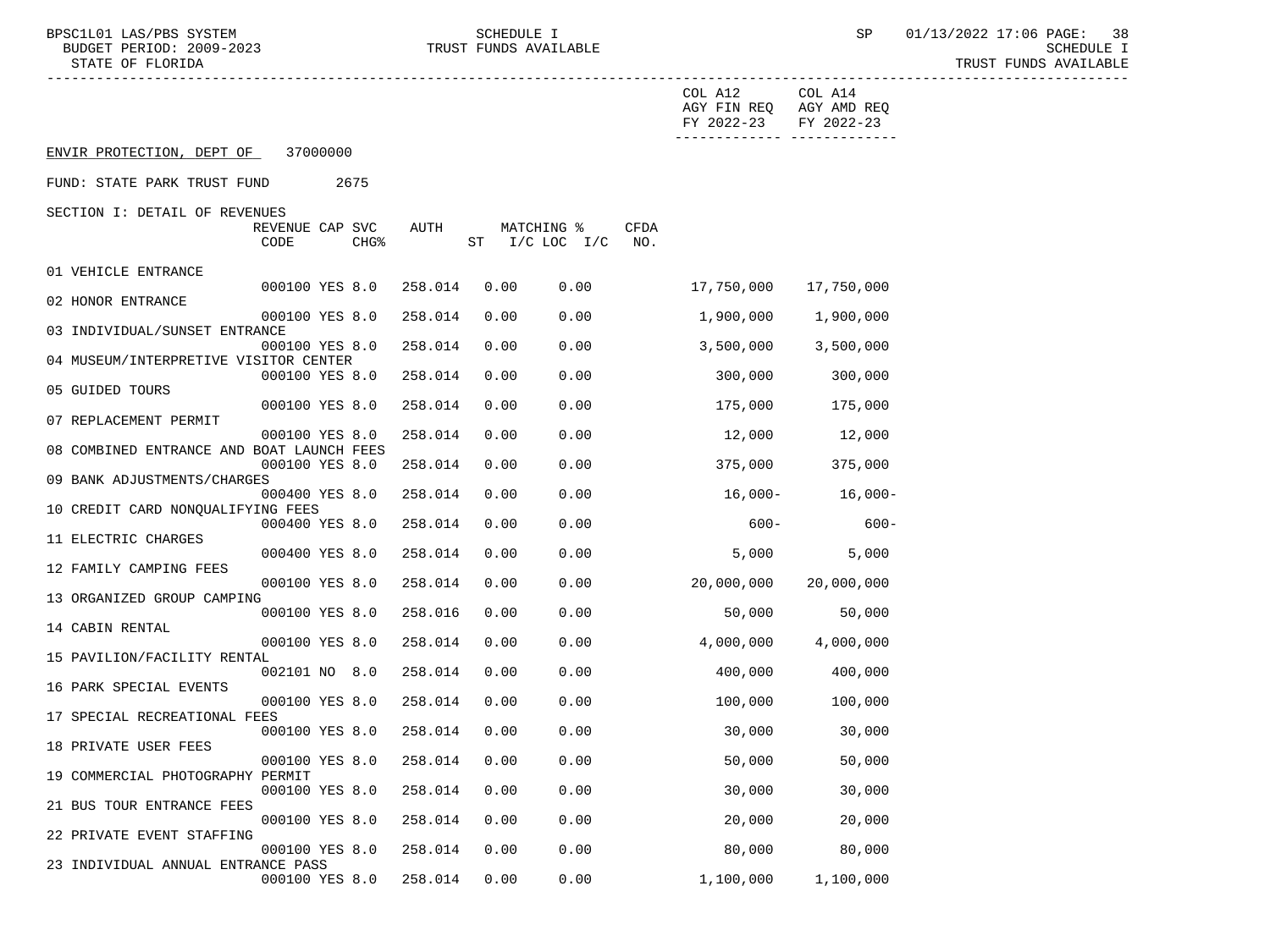BPSC1L01 LAS/PBS SYSTEM SCHEDULE I SEREDULE I SP 01/13/2022 17:06 PAGE: 38<br>BUDGET PERIOD: 2009-2023 TRUST FUNDS AVAILABLE TRUST FUNDS AVAILABLE

|                                           |      |                                     |         |      |                              |             | COL A12<br>AGY FIN REQ AGY AMD REQ<br>FY 2022-23 | COL A14<br>FY 2022-23       |
|-------------------------------------------|------|-------------------------------------|---------|------|------------------------------|-------------|--------------------------------------------------|-----------------------------|
| ENVIR PROTECTION, DEPT OF                 |      | 37000000                            |         |      |                              |             |                                                  | ------------ -------------- |
| FUND: STATE PARK TRUST FUND               |      | 2675                                |         |      |                              |             |                                                  |                             |
| SECTION I: DETAIL OF REVENUES             |      |                                     |         |      |                              |             |                                                  |                             |
|                                           | CODE | REVENUE CAP SVC<br>CHG <sup>8</sup> | AUTH    |      | MATCHING %<br>ST I/C LOC I/C | CFDA<br>NO. |                                                  |                             |
| 01 VEHICLE ENTRANCE                       |      |                                     |         |      |                              |             |                                                  |                             |
| 02 HONOR ENTRANCE                         |      | 000100 YES 8.0                      | 258.014 | 0.00 | 0.00                         |             | 17,750,000                                       | 17,750,000                  |
|                                           |      | 000100 YES 8.0                      | 258.014 | 0.00 | 0.00                         |             | 1,900,000                                        | 1,900,000                   |
| 03 INDIVIDUAL/SUNSET ENTRANCE             |      |                                     |         |      |                              |             |                                                  |                             |
| 04 MUSEUM/INTERPRETIVE VISITOR CENTER     |      | 000100 YES 8.0                      | 258.014 | 0.00 | 0.00                         |             | 3,500,000                                        | 3,500,000                   |
|                                           |      | 000100 YES 8.0                      | 258.014 | 0.00 | 0.00                         |             | 300,000                                          | 300,000                     |
| 05 GUIDED TOURS                           |      |                                     |         |      |                              |             |                                                  |                             |
| 07 REPLACEMENT PERMIT                     |      | 000100 YES 8.0                      | 258.014 | 0.00 | 0.00                         |             | 175,000                                          | 175,000                     |
|                                           |      | 000100 YES 8.0                      | 258.014 | 0.00 | 0.00                         |             | 12,000                                           | 12,000                      |
| 08 COMBINED ENTRANCE AND BOAT LAUNCH FEES |      |                                     |         |      |                              |             |                                                  |                             |
| 09 BANK ADJUSTMENTS/CHARGES               |      | 000100 YES 8.0                      | 258.014 | 0.00 | 0.00                         |             | 375,000                                          | 375,000                     |
|                                           |      | 000400 YES 8.0                      | 258.014 | 0.00 | 0.00                         |             | 16,000-                                          | $16,000-$                   |
| 10 CREDIT CARD NONOUALIFYING FEES         |      |                                     |         |      |                              |             |                                                  |                             |
| 11 ELECTRIC CHARGES                       |      | 000400 YES 8.0                      | 258.014 | 0.00 | 0.00                         |             | $600 -$                                          | $600 -$                     |
|                                           |      | 000400 YES 8.0                      | 258.014 | 0.00 | 0.00                         |             | 5,000                                            | 5,000                       |
| 12 FAMILY CAMPING FEES                    |      |                                     |         |      |                              |             |                                                  |                             |
| 13 ORGANIZED GROUP CAMPING                |      | 000100 YES 8.0                      | 258.014 | 0.00 | 0.00                         |             | 20,000,000                                       | 20,000,000                  |
|                                           |      | 000100 YES 8.0                      | 258.016 | 0.00 | 0.00                         |             | 50,000                                           | 50,000                      |
| 14 CABIN RENTAL                           |      |                                     |         |      |                              |             |                                                  |                             |
| 15 PAVILION/FACILITY RENTAL               |      | 000100 YES 8.0                      | 258.014 | 0.00 | 0.00                         |             | 4,000,000                                        | 4,000,000                   |
|                                           |      | 002101 NO 8.0                       | 258.014 | 0.00 | 0.00                         |             | 400,000                                          | 400,000                     |
| 16 PARK SPECIAL EVENTS                    |      |                                     |         |      |                              |             |                                                  |                             |
| 17 SPECIAL RECREATIONAL FEES              |      | 000100 YES 8.0                      | 258.014 | 0.00 | 0.00                         |             | 100,000                                          | 100,000                     |
|                                           |      | 000100 YES 8.0 258.014              |         | 0.00 | 0.00                         |             | 30,000                                           | 30,000                      |
| 18 PRIVATE USER FEES                      |      |                                     |         |      |                              |             |                                                  |                             |
| 19 COMMERCIAL PHOTOGRAPHY PERMIT          |      | 000100 YES 8.0 258.014 0.00         |         |      | 0.00                         |             | 50,000                                           | 50,000                      |
|                                           |      | 000100 YES 8.0                      | 258.014 | 0.00 | 0.00                         |             | 30,000                                           | 30,000                      |
| 21 BUS TOUR ENTRANCE FEES                 |      |                                     |         |      |                              |             |                                                  |                             |
| 22 PRIVATE EVENT STAFFING                 |      | 000100 YES 8.0                      | 258.014 | 0.00 | 0.00                         |             | 20,000                                           | 20,000                      |
|                                           |      | 000100 YES 8.0                      | 258.014 | 0.00 | 0.00                         |             | 80,000                                           | 80,000                      |
| 23 INDIVIDUAL ANNUAL ENTRANCE PASS        |      |                                     |         |      |                              |             |                                                  |                             |
|                                           |      | 000100 YES 8.0                      | 258.014 | 0.00 | 0.00                         |             | 1,100,000                                        | 1,100,000                   |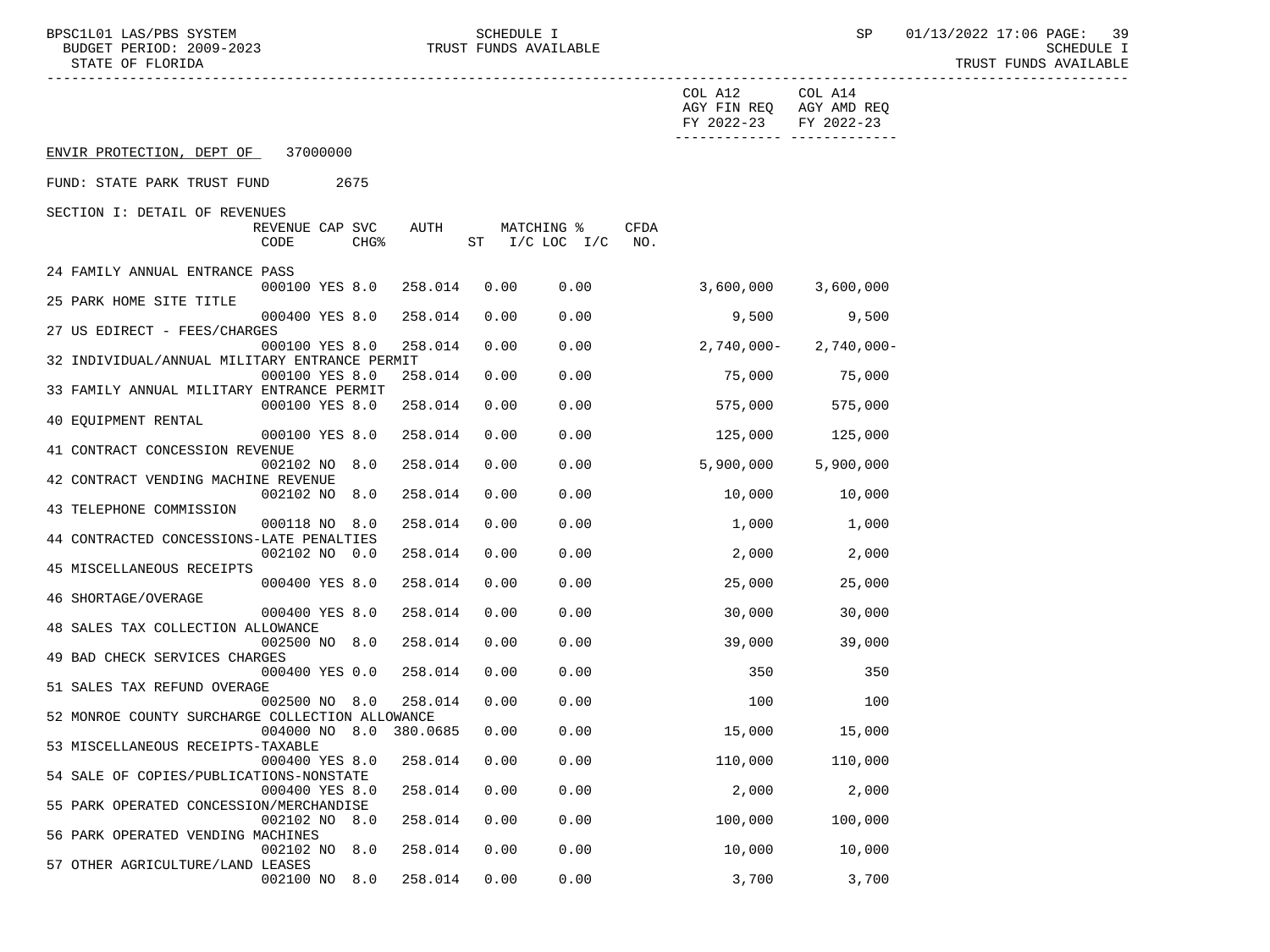|                                                           |                  |                        |      |                    |      | COL A12<br>AGY FIN REQ AGY AMD REQ<br>FY 2022-23 | COL A14<br>FY 2022-23         |
|-----------------------------------------------------------|------------------|------------------------|------|--------------------|------|--------------------------------------------------|-------------------------------|
| ENVIR PROTECTION, DEPT OF 37000000                        |                  |                        |      |                    |      |                                                  | -------------- -------------- |
| FUND: STATE PARK TRUST FUND                               | 2675             |                        |      |                    |      |                                                  |                               |
| SECTION I: DETAIL OF REVENUES                             |                  |                        |      |                    |      |                                                  |                               |
| REVENUE CAP SVC                                           |                  | AUTH                   |      | MATCHING %         | CFDA |                                                  |                               |
| CODE                                                      | CHG <sup>8</sup> |                        |      | ST I/C LOC I/C NO. |      |                                                  |                               |
|                                                           |                  |                        |      |                    |      |                                                  |                               |
| 24 FAMILY ANNUAL ENTRANCE PASS<br>000100 YES 8.0          |                  | 258.014                | 0.00 | 0.00               |      | $3,600,000$ $3,600,000$                          |                               |
| 25 PARK HOME SITE TITLE                                   |                  |                        |      |                    |      |                                                  |                               |
| 000400 YES 8.0                                            |                  | 258.014                | 0.00 | 0.00               |      | 9,500                                            | 9,500                         |
| 27 US EDIRECT - FEES/CHARGES                              |                  |                        |      |                    |      |                                                  |                               |
| 000100 YES 8.0                                            |                  | 258.014                | 0.00 | 0.00               |      |                                                  | $2,740,000 - 2,740,000 -$     |
| 32 INDIVIDUAL/ANNUAL MILITARY ENTRANCE PERMIT             |                  |                        |      |                    |      |                                                  |                               |
| 000100 YES 8.0                                            |                  | 258.014                | 0.00 | 0.00               |      | 75,000                                           | 75,000                        |
| 33 FAMILY ANNUAL MILITARY ENTRANCE PERMIT                 |                  |                        |      |                    |      |                                                  |                               |
| 000100 YES 8.0                                            |                  | 258.014                | 0.00 | 0.00               |      | 575,000                                          | 575,000                       |
| 40 EQUIPMENT RENTAL                                       |                  |                        |      |                    |      |                                                  |                               |
| 000100 YES 8.0<br>41 CONTRACT CONCESSION REVENUE          |                  | 258.014                | 0.00 | 0.00               |      | 125,000                                          | 125,000                       |
| 002102 NO 8.0                                             |                  | 258.014                | 0.00 | 0.00               |      | 5,900,000                                        | 5,900,000                     |
| 42 CONTRACT VENDING MACHINE REVENUE                       |                  |                        |      |                    |      |                                                  |                               |
| 002102 NO 8.0                                             |                  | 258.014                | 0.00 | 0.00               |      | 10,000                                           | 10,000                        |
| 43 TELEPHONE COMMISSION                                   |                  |                        |      |                    |      |                                                  |                               |
| 000118 NO 8.0                                             |                  | 258.014                | 0.00 | 0.00               |      | 1,000                                            | 1,000                         |
| 44 CONTRACTED CONCESSIONS-LATE PENALTIES                  |                  |                        |      |                    |      |                                                  |                               |
| 002102 NO 0.0                                             |                  | 258.014                | 0.00 | 0.00               |      | 2,000                                            | 2,000                         |
| 45 MISCELLANEOUS RECEIPTS                                 |                  |                        |      |                    |      |                                                  |                               |
| 000400 YES 8.0                                            |                  | 258.014                | 0.00 | 0.00               |      | 25,000                                           | 25,000                        |
| 46 SHORTAGE/OVERAGE                                       |                  |                        |      |                    |      |                                                  |                               |
| 000400 YES 8.0<br>48 SALES TAX COLLECTION ALLOWANCE       |                  | 258.014                | 0.00 | 0.00               |      | 30,000                                           | 30,000                        |
| 002500 NO 8.0                                             |                  | 258.014                | 0.00 | 0.00               |      | 39,000                                           | 39,000                        |
| 49 BAD CHECK SERVICES CHARGES                             |                  |                        |      |                    |      |                                                  |                               |
| 000400 YES 0.0                                            |                  | 258.014                | 0.00 | 0.00               |      | 350                                              | 350                           |
| 51 SALES TAX REFUND OVERAGE                               |                  |                        |      |                    |      |                                                  |                               |
| 002500 NO 8.0                                             |                  | 258.014                | 0.00 | 0.00               |      | 100                                              | 100                           |
| 52 MONROE COUNTY SURCHARGE COLLECTION ALLOWANCE           |                  |                        |      |                    |      |                                                  |                               |
|                                                           |                  | 004000 NO 8.0 380.0685 | 0.00 | 0.00               |      | 15,000                                           | 15,000                        |
| 53 MISCELLANEOUS RECEIPTS-TAXABLE                         |                  |                        |      |                    |      |                                                  |                               |
| 000400 YES 8.0 258.014 0.00                               |                  |                        |      | 0.00               |      | 110,000                                          | 110,000                       |
| 54 SALE OF COPIES/PUBLICATIONS-NONSTATE                   |                  |                        |      |                    |      |                                                  |                               |
| 000400 YES 8.0<br>55 PARK OPERATED CONCESSION/MERCHANDISE |                  | 258.014                | 0.00 | 0.00               |      | 2,000                                            | 2,000                         |
| 002102 NO 8.0                                             |                  | 258.014                | 0.00 | 0.00               |      | 100,000                                          | 100,000                       |
| 56 PARK OPERATED VENDING MACHINES                         |                  |                        |      |                    |      |                                                  |                               |
| 002102 NO                                                 | 8.0              | 258.014                | 0.00 | 0.00               |      | 10,000                                           | 10,000                        |
| 57 OTHER AGRICULTURE/LAND LEASES                          |                  |                        |      |                    |      |                                                  |                               |
| 002100 NO 8.0                                             |                  | 258.014                | 0.00 | 0.00               |      | 3,700                                            | 3,700                         |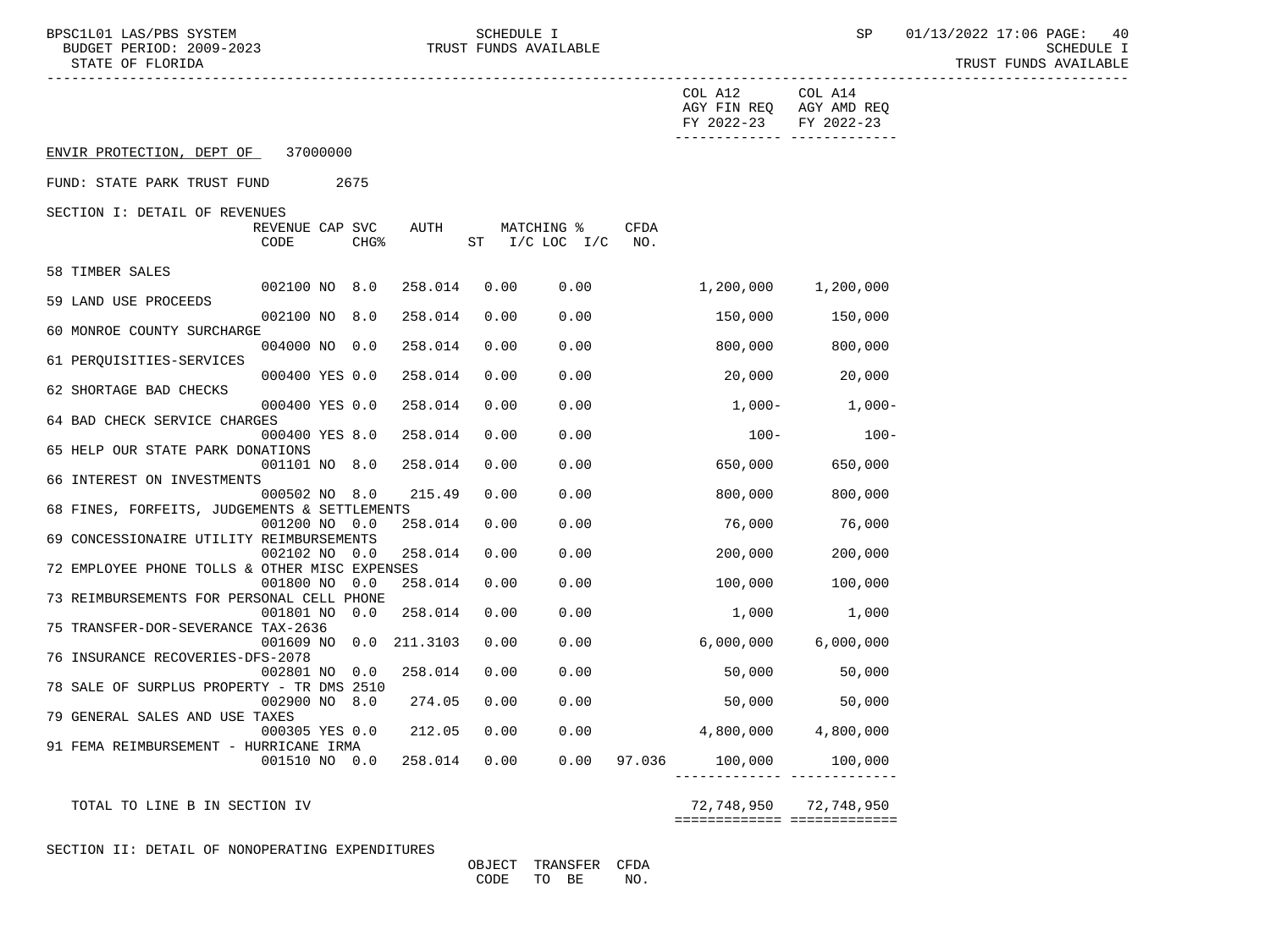BPSC1L01 LAS/PBS SYSTEM  $\begin{array}{cccc}\n\text{SCHEDULE} & \text{SCHEDULE} \\
\text{BUDGET PERIOD: } 2009-2023 & \text{SCHEDULE} & \text{SCHEDULE} \\
\end{array}$ STATE OF FLORIDA AND INTERNATIONAL STATE OF FUNDS AVAILABLE

|                                               |                         |                 |          |      |                              |                         | COL A12<br>AGY FIN REQ AGY AMD REQ<br>FY 2022-23<br>------------- ---- | COL A14<br>FY 2022-23 |
|-----------------------------------------------|-------------------------|-----------------|----------|------|------------------------------|-------------------------|------------------------------------------------------------------------|-----------------------|
| ENVIR PROTECTION, DEPT OF 37000000            |                         |                 |          |      |                              |                         |                                                                        |                       |
| FUND: STATE PARK TRUST FUND                   |                         | 2675            |          |      |                              |                         |                                                                        |                       |
| SECTION I: DETAIL OF REVENUES                 | REVENUE CAP SVC<br>CODE | <b>CHG&amp;</b> | AUTH     |      | MATCHING %<br>ST I/C LOC I/C | CFDA<br>NO <sub>z</sub> |                                                                        |                       |
| 58 TIMBER SALES                               | 002100 NO 8.0           |                 | 258.014  | 0.00 | 0.00                         |                         | 1,200,000                                                              | 1,200,000             |
| 59 LAND USE PROCEEDS                          |                         |                 |          |      |                              |                         |                                                                        |                       |
| 60 MONROE COUNTY SURCHARGE                    | 002100 NO 8.0           |                 | 258.014  | 0.00 | 0.00                         |                         | 150,000                                                                | 150,000               |
| 61 PERQUISITIES-SERVICES                      | 004000 NO 0.0           |                 | 258.014  | 0.00 | 0.00                         |                         | 800,000                                                                | 800,000               |
| 62 SHORTAGE BAD CHECKS                        | 000400 YES 0.0          |                 | 258.014  | 0.00 | 0.00                         |                         | 20,000 20,000                                                          |                       |
| 64 BAD CHECK SERVICE CHARGES                  | 000400 YES 0.0          |                 | 258.014  | 0.00 | 0.00                         |                         | $1,000-$                                                               | $1,000-$              |
| 65 HELP OUR STATE PARK DONATIONS              | 000400 YES 8.0          |                 | 258.014  | 0.00 | 0.00                         |                         | $100 -$                                                                | $100 -$               |
| 66 INTEREST ON INVESTMENTS                    | 001101 NO 8.0           |                 | 258.014  | 0.00 | 0.00                         |                         | 650,000                                                                | 650,000               |
|                                               | 000502 NO 8.0           |                 | 215.49   | 0.00 | 0.00                         |                         | 800,000                                                                | 800,000               |
| 68 FINES, FORFEITS, JUDGEMENTS & SETTLEMENTS  | 001200 NO 0.0           |                 | 258.014  | 0.00 | 0.00                         |                         | 76,000                                                                 | 76,000                |
| 69 CONCESSIONAIRE UTILITY REIMBURSEMENTS      | 002102 NO               | 0.0             | 258.014  | 0.00 | 0.00                         |                         | 200,000                                                                | 200,000               |
| 72 EMPLOYEE PHONE TOLLS & OTHER MISC EXPENSES | 001800 NO               | 0.0             | 258.014  | 0.00 | 0.00                         |                         | 100,000                                                                | 100,000               |
| 73 REIMBURSEMENTS FOR PERSONAL CELL PHONE     | 001801 NO               | 0.0             | 258.014  | 0.00 | 0.00                         |                         | 1,000                                                                  | 1,000                 |
| 75 TRANSFER-DOR-SEVERANCE TAX-2636            | 001609 NO 0.0           |                 | 211.3103 | 0.00 | 0.00                         |                         | 6,000,000                                                              | 6,000,000             |
| 76 INSURANCE RECOVERIES-DFS-2078              |                         |                 |          |      |                              |                         |                                                                        |                       |
| 78 SALE OF SURPLUS PROPERTY - TR DMS 2510     | 002801 NO 0.0           |                 | 258.014  | 0.00 | 0.00                         |                         | 50,000                                                                 | 50,000                |
| 79 GENERAL SALES AND USE TAXES                | 002900 NO 8.0           |                 | 274.05   | 0.00 | 0.00                         |                         | 50,000                                                                 | 50,000                |
| 91 FEMA REIMBURSEMENT - HURRICANE IRMA        | 000305 YES 0.0          |                 | 212.05   | 0.00 | 0.00                         |                         | $4,800,000$ $4,800,000$                                                |                       |
|                                               | 001510 NO 0.0           |                 | 258.014  | 0.00 |                              |                         | $0.00$ 97.036 100,000 100,000                                          |                       |
| TOTAL TO LINE B IN SECTION IV                 |                         |                 |          |      |                              |                         |                                                                        | 72,748,950 72,748,950 |

============= =============

SECTION II: DETAIL OF NONOPERATING EXPENDITURES

 OBJECT TRANSFER CFDA CODE TO BE NO.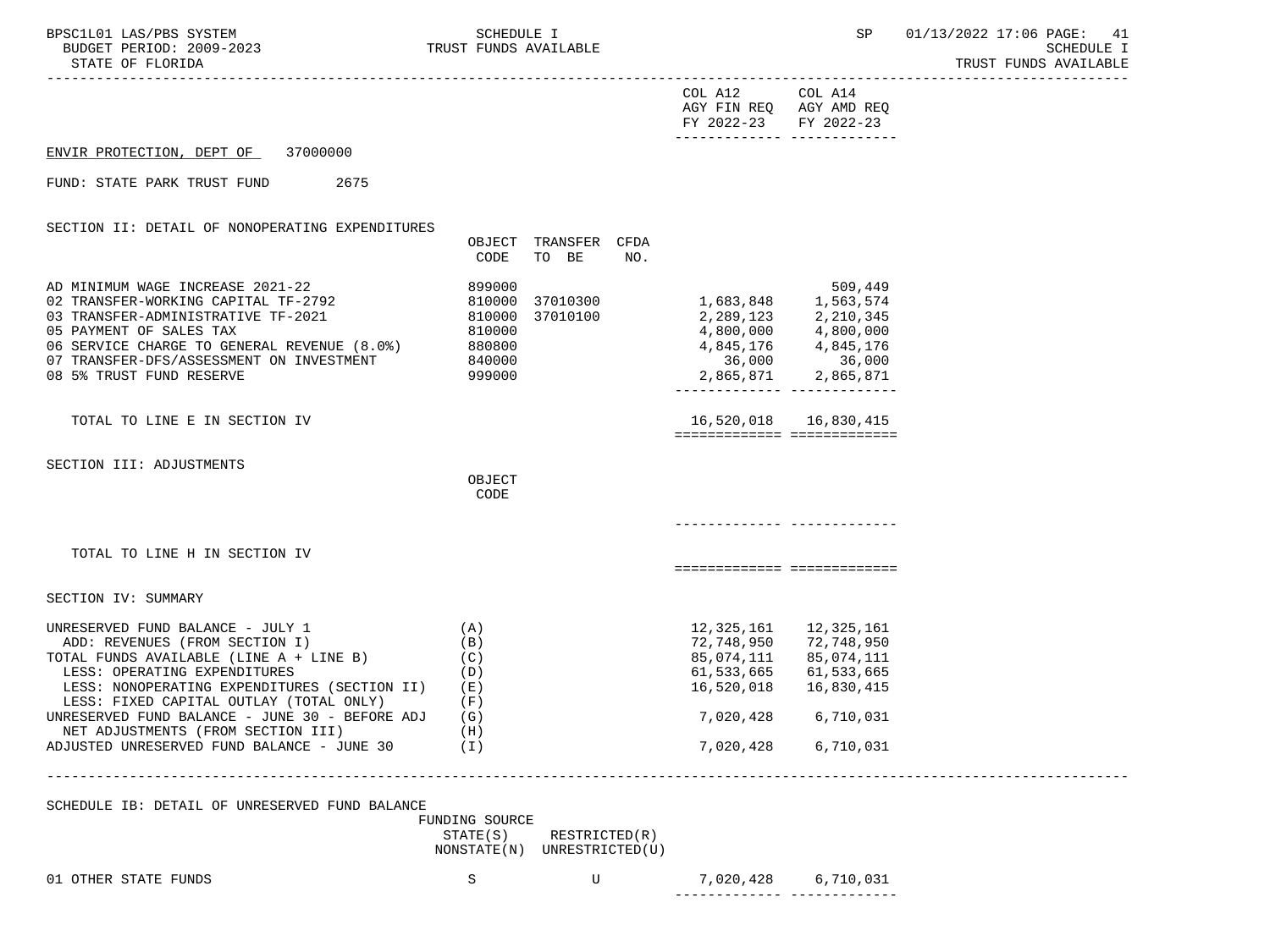----------------------------------------------------------------------------------------------------------------------------------- COL A12 COL A14 AGY FIN REQ AGY AMD REQ FY 2022-23 FY 2022-23 ------------- ------------- ENVIR PROTECTION, DEPT OF 37000000 FUND: STATE PARK TRUST FUND 2675 SECTION II: DETAIL OF NONOPERATING EXPENDITURES OBJECT TRANSFER CFDA CODE TO BE NO. AD MINIMUM WAGE INCREASE 2021-22 899000 509,449 02 TRANSFER-WORKING CAPITAL TF-2792 810000 37010300<br>03 TRANSFER-ADMINISTRATIVE TF-2021 810000 37010100 03 TRANSFER-ADMINISTRATIVE TF-2021 810000 37010100 2,289,123 2,210,345<br>05 DAYMENT OF SALES TAX 800.000 8.0000 810000 810000 4,800.000 4,800.000 05 PAYMENT OF SALES TAX 810000 4,800,000 4,800,000 06 SERVICE CHARGE TO GENERAL REVENUE (8.0%) 880800 4,845,176 4,845,176 4,845,176<br>07 TRANSFER-DFS/ASSESSMENT ON INVESTMENT 840000 36,000 36,000 36,000 07 TRANSFER-DFS/ASSESSMENT ON INVESTMENT 840000 36,000 36,000 08 5% TRUST FUND RESERVE 999000 2,865,871 2,865,871 ------------- ------------- TOTAL TO LINE E IN SECTION IV 16,520,018 16,830,415 ============= ============= SECTION III: ADJUSTMENTS **OBJECT CODE**  ------------- ------------- TOTAL TO LINE H IN SECTION IV ============= ============= SECTION IV: SUMMARY UNRESERVED FUND BALANCE - JULY 1 (A) (A) 12,325,161 12,325,161 12,325,161 12,325,161 12,325,161 12,325,161 12,325,161 12,325,161 12,325,161 12,325,161 12,325,161 12,325,161 12,325,161 12,325,161 12,325,161 1 ADD: REVENUES (FROM SECTION I) (B) (B) 72,748,950 72,748,950 TOTAL FUNDS AVAILABLE (LINE A + LINE B) (C) 85,074,111 85,074,111 LESS: OPERATING EXPENDITURES (D) 61,533,665 61,533,665 LESS: NONOPERATING EXPENDITURES (SECTION II) (E) 16,520,018 16,830,415 LESS: FIXED CAPITAL OUTLAY (TOTAL ONLY) (F) UNRESERVED FUND BALANCE - JUNE 30 - BEFORE ADJ (G) 7,020,428 6,710,031 NET ADJUSTMENTS (FROM SECTION III) (H) ADJUSTED UNRESERVED FUND BALANCE - JUNE 30 (I) 7,020,428 6,710,031 ----------------------------------------------------------------------------------------------------------------------------------- SCHEDULE IB: DETAIL OF UNRESERVED FUND BALANCE FUNDING SOURCE STATE(S) RESTRICTED(R)

NONSTATE(N) UNRESTRICTED(U)

01 OTHER STATE FUNDS 6,710,031

------------- -------------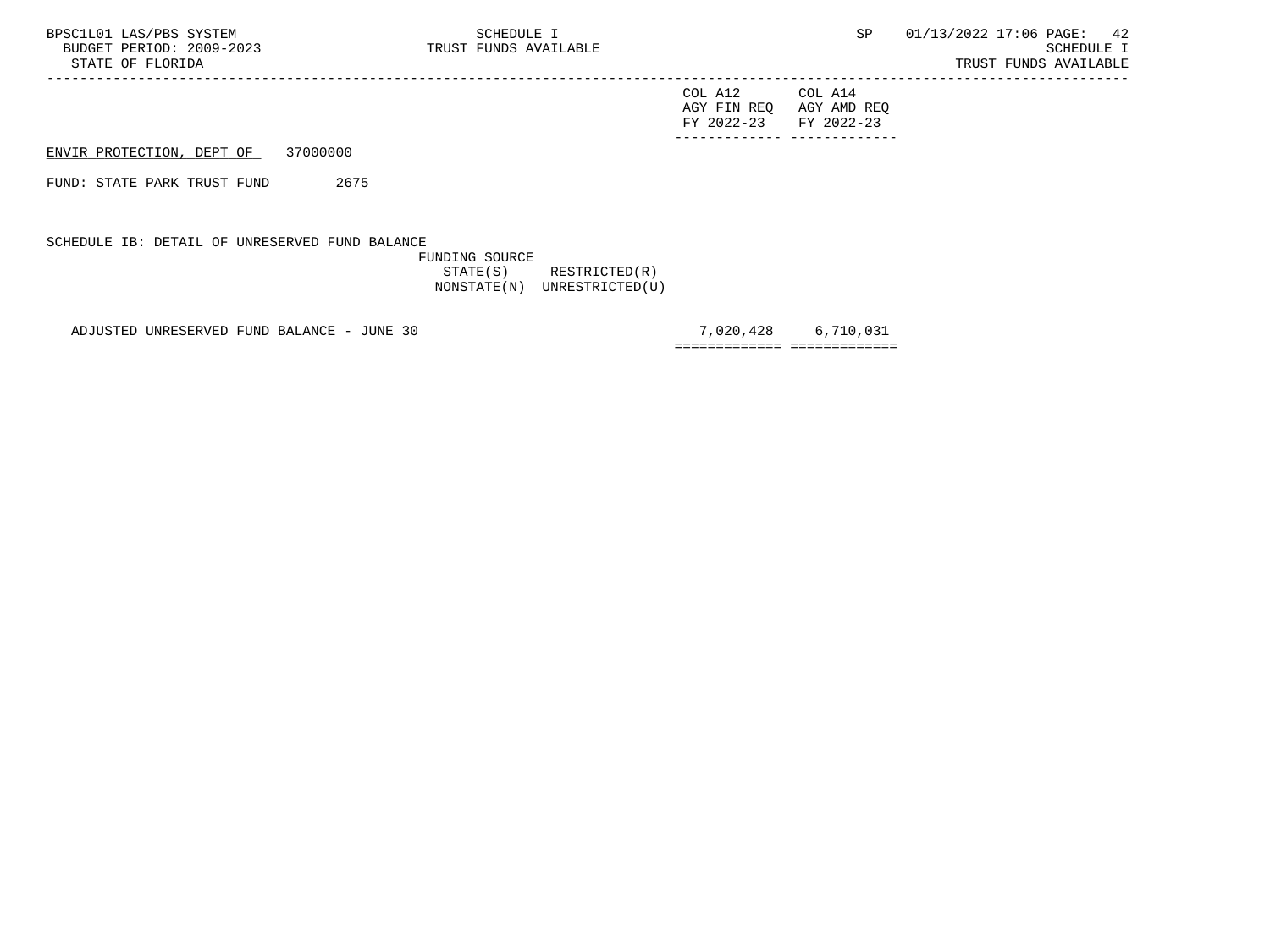| FY 2022-23 FY 2022-23 |                         |
|-----------------------|-------------------------|
|                       | AGY FIN REQ AGY AMD REQ |
| COL A12               | COL A14                 |

ENVIR PROTECTION, DEPT OF 37000000

FUND: STATE PARK TRUST FUND 2675

SCHEDULE IB: DETAIL OF UNRESERVED FUND BALANCE

 FUNDING SOURCE STATE(S) RESTRICTED(R) NONSTATE(N) UNRESTRICTED(U)

-----------------------------------------------------------------------------------------------------------------------------------

ADJUSTED UNRESERVED FUND BALANCE - JUNE 30 7,020,428 6,710,031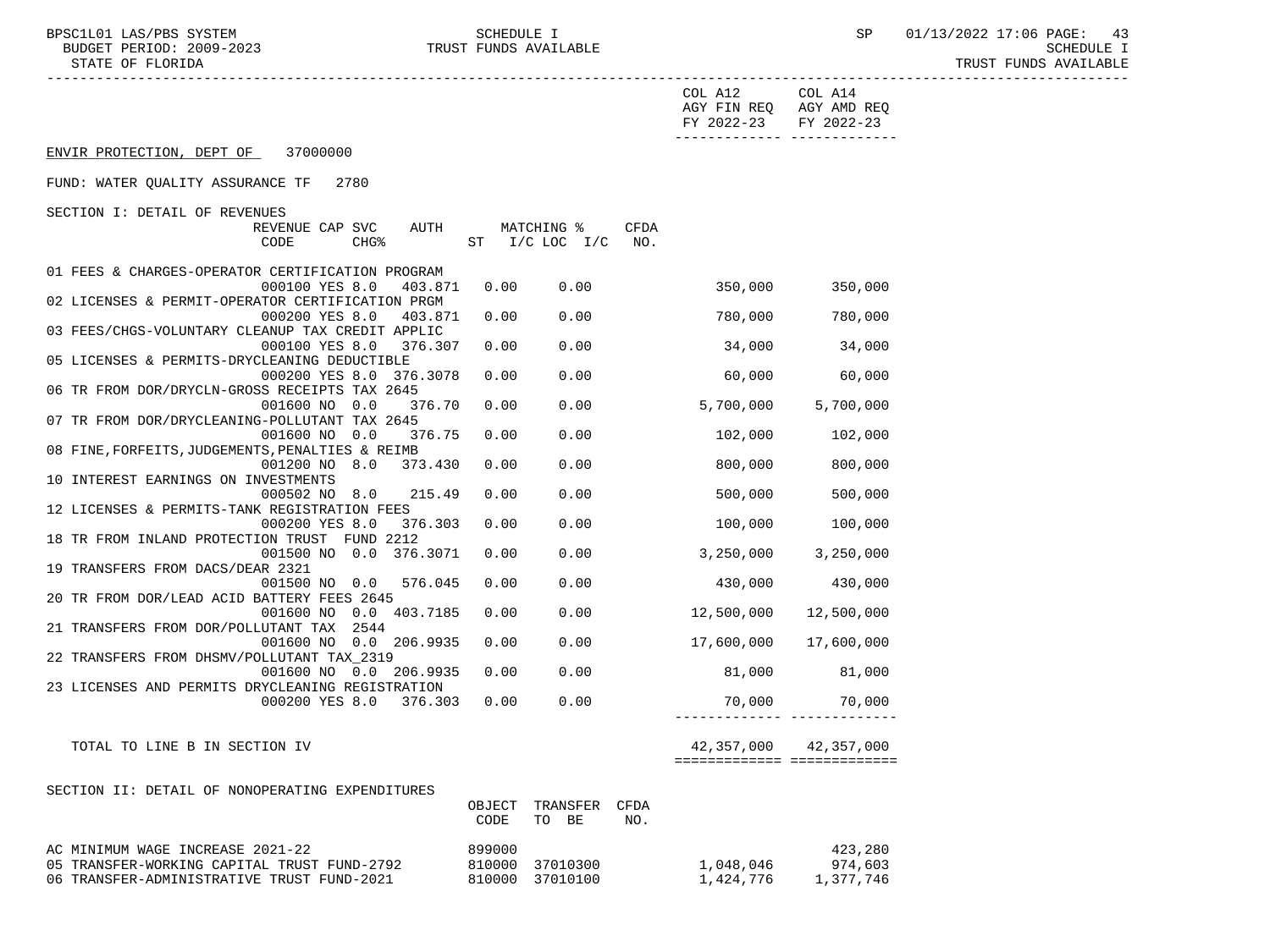BPSC1L01 LAS/PBS SYSTEM SCHEDULE I SEREDULE I SP 01/13/2022 17:06 PAGE: 43<br>BUDGET PERIOD: 2009-2023 TRUST FUNDS AVAILABLE TRUST FUNDS AVAILABLE

|                                                                                 |                  |                              |             | COL A12<br>FY 2022-23 FY 2022-23 | COL A14<br>AGY FIN REQ AGY AMD REQ |
|---------------------------------------------------------------------------------|------------------|------------------------------|-------------|----------------------------------|------------------------------------|
| ENVIR PROTECTION, DEPT OF<br>37000000                                           |                  |                              |             |                                  | -------------- --------------      |
| FUND: WATER QUALITY ASSURANCE TF 2780                                           |                  |                              |             |                                  |                                    |
| SECTION I: DETAIL OF REVENUES                                                   |                  |                              |             |                                  |                                    |
| AUTH<br>REVENUE CAP SVC<br>CHG <sup>8</sup><br>CODE                             |                  | MATCHING %<br>ST I/C LOC I/C | CFDA<br>NO. |                                  |                                    |
| 01 FEES & CHARGES-OPERATOR CERTIFICATION PROGRAM                                |                  |                              |             |                                  |                                    |
| 000100 YES 8.0<br>403.871<br>02 LICENSES & PERMIT-OPERATOR CERTIFICATION PRGM   | 0.00             | 0.00                         |             | 350,000                          | 350,000                            |
| 000200 YES 8.0<br>403.871                                                       | 0.00             | 0.00                         |             | 780,000                          | 780,000                            |
| 03 FEES/CHGS-VOLUNTARY CLEANUP TAX CREDIT APPLIC                                |                  |                              |             |                                  |                                    |
| 000100 YES 8.0<br>376.307                                                       | 0.00             | 0.00                         |             | 34,000                           | 34,000                             |
| 05 LICENSES & PERMITS-DRYCLEANING DEDUCTIBLE<br>000200 YES 8.0 376.3078         | 0.00             | 0.00                         |             | 60,000                           | 60,000                             |
| 06 TR FROM DOR/DRYCLN-GROSS RECEIPTS TAX 2645                                   |                  |                              |             |                                  |                                    |
| 001600 NO 0.0<br>376.70                                                         | 0.00             | 0.00                         |             | 5,700,000                        | 5,700,000                          |
| 07 TR FROM DOR/DRYCLEANING-POLLUTANT TAX 2645                                   |                  | 0.00                         |             |                                  |                                    |
| 001600 NO 0.0<br>376.75<br>08 FINE, FORFEITS, JUDGEMENTS, PENALTIES & REIMB     | 0.00             |                              |             | 102,000                          | 102,000                            |
| 001200 NO 8.0 373.430                                                           | 0.00             | 0.00                         |             | 800,000                          | 800,000                            |
| 10 INTEREST EARNINGS ON INVESTMENTS                                             |                  |                              |             |                                  |                                    |
| 000502 NO 8.0<br>215.49<br>12 LICENSES & PERMITS-TANK REGISTRATION FEES         | 0.00             | 0.00                         |             | 500,000                          | 500,000                            |
| 000200 YES 8.0<br>376.303                                                       | 0.00             | 0.00                         |             | 100,000                          | 100,000                            |
| 18 TR FROM INLAND PROTECTION TRUST FUND 2212                                    |                  |                              |             |                                  |                                    |
| 001500 NO 0.0 376.3071                                                          | 0.00             | 0.00                         |             | 3,250,000                        | 3,250,000                          |
| 19 TRANSFERS FROM DACS/DEAR 2321<br>576.045                                     | 0.00             | 0.00                         |             | 430,000                          | 430,000                            |
| 001500 NO 0.0<br>20 TR FROM DOR/LEAD ACID BATTERY FEES 2645                     |                  |                              |             |                                  |                                    |
| 001600 NO 0.0 403.7185                                                          | 0.00             | 0.00                         |             | 12,500,000                       | 12,500,000                         |
| 21 TRANSFERS FROM DOR/POLLUTANT TAX 2544                                        |                  |                              |             |                                  |                                    |
| 001600 NO 0.0 206.9935<br>22 TRANSFERS FROM DHSMV/POLLUTANT TAX_2319            | 0.00             | 0.00                         |             | 17,600,000                       | 17,600,000                         |
| 001600 NO 0.0 206.9935                                                          | 0.00             | 0.00                         |             | 81,000                           | 81,000                             |
| 23 LICENSES AND PERMITS DRYCLEANING REGISTRATION                                |                  |                              |             |                                  |                                    |
| 000200 YES 8.0 376.303                                                          | 0.00             | 0.00                         |             | 70,000                           | 70,000                             |
| TOTAL TO LINE B IN SECTION IV                                                   |                  |                              |             |                                  | 42,357,000 42,357,000              |
|                                                                                 |                  |                              |             |                                  |                                    |
| SECTION II: DETAIL OF NONOPERATING EXPENDITURES                                 |                  |                              |             |                                  |                                    |
|                                                                                 | OBJECT           | TRANSFER                     | CFDA        |                                  |                                    |
|                                                                                 | CODE             | TO BE                        | NO.         |                                  |                                    |
|                                                                                 |                  |                              |             |                                  |                                    |
| AC MINIMUM WAGE INCREASE 2021-22<br>05 TRANSFER-WORKING CAPITAL TRUST FUND-2792 | 899000<br>810000 | 37010300                     |             | 1,048,046                        | 423,280<br>974,603                 |
| 06 TRANSFER-ADMINISTRATIVE TRUST FUND-2021                                      |                  | 810000 37010100              |             | 1,424,776                        | 1,377,746                          |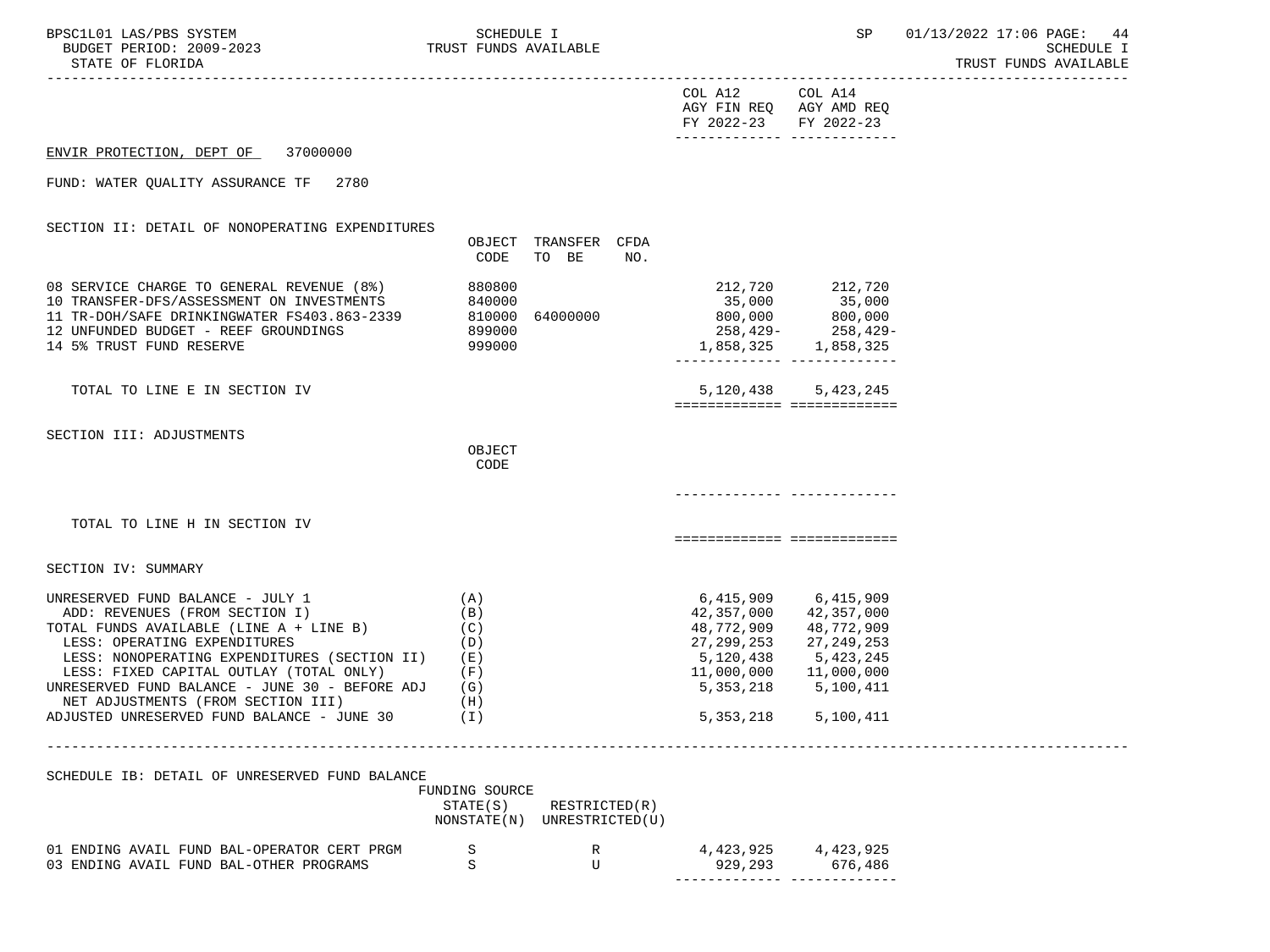| BPSC1L01 LAS/PBS SYSTEM<br>PSCILO1 LAS/PBS SYSTEM SCHEDULE I<br>BUDGET PERIOD: 2009-2023 TRUST FUNDS AVAILABLE<br>STATE OF FLORIDA<br>-----------------------------------                                                                                                                                                                                                                 |                                                           |                                      |                                                                                                                                   |                                                                               | SP 01/13/2022 17:06 PAGE: 44<br><b>SCHEDULE I</b><br>TRUST FUNDS AVAILABLE |
|-------------------------------------------------------------------------------------------------------------------------------------------------------------------------------------------------------------------------------------------------------------------------------------------------------------------------------------------------------------------------------------------|-----------------------------------------------------------|--------------------------------------|-----------------------------------------------------------------------------------------------------------------------------------|-------------------------------------------------------------------------------|----------------------------------------------------------------------------|
|                                                                                                                                                                                                                                                                                                                                                                                           |                                                           |                                      | COL A12 COL A14<br>AGY FIN REQ AGY AMD REQ<br>FY 2022-23 FY 2022-23<br>_________________________________                          |                                                                               |                                                                            |
| ENVIR PROTECTION, DEPT OF 37000000                                                                                                                                                                                                                                                                                                                                                        |                                                           |                                      |                                                                                                                                   |                                                                               |                                                                            |
| FUND: WATER QUALITY ASSURANCE TF 2780                                                                                                                                                                                                                                                                                                                                                     |                                                           |                                      |                                                                                                                                   |                                                                               |                                                                            |
| SECTION II: DETAIL OF NONOPERATING EXPENDITURES                                                                                                                                                                                                                                                                                                                                           | CODE                                                      | OBJECT TRANSFER CFDA<br>TO BE<br>NO. |                                                                                                                                   |                                                                               |                                                                            |
| 08 SERVICE CHARGE TO GENERAL REVENUE (8%)<br>10 TRANSFER-DFS/ASSESSMENT ON INVESTMENTS<br>11 TR-DOH/SAFE DRINKINGWATER FS403.863-2339<br>12 UNFUNDED BUDGET - REEF GROUNDINGS<br>14 5% TRUST FUND RESERVE                                                                                                                                                                                 | 880800<br>840000<br>810000 64000000<br>899000<br>999000   |                                      |                                                                                                                                   |                                                                               |                                                                            |
| TOTAL TO LINE E IN SECTION IV                                                                                                                                                                                                                                                                                                                                                             |                                                           |                                      | ============================                                                                                                      | 5, 120, 438 5, 423, 245                                                       |                                                                            |
| SECTION III: ADJUSTMENTS                                                                                                                                                                                                                                                                                                                                                                  | OBJECT<br>CODE                                            |                                      |                                                                                                                                   |                                                                               |                                                                            |
| TOTAL TO LINE H IN SECTION IV                                                                                                                                                                                                                                                                                                                                                             |                                                           |                                      | ============================                                                                                                      |                                                                               |                                                                            |
| SECTION IV: SUMMARY                                                                                                                                                                                                                                                                                                                                                                       |                                                           |                                      |                                                                                                                                   |                                                                               |                                                                            |
| UNRESERVED FUND BALANCE - JULY 1<br>ADD: REVENUES (FROM SECTION I)<br>TOTAL FUNDS AVAILABLE (LINE $A + LINE B$ ) (C)<br>LESS: OPERATING EXPENDITURES<br>LESS: NONOPERATING EXPENDITURES (SECTION II) (E)<br>LESS: FIXED CAPITAL OUTLAY (TOTAL ONLY)<br>UNRESERVED FUND BALANCE - JUNE 30 - BEFORE ADJ<br>NET ADJUSTMENTS (FROM SECTION III)<br>ADJUSTED UNRESERVED FUND BALANCE - JUNE 30 | (A)<br>(B)<br>(D)<br>(F)<br>(G)<br>(H)<br>(T)             |                                      | 6,415,909 6,415,909<br>42,357,000<br>48,772,909<br>27,299,253<br>5,120,438<br>11,000,000   11,000,000<br>5,353,218<br>5, 353, 218 | 42,357,000<br>48,772,909<br>27,249,253<br>5,423,245<br>5,100,411<br>5,100,411 |                                                                            |
| SCHEDULE IB: DETAIL OF UNRESERVED FUND BALANCE                                                                                                                                                                                                                                                                                                                                            | FUNDING SOURCE<br>STATE(S)<br>NONSTATE(N) UNRESTRICTED(U) | RESTRICTED(R)                        |                                                                                                                                   |                                                                               |                                                                            |
| 01 ENDING AVAIL FUND BAL-OPERATOR CERT PRGM<br>03 ENDING AVAIL FUND BAL-OTHER PROGRAMS                                                                                                                                                                                                                                                                                                    | S<br>S                                                    | R<br>U                               | 4,423,925<br>929,293                                                                                                              | 4,423,925<br>676,486                                                          |                                                                            |

------------- -------------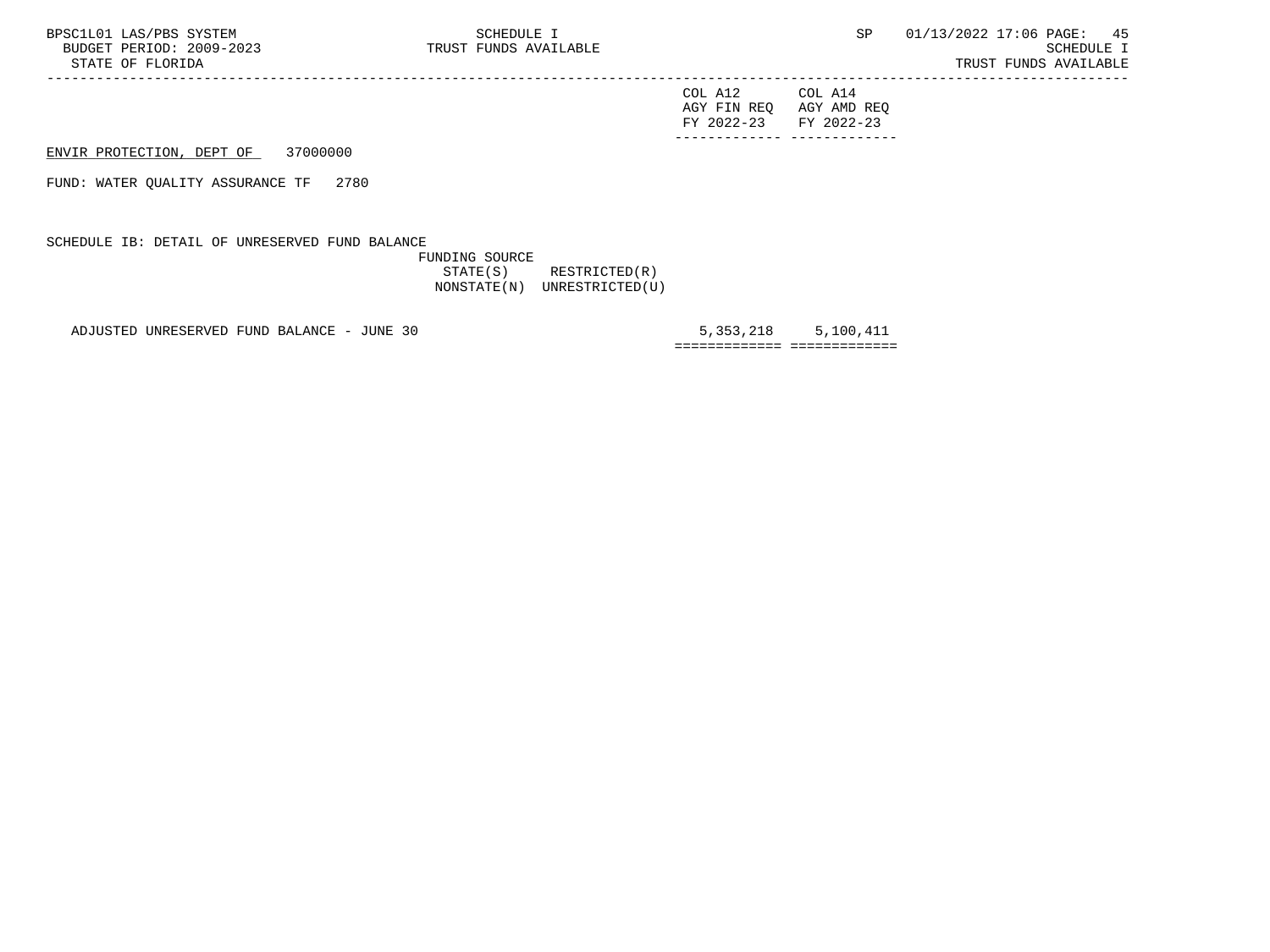| FY 2022-23 FY 2022-23 |                         |
|-----------------------|-------------------------|
|                       | AGY FIN REQ AGY AMD REQ |
| COL A12               | COL A14                 |

ENVIR PROTECTION, DEPT OF 37000000

FUND: WATER QUALITY ASSURANCE TF 2780

SCHEDULE IB: DETAIL OF UNRESERVED FUND BALANCE

 FUNDING SOURCE STATE(S) RESTRICTED(R) NONSTATE(N) UNRESTRICTED(U)

-----------------------------------------------------------------------------------------------------------------------------------

ADJUSTED UNRESERVED FUND BALANCE - JUNE 30 5,353,218 5,353,218 5,100,411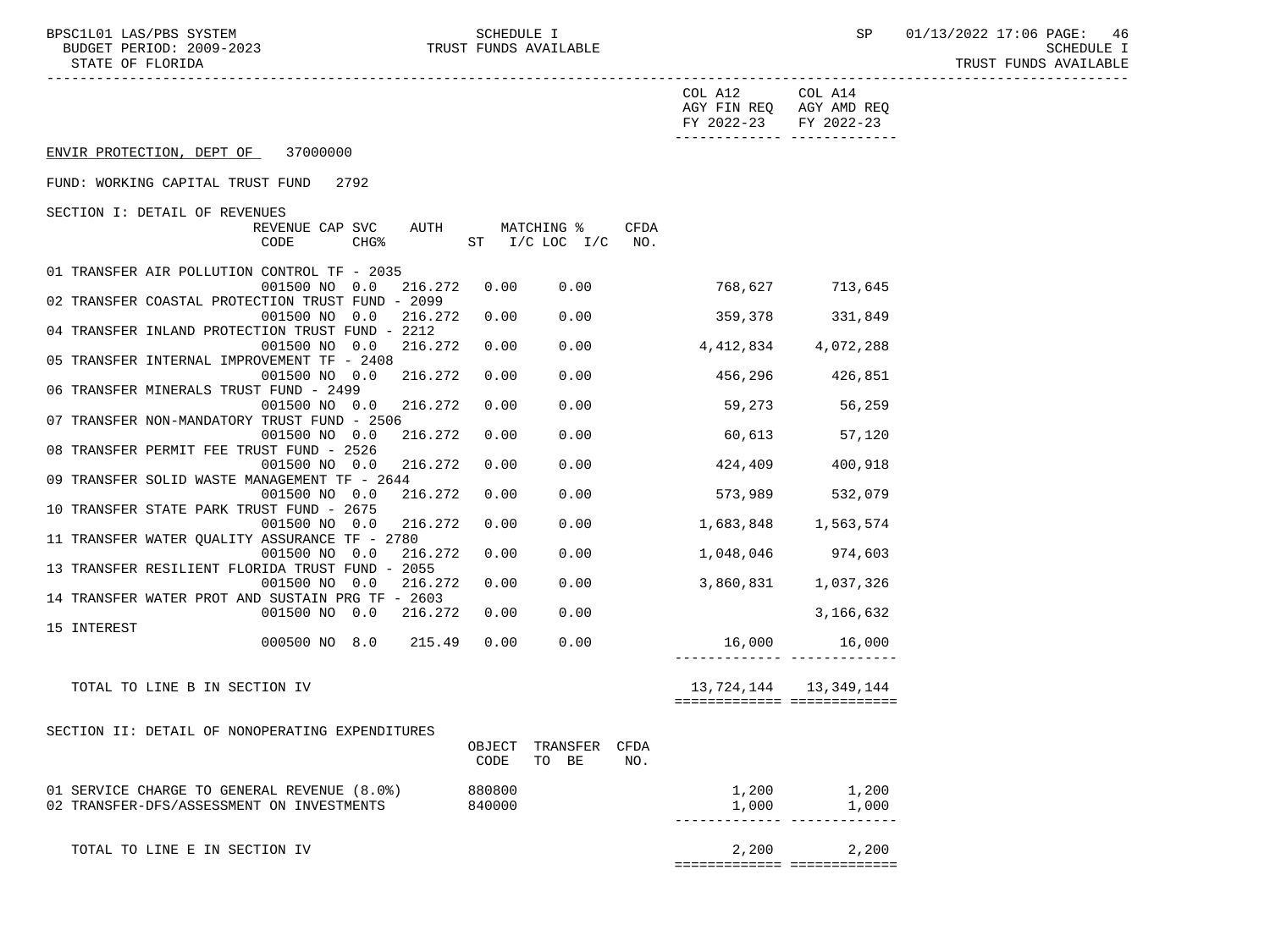BUDGET PERIOD: 2009-2023<br>STATE OF FLORIDA

BPSC1L01 LAS/PBS SYSTEM SCHEDULE I SEREDULE I SP 01/13/2022 17:06 PAGE: 46<br>BUDGET PERIOD: 2009-2023 TRUST FUNDS AVAILABLE TRUST FUNDS AVAILABLE

|                                                                          |        |                        |             | COL A12<br>AGY FIN REQ AGY AMD REQ<br>FY 2022-23 | COL A14<br>FY 2022-23       |  |
|--------------------------------------------------------------------------|--------|------------------------|-------------|--------------------------------------------------|-----------------------------|--|
| ENVIR PROTECTION, DEPT OF 37000000                                       |        |                        |             |                                                  |                             |  |
| FUND: WORKING CAPITAL TRUST FUND 2792                                    |        |                        |             |                                                  |                             |  |
| SECTION I: DETAIL OF REVENUES                                            |        |                        |             |                                                  |                             |  |
| REVENUE CAP SVC<br>AUTH                                                  |        | MATCHING %             | <b>CFDA</b> |                                                  |                             |  |
| CHG <sup>8</sup><br>CODE                                                 |        | ST $I/C$ LOC $I/C$ NO. |             |                                                  |                             |  |
|                                                                          |        |                        |             |                                                  |                             |  |
| 01 TRANSFER AIR POLLUTION CONTROL TF - 2035<br>001500 NO 0.0<br>216.272  | 0.00   | 0.00                   |             |                                                  | 768,627 713,645             |  |
| 02 TRANSFER COASTAL PROTECTION TRUST FUND - 2099                         |        |                        |             |                                                  |                             |  |
| 001500 NO 0.0<br>216.272                                                 | 0.00   | 0.00                   |             |                                                  | 359,378 331,849             |  |
| 04 TRANSFER INLAND PROTECTION TRUST FUND - 2212                          |        |                        |             |                                                  |                             |  |
| 216.272<br>001500 NO 0.0                                                 | 0.00   | 0.00                   |             | 4,412,834 4,072,288                              |                             |  |
| 05 TRANSFER INTERNAL IMPROVEMENT TF - 2408                               |        |                        |             |                                                  |                             |  |
| 216.272<br>001500 NO 0.0                                                 | 0.00   | 0.00                   |             |                                                  | 456,296 426,851             |  |
| 06 TRANSFER MINERALS TRUST FUND - 2499                                   |        |                        |             |                                                  |                             |  |
| 216.272<br>001500 NO 0.0                                                 | 0.00   | 0.00                   |             | 59,273                                           | 56,259                      |  |
| 07 TRANSFER NON-MANDATORY TRUST FUND - 2506                              |        |                        |             |                                                  |                             |  |
| 216.272<br>001500 NO 0.0                                                 | 0.00   | 0.00                   |             | 60,613                                           | 57,120                      |  |
| 08 TRANSFER PERMIT FEE TRUST FUND - 2526                                 |        |                        |             | 424,409                                          |                             |  |
| 216.272<br>001500 NO 0.0<br>09 TRANSFER SOLID WASTE MANAGEMENT TF - 2644 | 0.00   | 0.00                   |             |                                                  | 400,918                     |  |
| 216.272<br>001500 NO 0.0                                                 | 0.00   | 0.00                   |             |                                                  | 573,989 532,079             |  |
| 10 TRANSFER STATE PARK TRUST FUND - 2675                                 |        |                        |             |                                                  |                             |  |
| 001500 NO 0.0<br>216.272                                                 | 0.00   | 0.00                   |             |                                                  | 1,683,848 1,563,574         |  |
| 11 TRANSFER WATER QUALITY ASSURANCE TF - 2780                            |        |                        |             |                                                  |                             |  |
| 001500 NO 0.0<br>216.272                                                 | 0.00   | 0.00                   |             |                                                  | 1,048,046 974,603           |  |
| 13 TRANSFER RESILIENT FLORIDA TRUST FUND - 2055                          |        |                        |             |                                                  |                             |  |
| 001500 NO 0.0<br>216.272                                                 | 0.00   | 0.00                   |             |                                                  | 3,860,831 1,037,326         |  |
| 14 TRANSFER WATER PROT AND SUSTAIN PRG TF - 2603                         |        |                        |             |                                                  |                             |  |
| 001500 NO 0.0 216.272                                                    | 0.00   | 0.00                   |             |                                                  | 3,166,632                   |  |
| 15 INTEREST                                                              |        |                        |             |                                                  |                             |  |
| 000500 NO 8.0 215.49                                                     | 0.00   | 0.00                   |             |                                                  | 16,000 16,000               |  |
|                                                                          |        |                        |             |                                                  |                             |  |
| TOTAL TO LINE B IN SECTION IV                                            |        |                        |             |                                                  | 13, 724, 144 13, 349, 144   |  |
|                                                                          |        |                        |             | ============================                     |                             |  |
|                                                                          |        |                        |             |                                                  |                             |  |
| SECTION II: DETAIL OF NONOPERATING EXPENDITURES                          |        |                        |             |                                                  |                             |  |
|                                                                          | OBJECT | TRANSFER               | CFDA        |                                                  |                             |  |
|                                                                          | CODE   | TO BE                  | NO.         |                                                  |                             |  |
|                                                                          |        |                        |             |                                                  |                             |  |
| 01 SERVICE CHARGE TO GENERAL REVENUE (8.0%)                              | 880800 |                        |             |                                                  | $1,200$ $1,200$             |  |
| 02 TRANSFER-DFS/ASSESSMENT ON INVESTMENTS                                | 840000 |                        |             | 1,000                                            | 1,000                       |  |
|                                                                          |        |                        |             |                                                  |                             |  |
|                                                                          |        |                        |             |                                                  |                             |  |
| TOTAL TO LINE E IN SECTION IV                                            |        |                        |             | 2,200                                            | 2,200                       |  |
|                                                                          |        |                        |             |                                                  | =========================== |  |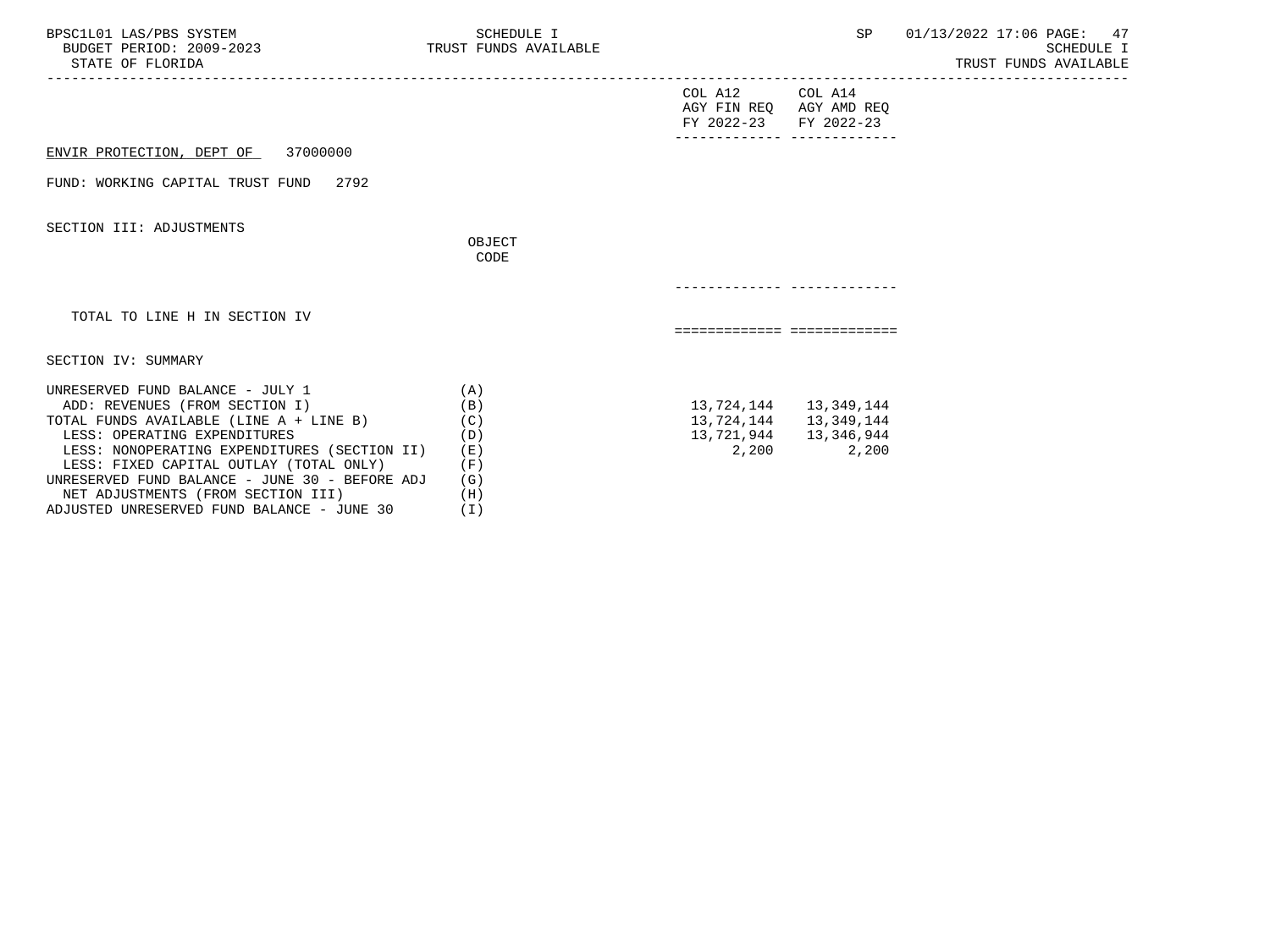| BPSC1L01 LAS/PBS SYSTEM<br>BUDGET PERIOD: 2009-2023 TRUST FUNDS AVAILABLE<br>STATE OF FLORIDA                                                                                                                                                                                                                                                                                  | SCHEDULE I                                                    |                                                                             | SP                  | 01/13/2022 17:06 PAGE: 47<br><b>SCHEDULE I</b><br>TRUST FUNDS AVAILABLE |
|--------------------------------------------------------------------------------------------------------------------------------------------------------------------------------------------------------------------------------------------------------------------------------------------------------------------------------------------------------------------------------|---------------------------------------------------------------|-----------------------------------------------------------------------------|---------------------|-------------------------------------------------------------------------|
|                                                                                                                                                                                                                                                                                                                                                                                |                                                               | COL A12 COL A14<br>AGY FIN REQ AGY AMD REQ<br>FY 2022-23 FY 2022-23         |                     |                                                                         |
| ENVIR PROTECTION, DEPT OF 37000000                                                                                                                                                                                                                                                                                                                                             |                                                               |                                                                             |                     |                                                                         |
| FUND: WORKING CAPITAL TRUST FUND<br>2792                                                                                                                                                                                                                                                                                                                                       |                                                               |                                                                             |                     |                                                                         |
| SECTION III: ADJUSTMENTS                                                                                                                                                                                                                                                                                                                                                       |                                                               |                                                                             |                     |                                                                         |
|                                                                                                                                                                                                                                                                                                                                                                                | OBJECT<br>CODE                                                |                                                                             |                     |                                                                         |
|                                                                                                                                                                                                                                                                                                                                                                                |                                                               |                                                                             |                     |                                                                         |
| TOTAL TO LINE H IN SECTION IV                                                                                                                                                                                                                                                                                                                                                  |                                                               | ============================                                                |                     |                                                                         |
| SECTION IV: SUMMARY                                                                                                                                                                                                                                                                                                                                                            |                                                               |                                                                             |                     |                                                                         |
| UNRESERVED FUND BALANCE - JULY 1<br>ADD: REVENUES (FROM SECTION I)<br>TOTAL FUNDS AVAILABLE (LINE A + LINE B)<br>LESS: OPERATING EXPENDITURES<br>LESS: NONOPERATING EXPENDITURES (SECTION II)<br>LESS: FIXED CAPITAL OUTLAY (TOTAL ONLY)<br>UNRESERVED FUND BALANCE - JUNE 30 - BEFORE ADJ<br>NET ADJUSTMENTS (FROM SECTION III)<br>ADJUSTED UNRESERVED FUND BALANCE - JUNE 30 | (A)<br>(B)<br>(C)<br>(D)<br>( E )<br>(F)<br>(G)<br>(H)<br>(T) | 13, 724, 144 13, 349, 144<br>13,724,144   13,349,144<br>13,721,944<br>2,200 | 13,346,944<br>2,200 |                                                                         |